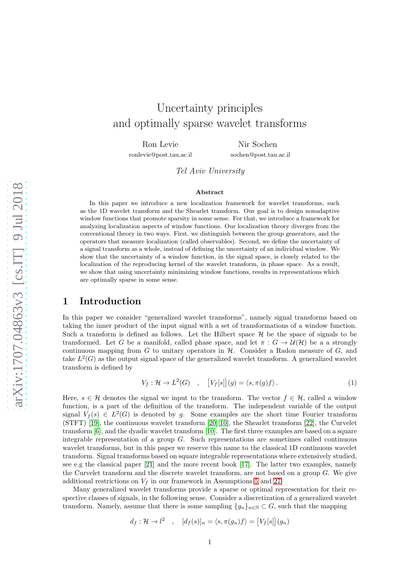# Uncertainty principles and optimally sparse wavelet transforms

Ron Levie Nir Sochen

ronlevie@post.tau.ac.il sochen@post.tau.ac.il

Tel Aviv University

#### Abstract

In this paper we introduce a new localization framework for wavelet transforms, such as the 1D wavelet transform and the Shearlet transform. Our goal is to design nonadaptive window functions that promote sparsity in some sense. For that, we introduce a framework for analyzing localization aspects of window functions. Our localization theory diverges from the conventional theory in two ways. First, we distinguish between the group generators, and the operators that measure localization (called observables). Second, we define the uncertainty of a signal transform as a whole, instead of defining the uncertainty of an individual window. We show that the uncertainty of a window function, in the signal space, is closely related to the localization of the reproducing kernel of the wavelet transform, in phase space. As a result, we show that using uncertainty minimizing window functions, results in representations which are optimally sparse in some sense.

## 1 Introduction

In this paper we consider "generalized wavelet transforms", namely signal transforms based on taking the inner product of the input signal with a set of transformations of a window function. Such a transform is defined as follows. Let the Hilbert space  $\mathcal H$  be the space of signals to be transformed. Let G be a manifold, called phase space, and let  $\pi: G \to \mathcal{U}(\mathcal{H})$  be a a strongly continuous mapping from  $G$  to unitary operators in  $H$ . Consider a Radon measure of  $G$ , and take  $L^2(G)$  as the output signal space of the generalized wavelet transform. A generalized wavelet transform is defined by

<span id="page-0-0"></span>
$$
V_f: \mathcal{H} \to L^2(G) \quad , \quad [V_f[s]](g) = \langle s, \pi(g)f \rangle \,. \tag{1}
$$

Here,  $s \in \mathcal{H}$  denotes the signal we input to the transform. The vector  $f \in \mathcal{H}$ , called a window function, is a part of the definition of the transform. The independent variable of the output signal  $V_f(s) \in L^2(G)$  is denoted by g. Some examples are the short time Fourier transform (STFT) [\[19\]](#page-48-0), the continuous wavelet transform [\[20\]](#page-49-0)[\[10\]](#page-48-1), the Shearlet transform [\[22\]](#page-49-1), the Curvelet transform [\[6\]](#page-48-2), and the dyadic wavelet transform [\[10\]](#page-48-1). The first three examples are based on a square integrable representation of a group G. Such representations are sometimes called continuous wavelet transforms, but in this paper we reserve this name to the classical 1D continuous wavelet transform. Signal transforms based on square integrable representations where extensively studied, see e.g the classical paper  $[21]$  and the more recent book  $[17]$ . The latter two examples, namely the Curvelet transform and the discrete wavelet transform, are not based on a group  $G$ . We give additional restrictions on  $V_f$  in our framework in Assumptions [5](#page-7-0) and [27.](#page-23-0)

Many generalized wavelet transforms provide a sparse or optimal representation for their respective classes of signals, in the following sense. Consider a discretization of a generalized wavelet transform. Namely, assume that there is some sampling  $\{g_n\}_{n\in\mathbb{N}}\subset G$ , such that the mapping

$$
d_f: \mathcal{H} \to l^2 \quad , \quad [d_f(s)]_n = \langle s, \pi(g_n)f \rangle = [V_f[s]](g_n)
$$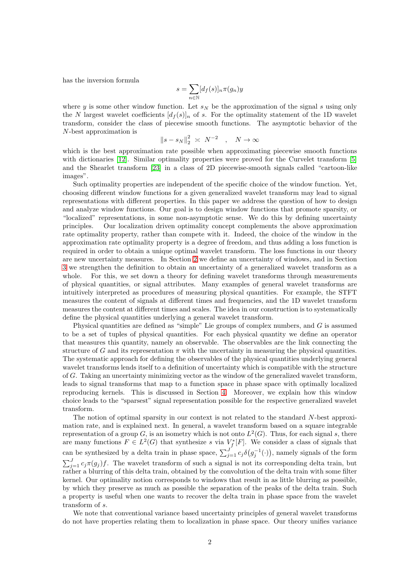has the inversion formula

$$
s = \sum_{n \in \mathbb{N}} [d_f(s)]_n \pi(g_n) y
$$

where y is some other window function. Let  $s_N$  be the approximation of the signal s using only the N largest wavelet coefficients  $[d_f(s)]_n$  of s. For the optimality statement of the 1D wavelet transform, consider the class of piecewise smooth functions. The asymptotic behavior of the N-best approximation is

$$
||s - s_N||_2^2 \approx N^{-2} \quad , \quad N \to \infty
$$

which is the best approximation rate possible when approximating piecewise smooth functions with dictionaries [\[12\]](#page-48-4). Similar optimality properties were proved for the Curvelet transform [\[5\]](#page-48-5) and the Shearlet transform [\[23\]](#page-49-3) in a class of 2D piecewise-smooth signals called "cartoon-like images".

Such optimality properties are independent of the specific choice of the window function. Yet, choosing different window functions for a given generalized wavelet transform may lead to signal representations with different properties. In this paper we address the question of how to design and analyze window functions. Our goal is to design window functions that promote sparsity, or "localized" representations, in some non-asymptotic sense. We do this by defining uncertainty principles. Our localization driven optimality concept complements the above approximation rate optimality property, rather than compete with it. Indeed, the choice of the window in the approximation rate optimality property is a degree of freedom, and thus adding a loss function is required in order to obtain a unique optimal wavelet transform. The loss functions in our theory are new uncertainty measures. In Section [2](#page-7-1) we define an uncertainty of windows, and in Section [3](#page-21-0) we strengthen the definition to obtain an uncertainty of a generalized wavelet transform as a whole. For this, we set down a theory for defining wavelet transforms through measurements of physical quantities, or signal attributes. Many examples of general wavelet transforms are intuitively interpreted as procedures of measuring physical quantities. For example, the STFT measures the content of signals at different times and frequencies, and the 1D wavelet transform measures the content at different times and scales. The idea in our construction is to systematically define the physical quantities underlying a general wavelet transform.

Physical quantities are defined as "simple" Lie groups of complex numbers, and G is assumed to be a set of tuples of physical quantities. For each physical quantity we define an operator that measures this quantity, namely an observable. The observables are the link connecting the structure of G and its representation  $\pi$  with the uncertainty in measuring the physical quantities. The systematic approach for defining the observables of the physical quantities underlying general wavelet transforms lends itself to a definition of uncertainty which is compatible with the structure of G. Taking an uncertainty minimizing vector as the window of the generalized wavelet transform, leads to signal transforms that map to a function space in phase space with optimally localized reproducing kernels. This is discussed in Section [4.](#page-41-0) Moreover, we explain how this window choice leads to the "sparsest" signal representation possible for the respective generalized wavelet transform.

The notion of optimal sparsity in our context is not related to the standard N-best approximation rate, and is explained next. In general, a wavelet transform based on a square integrable representation of a group G, is an isometry which is not onto  $L^2(G)$ . Thus, for each signal s, there are many functions  $F \in L^2(G)$  that synthesize s via  $V_f^*[F]$ . We consider a class of signals that can be synthesized by a delta train in phase space,  $\sum_{j=1}^{J} c_j \delta(g_j^{-1}(\cdot))$ , namely signals of the form  $\sum_{j=1}^{J} c_j \pi(g_j) f$ . The wavelet transform of such a signal is not its corresponding delta train, but rather a blurring of this delta train, obtained by the convolution of the delta train with some filter kernel. Our optimality notion corresponds to windows that result in as little blurring as possible, by which they preserve as much as possible the separation of the peaks of the delta train. Such a property is useful when one wants to recover the delta train in phase space from the wavelet transform of s.

We note that conventional variance based uncertainty principles of general wavelet transforms do not have properties relating them to localization in phase space. Our theory unifies variance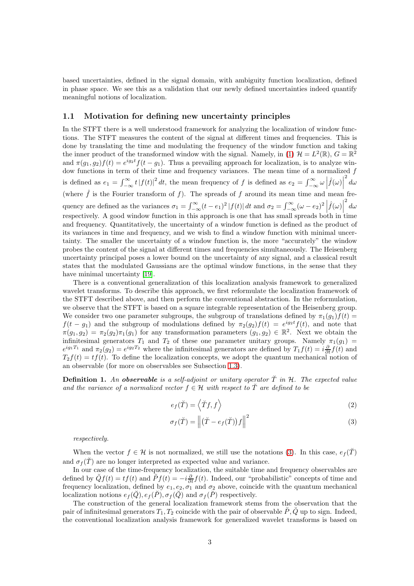based uncertainties, defined in the signal domain, with ambiguity function localization, defined in phase space. We see this as a validation that our newly defined uncertainties indeed quantify meaningful notions of localization.

## <span id="page-2-1"></span>1.1 Motivation for defining new uncertainty principles

In the STFT there is a well understood framework for analyzing the localization of window functions. The STFT measures the content of the signal at different times and frequencies. This is done by translating the time and modulating the frequency of the window function and taking the inner product of the transformed window with the signal. Namely, in [\(1\)](#page-0-0)  $\mathcal{H} = L^2(\mathbb{R})$ ,  $G = \mathbb{R}^2$ and  $\pi(g_1, g_2)f(t) = e^{ig_2t}f(t - g_1)$ . Thus a prevailing approach for localization, is to analyze window functions in term of their time and frequency variances. The mean time of a normalized  $f$ is defined as  $e_1 = \int_{-\infty}^{\infty} t |f(t)|^2 dt$ , the mean frequency of f is defined as  $e_2 = \int_{-\infty}^{\infty} \omega \left| \hat{f}(\omega) \right|$  $\frac{2}{d\omega}$ (where  $\hat{f}$  is the Fourier transform of f). The spreads of f around its mean time and mean frequency are defined as the variances  $\sigma_1 = \int_{-\infty}^{\infty} (t - e_1)^2 |f(t)| dt$  and  $\sigma_2 = \int_{-\infty}^{\infty} (\omega - e_2)^2 |\hat{f}(\omega)|$ respectively. A good window function in this approach is one that has small spreads both in time  $\frac{2}{d\omega}$ and frequency. Quantitatively, the uncertainty of a window function is defined as the product of its variances in time and frequency, and we wish to find a window function with minimal uncertainty. The smaller the uncertainty of a window function is, the more "accurately" the window probes the content of the signal at different times and frequencies simultaneously. The Heisenberg uncertainty principal poses a lower bound on the uncertainty of any signal, and a classical result states that the modulated Gaussians are the optimal window functions, in the sense that they have minimal uncertainty [\[19\]](#page-48-0).

There is a conventional generalization of this localization analysis framework to generalized wavelet transforms. To describe this approach, we first reformulate the localization framework of the STFT described above, and then perform the conventional abstraction. In the reformulation, we observe that the STFT is based on a square integrable representation of the Heisenberg group. We consider two one parameter subgroups, the subgroup of translations defined by  $\pi_1(q_1)f(t)$  =  $f(t - g_1)$  and the subgroup of modulations defined by  $\pi_2(g_2)f(t) = e^{ig_2t}f(t)$ , and note that  $\pi(g_1, g_2) = \pi_2(g_2)\pi_1(g_1)$  for any transformation parameters  $(g_1, g_2) \in \mathbb{R}^2$ . Next we obtain the infinitesimal generators  $T_1$  and  $T_2$  of these one parameter unitary groups. Namely  $\pi_1(g_1)$  =  $e^{ig_1T_1}$  and  $\pi_2(g_2) = e^{ig_2T_2}$  where the infinitesimal generators are defined by  $T_1f(t) = i\frac{\partial}{\partial t}f(t)$  and  $T_2f(t) = tf(t)$ . To define the localization concepts, we adopt the quantum mechanical notion of an observable (for more on observables see Subsection [1.3\)](#page-5-0).

**Definition 1.** An observable is a self-adjoint or unitary operator  $\check{T}$  in  $H$ . The expected value and the variance of a normalized vector  $f \in \mathcal{H}$  with respect to  $\check{T}$  are defined to be

$$
e_f(\breve{T}) = \langle \breve{T}f, f \rangle \tag{2}
$$

<span id="page-2-0"></span>
$$
\sigma_f(\breve{T}) = \left\| (\breve{T} - e_f(\breve{T})) f \right\|^2 \tag{3}
$$

respectively.

When the vector  $f \in \mathcal{H}$  is not normalized, we still use the notations [\(3\)](#page-2-0). In this case,  $e_f(\tilde{T})$ and  $\sigma_f(\tilde{T})$  are no longer interpreted as expected value and variance.

In our case of the time-frequency localization, the suitable time and frequency observables are defined by  $\check{Q}f(t) = tf(t)$  and  $\check{P}f(t) = -i\frac{\partial}{\partial t}f(t)$ . Indeed, our "probabilistic" concepts of time and frequency localization, defined by  $e_1, e_2, \sigma_1$  and  $\sigma_2$  above, coincide with the quantum mechanical localization notions  $e_f(\check{Q}), e_f(\check{P}), \sigma_f(\check{Q})$  and  $\sigma_f(\check{P})$  respectively.

The construction of the general localization framework stems from the observation that the pair of infinitesimal generators  $T_1, T_2$  coincide with the pair of observable  $\check{P}, \check{Q}$  up to sign. Indeed, the conventional localization analysis framework for generalized wavelet transforms is based on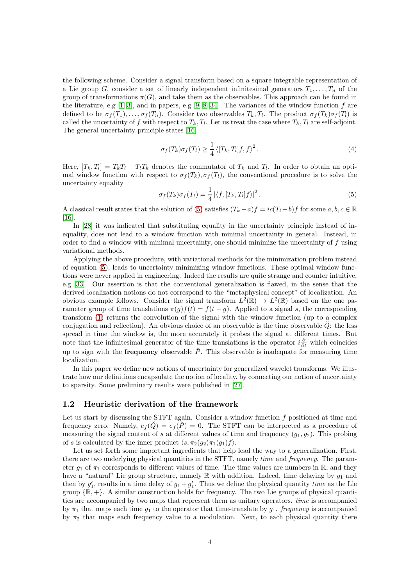the following scheme. Consider a signal transform based on a square integrable representation of a Lie group G, consider a set of linearly independent infinitesimal generators  $T_1, \ldots, T_n$  of the group of transformations  $\pi(G)$ , and take them as the observables. This approach can be found in the literature, e.g [\[1\]](#page-48-6)[\[3\]](#page-48-7), and in papers, e.g [\[9\]](#page-48-8)[\[8\]](#page-48-9)[\[34\]](#page-49-4). The variances of the window function  $f$  are defined to be  $\sigma_f(T_1), \ldots, \sigma_f(T_n)$ . Consider two observables  $T_k, T_l$ . The product  $\sigma_f(T_k)\sigma_f(T_l)$  is called the uncertainty of f with respect to  $T_k, T_l$ . Let us treat the case where  $T_k, T_l$  are self-adjoint. The general uncertainty principle states [\[16\]](#page-48-10)

$$
\sigma_f(T_k)\sigma_f(T_l) \ge \frac{1}{4} \left\langle [T_k, T_l]f, f \right\rangle^2.
$$
\n(4)

Here,  $[T_k, T_l] = T_k T_l - T_l T_k$  denotes the commutator of  $T_k$  and  $T_l$ . In order to obtain an optimal window function with respect to  $\sigma_f(T_k)$ ,  $\sigma_f(T_l)$ , the conventional procedure is to solve the uncertainty equality

<span id="page-3-0"></span>
$$
\sigma_f(T_k)\sigma_f(T_l) = \frac{1}{4} |\langle f, [T_k, T_l]f \rangle|^2.
$$
\n(5)

A classical result states that the solution of [\(5\)](#page-3-0) satisfies  $(T_k - a) f = ic(T_l - b) f$  for some  $a, b, c \in \mathbb{R}$ [\[16\]](#page-48-10).

In [\[28\]](#page-49-5) it was indicated that substituting equality in the uncertainty principle instead of inequality, does not lead to a window function with minimal uncertainty in general. Instead, in order to find a window with minimal uncertainty, one should minimize the uncertainty of  $f$  using variational methods.

Applying the above procedure, with variational methods for the minimization problem instead of equation [\(5\)](#page-3-0), leads to uncertainty minimizing window functions. These optimal window functions were never applied in engineering. Indeed the results are quite strange and counter intuitive, e.g [\[33\]](#page-49-6). Our assertion is that the conventional generalization is flawed, in the sense that the derived localization notions do not correspond to the "metaphysical concept" of localization. An obvious example follows. Consider the signal transform  $L^2(\mathbb{R}) \to L^2(\mathbb{R})$  based on the one parameter group of time translations  $\pi(g)f(t) = f(t-g)$ . Applied to a signal s, the corresponding transform [\(1\)](#page-0-0) returns the convolution of the signal with the window function (up to a complex conjugation and reflection). An obvious choice of an observable is the time observable  $Q$ : the less spread in time the window is, the more accurately it probes the signal at different times. But note that the infinitesimal generator of the time translations is the operator  $i\frac{\partial}{\partial t}$  which coincides up to sign with the **frequency** observable  $\check{P}$ . This observable is inadequate for measuring time localization.

In this paper we define new notions of uncertainty for generalized wavelet transforms. We illustrate how our definitions encapsulate the notion of locality, by connecting our notion of uncertainty to sparsity. Some preliminary results were published in [\[27\]](#page-49-7).

### 1.2 Heuristic derivation of the framework

Let us start by discussing the STFT again. Consider a window function f positioned at time and frequency zero. Namely,  $e_f(\tilde{Q}) = e_f(\tilde{P}) = 0$ . The STFT can be interpreted as a procedure of measuring the signal content of s at different values of time and frequency  $(g_1, g_2)$ . This probing of s is calculated by the inner product  $\langle s, \pi_2(g_2)\pi_1(g_1)f \rangle$ .

Let us set forth some important ingredients that help lead the way to a generalization. First, there are two underlying physical quantities in the STFT, namely time and frequency. The parameter  $g_1$  of  $\pi_1$  corresponds to different values of time. The time values are numbers in R, and they have a "natural" Lie group structure, namely  $\mathbb R$  with addition. Indeed, time delaying by  $g_1$  and then by  $g'_1$ , results in a time delay of  $g_1 + g'_1$ . Thus we define the physical quantity time as the Lie group  $\{\mathbb{R}, +\}.$  A similar construction holds for frequency. The two Lie groups of physical quantities are accompanied by two maps that represent them as unitary operators. time is accompanied by  $\pi_1$  that maps each time  $g_1$  to the operator that time-translate by  $g_1$ . frequency is accompanied by  $\pi_2$  that maps each frequency value to a modulation. Next, to each physical quantity there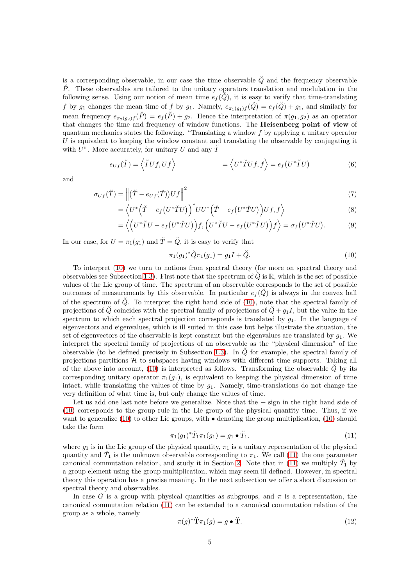is a corresponding observable, in our case the time observable  $\check{Q}$  and the frequency observable  $\check{P}$ . These observables are tailored to the unitary operators translation and modulation in the following sense. Using our notion of mean time  $e_f(\check{Q})$ , it is easy to verify that time-translating f by  $g_1$  changes the mean time of f by  $g_1$ . Namely,  $e_{\pi_1(g_1)f}(\check{Q}) = e_f(\check{Q}) + g_1$ , and similarly for mean frequency  $e_{\pi_2(g_2)f}(\check{P}) = e_f(\check{P}) + g_2$ . Hence the interpretation of  $\pi(g_1, g_2)$  as an operator that changes the time and frequency of window functions. The Heisenberg point of view of quantum mechanics states the following. "Translating a window f by applying a unitary operator  $U$  is equivalent to keeping the window constant and translating the observable by conjugating it with U". More accurately, for unitary U and any  $\check{T}$ 

$$
e_{Uf}(\breve{T}) = \langle \breve{T}Uf, Uf \rangle \qquad \qquad = \langle U^* \breve{T}Uf, f \rangle = e_f(U^* \breve{T}U) \qquad \qquad (6)
$$

and

$$
\sigma_{Uf}(\breve{T}) = ||(\breve{T} - e_{Uf}(\breve{T}))Uf||^2
$$
\n(7)

$$
= \langle U^* (\breve{T} - e_f (U^* \breve{T} U))^\ast U U^* (\breve{T} - e_f (U^* \breve{T} U)) U f, f \rangle \tag{8}
$$

$$
= \langle \left( U^* \check{T} U - e_f \left( U^* \check{T} U \right) \right) f, \left( U^* \check{T} U - e_f \left( U^* \check{T} U \right) \right) f \rangle = \sigma_f \left( U^* \check{T} U \right). \tag{9}
$$

In our case, for  $U = \pi_1(q_1)$  and  $\check{T} = \check{Q}$ , it is easy to verify that

<span id="page-4-4"></span><span id="page-4-3"></span><span id="page-4-0"></span>
$$
\pi_1(g_1)^* \breve{Q} \pi_1(g_1) = g_1 I + \breve{Q}.
$$
\n(10)

To interpret [\(10\)](#page-4-0) we turn to notions from spectral theory (for more on spectral theory and observables see Subsection [1.3\)](#page-5-0). First note that the spectrum of  $\check{Q}$  is  $\mathbb{R}$ , which is the set of possible values of the Lie group of time. The spectrum of an observable corresponds to the set of possible outcomes of measurements by this observable. In particular  $e_f(\check{Q})$  is always in the convex hall of the spectrum of  $\check{Q}$ . To interpret the right hand side of [\(10\)](#page-4-0), note that the spectral family of projections of  $\check{Q}$  coincides with the spectral family of projections of  $\check{Q} + g_1 I$ , but the value in the spectrum to which each spectral projection corresponds is translated by  $g_1$ . In the language of eigenvectors and eigenvalues, which is ill suited in this case but helps illustrate the situation, the set of eigenvectors of the observable is kept constant but the eigenvalues are translated by  $q_1$ . We interpret the spectral family of projections of an observable as the "physical dimension" of the observable (to be defined precisely in Subsection [1.3\)](#page-5-0). In  $\tilde{Q}$  for example, the spectral family of projections partitions  $H$  to subspaces having windows with different time supports. Taking all of the above into account, [\(10\)](#page-4-0) is interpreted as follows. Transforming the observable  $\check{Q}$  by its corresponding unitary operator  $\pi_1(g_1)$ , is equivalent to keeping the physical dimension of time intact, while translating the values of time by  $q_1$ . Namely, time-translations do not change the very definition of what time is, but only change the values of time.

Let us add one last note before we generalize. Note that the  $+$  sign in the right hand side of [\(10\)](#page-4-0) corresponds to the group rule in the Lie group of the physical quantity time. Thus, if we want to generalize [\(10\)](#page-4-0) to other Lie groups, with  $\bullet$  denoting the group multiplication, (10) should take the form

<span id="page-4-1"></span>
$$
\pi_1(g_1)^* \check{T}_1 \pi_1(g_1) = g_1 \bullet \check{T}_1. \tag{11}
$$

where  $g_1$  is in the Lie group of the physical quantity,  $\pi_1$  is a unitary representation of the physical quantity and  $\tilde{T}_1$  is the unknown observable corresponding to  $\pi_1$ . We call [\(11\)](#page-4-1) the one parameter canonical commutation relation, and study it in Section [2.](#page-7-1) Note that in [\(11\)](#page-4-1) we multiply  $\check{T}_1$  by a group element using the group multiplication, which may seem ill defined. However, in spectral theory this operation has a precise meaning. In the next subsection we offer a short discussion on spectral theory and observables.

In case G is a group with physical quantities as subgroups, and  $\pi$  is a representation, the canonical commutation relation [\(11\)](#page-4-1) can be extended to a canonical commutation relation of the group as a whole, namely

<span id="page-4-2"></span>
$$
\pi(g)^{*}\check{\mathbf{T}}\pi_{1}(g) = g \bullet \check{\mathbf{T}}.\tag{12}
$$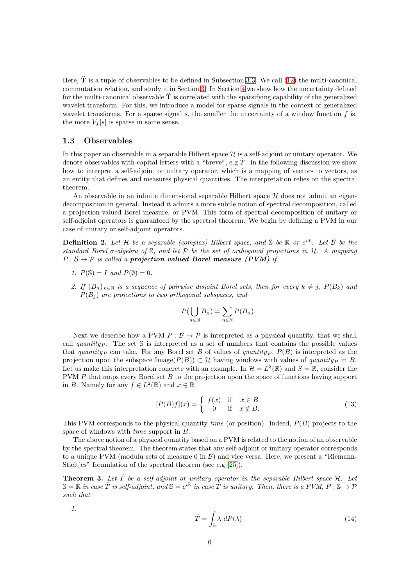Here,  $\tilde{T}$  is a tuple of observables to be defined in Subsection [3.3.](#page-23-1) We call [\(12\)](#page-4-2) the multi-canonical commutation relation, and study it in Section [3.](#page-21-0) In Section [4](#page-41-0) we show how the uncertainty defined for the multi-canonical observable  $\tilde{T}$  is correlated with the sparsifying capability of the generalized wavelet transform. For this, we introduce a model for sparse signals in the context of generalized wavelet transforms. For a sparse signal  $s$ , the smaller the uncertainty of a window function  $f$  is, the more  $V_f[s]$  is sparse in some sense.

## <span id="page-5-0"></span>1.3 Observables

In this paper an observable in a separable Hilbert space  $\mathcal H$  is a self-adjoint or unitary operator. We denote observables with capital letters with a "breve", e.g  $\check{T}$ . In the following discussion we show how to interpret a self-adjoint or unitary operator, which is a mapping of vectors to vectors, as an entity that defines and measures physical quantities. The interpretation relies on the spectral theorem.

An observable in an infinite dimensional separable Hilbert space  $\mathcal H$  does not admit an eigendecomposition in general. Instead it admits a more subtle notion of spectral decomposition, called a projection-valued Borel measure, or PVM. This form of spectral decomposition of unitary or self-adjoint operators is guaranteed by the spectral theorem. We begin by defining a PVM in our case of unitary or self-adjoint operators.

**Definition 2.** Let  $H$  be a separable (complex) Hilbert space, and  $S$  be  $\mathbb{R}$  or  $e^{i\mathbb{R}}$ . Let  $B$  be the standard Borel  $\sigma$ -algebra of S, and let  $\mathcal P$  be the set of orthogonal projections in  $\mathcal H$ . A mapping  $P : \mathcal{B} \to \mathcal{P}$  is called a projection valued Borel measure (PVM) if

- 1.  $P(\mathbb{S}) = I$  and  $P(\emptyset) = 0$ .
- 2. If  ${B_n}_{n\in\mathbb{N}}$  is a sequence of pairwise disjoint Borel sets, then for every  $k \neq j$ ,  $P(B_k)$  and  $P(B_i)$  are projections to two orthogonal subspaces, and

$$
P(\bigcup_{n\in\mathbb{N}}B_n)=\sum_{n\in\mathbb{N}}P(B_n).
$$

Next we describe how a PVM  $P : \mathcal{B} \to \mathcal{P}$  is interpreted as a physical quantity, that we shall call quantity  $P$ . The set S is interpreted as a set of numbers that contains the possible values that quantity p can take. For any Borel set B of values of quantity p,  $P(B)$  is interpreted as the projection upon the subspace Image( $P(B)$ ) ⊂ H having windows with values of quantity P in B. Let us make this interpretation concrete with an example. In  $\mathcal{H} = L^2(\mathbb{R})$  and  $S = \mathbb{R}$ , consider the PVM P that maps every Borel set B to the projection upon the space of functions having support in B. Namely for any  $f \in L^2(\mathbb{R})$  and  $x \in \mathbb{R}$ 

$$
[P(B)f](x) = \begin{cases} f(x) & \text{if } x \in B \\ 0 & \text{if } x \notin B. \end{cases}
$$
 (13)

This PVM corresponds to the physical quantity *time* (or position). Indeed,  $P(B)$  projects to the space of windows with time support in B.

The above notion of a physical quantity based on a PVM is related to the notion of an observable by the spectral theorem. The theorem states that any self-adjoint or unitary operator corresponds to a unique PVM (modulu sets of measure  $0$  in  $\mathcal{B}$ ) and vice versa. Here, we present a "Riemann-Stielties" formulation of the spectral theorem (see e.g [\[25\]](#page-49-8)).

**Theorem 3.** Let  $\check{T}$  be a self-adjoint or unitary operator in the separable Hilbert space  $\mathcal{H}$ . Let  $\mathbb{S} = \mathbb{R}$  in case  $\check{T}$  is self-adjoint, and  $\mathbb{S} = e^{i\mathbb{R}}$  in case  $\check{T}$  is unitary. Then, there is a PVM,  $P : \mathbb{S} \to \mathcal{P}$ such that

1.

<span id="page-5-1"></span>
$$
\breve{T} = \int_{\mathbb{S}} \lambda \, dP(\lambda) \tag{14}
$$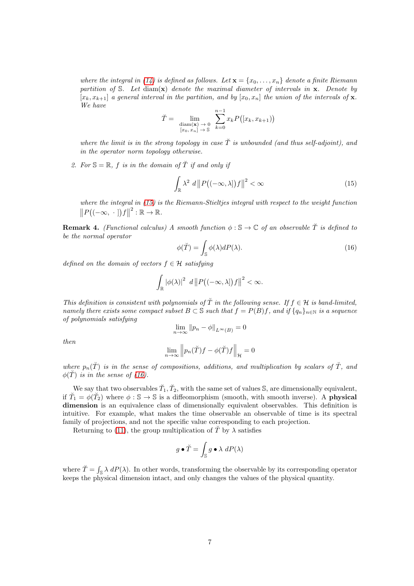where the integral in [\(14\)](#page-5-1) is defined as follows. Let  $\mathbf{x} = \{x_0, \ldots, x_n\}$  denote a finite Riemann partition of S. Let diam( $x$ ) denote the maximal diameter of intervals in  $x$ . Denote by  $[x_k, x_{k+1}]$  a general interval in the partition, and by  $[x_0, x_n]$  the union of the intervals of **x**. We have

$$
\breve{T} = \lim_{\substack{\text{diam}(\mathbf{x}) \to 0 \\ [x_0, x_n] \to \mathbb{S}}} \sum_{k=0}^{n-1} x_k P([x_k, x_{k+1}) )
$$

where the limit is in the strong topology in case  $\tilde{T}$  is unbounded (and thus self-adjoint), and in the operator norm topology otherwise.

2. For  $\mathbb{S} = \mathbb{R}$ , f is in the domain of  $\check{T}$  if and only if

<span id="page-6-0"></span>
$$
\int_{\mathbb{R}} \lambda^2 \, d\left\| P\left((-\infty,\lambda]\right) f\right\|^2 < \infty \tag{15}
$$

where the integral in [\(15\)](#page-6-0) is the Riemann-Stieltjes integral with respect to the weight function  $||P((-\infty, \cdot ||)f||)$  $2: \mathbb{R} \to \mathbb{R}$ .

<span id="page-6-2"></span>**Remark 4.** (Functional calculus) A smooth function  $\phi : \mathbb{S} \to \mathbb{C}$  of an observable  $\check{T}$  is defined to be the normal operator

<span id="page-6-1"></span>
$$
\phi(\breve{T}) = \int_{\mathbb{S}} \phi(\lambda) dP(\lambda). \tag{16}
$$

defined on the domain of vectors  $f \in \mathcal{H}$  satisfying

$$
\int_{\mathbb{R}} |\phi(\lambda)|^2 \, d\left\| P\big((-\infty,\lambda]\big)f\right\|^2 < \infty.
$$

This definition is consistent with polynomials of  $\tilde{T}$  in the following sense. If  $f \in \mathcal{H}$  is band-limited, namely there exists some compact subset  $B \subset \mathbb{S}$  such that  $f = P(B)f$ , and if  $\{q_n\}_{n \in \mathbb{N}}$  is a sequence of polynomials satisfying

$$
\lim_{n \to \infty} \|p_n - \phi\|_{L^{\infty}(B)} = 0
$$

then

$$
\lim_{n \to \infty} ||p_n(\breve{T})f - \phi(\breve{T})f||_{\mathcal{H}} = 0
$$

where  $p_n(\tilde{T})$  is in the sense of compositions, additions, and multiplication by scalars of  $\tilde{T}$ , and  $\phi(\tilde{T})$  is in the sense of [\(16\)](#page-6-1).

We say that two observables  $\check{T}_1, \check{T}_2$ , with the same set of values S, are dimensionally equivalent, if  $\tilde{T}_1 = \phi(\tilde{T}_2)$  where  $\phi : \mathbb{S} \to \mathbb{S}$  is a diffeomorphism (smooth, with smooth inverse). A **physical** dimension is an equivalence class of dimensionally equivalent observables. This definition is intuitive. For example, what makes the time observable an observable of time is its spectral family of projections, and not the specific value corresponding to each projection.

Returning to [\(11\)](#page-4-1), the group multiplication of  $\tilde{T}$  by  $\lambda$  satisfies

$$
g\bullet\breve{T}=\int_{\mathbb{S}}g\bullet\lambda\;dP(\lambda)
$$

where  $\tilde{T} = \int_{\mathbb{S}} \lambda \, dP(\lambda)$ . In other words, transforming the observable by its corresponding operator keeps the physical dimension intact, and only changes the values of the physical quantity.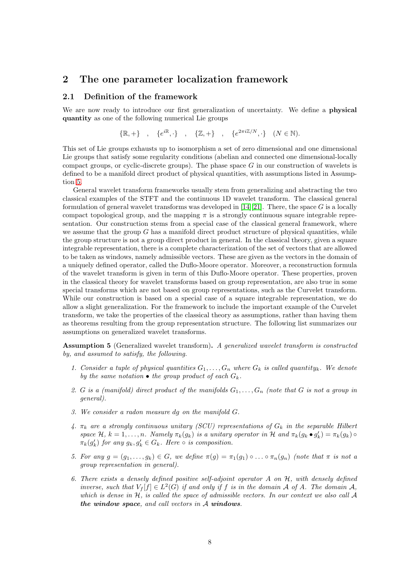## <span id="page-7-1"></span>2 The one parameter localization framework

## 2.1 Definition of the framework

We are now ready to introduce our first generalization of uncertainty. We define a **physical** quantity as one of the following numerical Lie groups

$$
\{\mathbb{R},+\}\quad,\quad\{e^{i\mathbb{R}},\cdot\}\quad,\quad\{\mathbb{Z},+\}\quad,\quad\{e^{2\pi i\mathbb{Z}/N},\cdot\}\quad(N\in\mathbb{N}).
$$

This set of Lie groups exhausts up to isomorphism a set of zero dimensional and one dimensional Lie groups that satisfy some regularity conditions (abelian and connected one dimensional-locally compact groups, or cyclic-discrete groups). The phase space  $G$  in our construction of wavelets is defined to be a manifold direct product of physical quantities, with assumptions listed in Assumption [5.](#page-7-0)

General wavelet transform frameworks usually stem from generalizing and abstracting the two classical examples of the STFT and the continuous 1D wavelet transform. The classical general formulation of general wavelet transforms was developed in [\[14\]](#page-48-11)[\[21\]](#page-49-2). There, the space  $G$  is a locally compact topological group, and the mapping  $\pi$  is a strongly continuous square integrable representation. Our construction stems from a special case of the classical general framework, where we assume that the group  $G$  has a manifold direct product structure of physical quantities, while the group structure is not a group direct product in general. In the classical theory, given a square integrable representation, there is a complete characterization of the set of vectors that are allowed to be taken as windows, namely admissible vectors. These are given as the vectors in the domain of a uniquely defined operator, called the Duflo-Moore operator. Moreover, a reconstruction formula of the wavelet transform is given in term of this Duflo-Moore operator. These properties, proven in the classical theory for wavelet transforms based on group representation, are also true in some special transforms which are not based on group representations, such as the Curvelet transform. While our construction is based on a special case of a square integrable representation, we do allow a slight generalization. For the framework to include the important example of the Curvelet transform, we take the properties of the classical theory as assumptions, rather than having them as theorems resulting from the group representation structure. The following list summarizes our assumptions on generalized wavelet transforms.

<span id="page-7-0"></span>Assumption 5 (Generalized wavelet transform). A generalized wavelet transform is constructed by, and assumed to satisfy, the following.

- 1. Consider a tuple of physical quantities  $G_1, \ldots, G_n$  where  $G_k$  is called quantity<sub>k</sub>. We denote by the same notation  $\bullet$  the group product of each  $G_k$ .
- 2. G is a (manifold) direct product of the manifolds  $G_1, \ldots, G_n$  (note that G is not a group in general).
- 3. We consider a radon measure dg on the manifold G.
- 4.  $\pi_k$  are a strongly continuous unitary (SCU) representations of  $G_k$  in the separable Hilbert space  $\mathcal{H}, k = 1, ..., n$ . Namely  $\pi_k(g_k)$  is a unitary operator in  $\mathcal{H}$  and  $\pi_k(g_k \bullet g'_k) = \pi_k(g_k) \circ$  $\pi_k(g'_k)$  for any  $g_k, g'_k \in G_k$ . Here  $\circ$  is composition.
- 5. For any  $g = (g_1, \ldots, g_k) \in G$ , we define  $\pi(g) = \pi_1(g_1) \circ \ldots \circ \pi_n(g_n)$  (note that  $\pi$  is not a group representation in general).
- 6. There exists a densely defined positive self-adjoint operator  $A$  on  $H$ , with densely defined inverse, such that  $V_f[f] \in L^2(G)$  if and only if f is in the domain A of A. The domain A, which is dense in  $H$ , is called the space of admissible vectors. In our context we also call  $A$ the window space, and call vectors in A windows.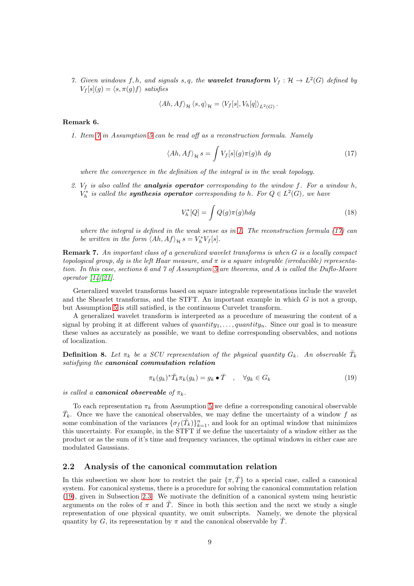<span id="page-8-0"></span>7. Given windows f, h, and signals s, q, the **wavelet transform**  $V_f : \mathcal{H} \to L^2(G)$  defined by  $V_f[s](g) = \langle s, \pi(g)f \rangle$  satisfies

$$
\langle Ah, Af \rangle_{\mathcal{H}} \langle s, q \rangle_{\mathcal{H}} = \langle V_f[s], V_h[q] \rangle_{L^2(G)}.
$$

#### <span id="page-8-1"></span>Remark 6.

1. Item [7](#page-8-0) in Assumption [5](#page-7-0) can be read off as a reconstruction formula. Namely

<span id="page-8-2"></span>
$$
\langle Ah, Af \rangle_{\mathcal{H}} s = \int V_f[s](g)\pi(g)h \, dg \tag{17}
$$

where the convergence in the definition of the integral is in the weak topology.

2.  $V_f$  is also called the **analysis operator** corresponding to the window f. For a window h,  $V_h^*$  is called the **synthesis operator** corresponding to h. For  $Q \in L^2(G)$ , we have

<span id="page-8-5"></span>
$$
V_h^*[Q] = \int Q(g)\pi(g)h dg \tag{18}
$$

where the integral is defined in the weak sense as in [1.](#page-8-1) The reconstruction formula  $(17)$  can be written in the form  $\langle Ah, Af \rangle_{\mathcal{H}} s = V_h^* V_f[s].$ 

<span id="page-8-4"></span>Remark 7. An important class of a generalized wavelet transforms is when G is a locally compact topological group, dq is the left Haar measure, and  $\pi$  is a square integrable (irreducible) representation. In this case, sections 6 and 7 of Assumption [5](#page-7-0) are theorems, and A is called the Duflo-Moore operator [\[14\]](#page-48-11)[\[21\]](#page-49-2).

Generalized wavelet transforms based on square integrable representations include the wavelet and the Shearlet transforms, and the STFT. An important example in which  $G$  is not a group, but Assumption [5](#page-7-0) is still satisfied, is the continuous Curvelet transform.

A generalized wavelet transform is interpreted as a procedure of measuring the content of a signal by probing it at different values of  $quantity_1, \ldots, quantity_n$ . Since our goal is to measure these values as accurately as possible, we want to define corresponding observables, and notions of localization.

**Definition 8.** Let  $\pi_k$  be a SCU representation of the physical quantity  $G_k$ . An observable  $\breve{T}_k$ satisfying the canonical commutation relation

<span id="page-8-3"></span>
$$
\pi_k(g_k)^* \check{T}_k \pi_k(g_k) = g_k \bullet \check{T} \quad , \quad \forall g_k \in G_k \tag{19}
$$

is called a **canonical observable** of  $\pi_k$ .

To each representation  $\pi_k$  from Assumption [5](#page-7-0) we define a corresponding canonical observable  $\check{T}_k$ . Once we have the canonical observables, we may define the uncertainty of a window f as some combination of the variances  $\{\sigma_f(\tilde{T}_k)\}_{k=1}^n$ , and look for an optimal window that minimizes this uncertainty. For example, in the STFT if we define the uncertainty of a window either as the product or as the sum of it's time and frequency variances, the optimal windows in either case are modulated Gaussians.

### 2.2 Analysis of the canonical commutation relation

In this subsection we show how to restrict the pair  $\{\pi, \tilde{T}\}\$  to a special case, called a canonical system. For canonical systems, there is a procedure for solving the canonical commutation relation [\(19\)](#page-8-3), given in Subsection [2.3.](#page-11-0) We motivate the definition of a canonical system using heuristic arguments on the roles of  $\pi$  and  $\tilde{T}$ . Since in both this section and the next we study a single representation of one physical quantity, we omit subscripts. Namely, we denote the physical quantity by G, its representation by  $\pi$  and the canonical observable by  $\tilde{T}$ .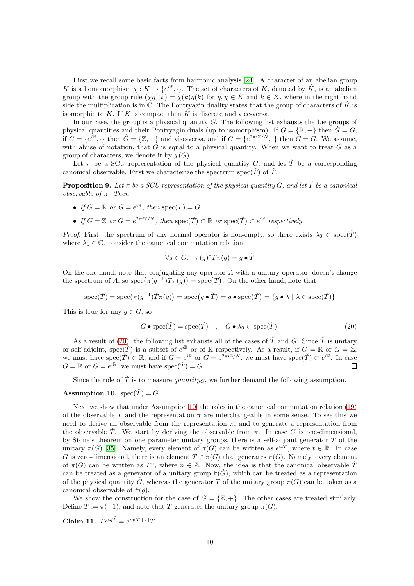First we recall some basic facts from harmonic analysis [\[24\]](#page-49-9). A character of an abelian group K is a homomorphism  $\chi: K \to \{e^{i\mathbb{R}}, \cdot\}$ . The set of characters of K, denoted by  $\hat{K}$ , is an abelian group with the group rule  $(\chi \eta)(k) = \chi(k)\eta(k)$  for  $\eta, \chi \in \hat{K}$  and  $k \in K$ , where in the right hand side the multiplication is in  $\mathbb C$ . The Pontryagin duality states that the group of characters of  $\hat K$  is isomorphic to K. If K is compact then  $\hat{K}$  is discrete and vice-versa.

In our case, the group is a physical quantity  $G$ . The following list exhausts the Lie groups of physical quantities and their Pontryagin duals (up to isomorphism). If  $G = \{ \mathbb{R}, + \}$  then  $\hat{G} = G$ , if  $G = \{e^{i\mathbb{R}}, \cdot\}$  then  $\hat{G} = \{\mathbb{Z}, +\}$  and vise-versa, and if  $G = \{e^{2\pi i\mathbb{Z}/N}, \cdot\}$  then  $\hat{G} = G$ . We assume, with abuse of notation, that  $\hat{G}$  is equal to a physical quantity. When we want to treat  $\hat{G}$  as a group of characters, we denote it by  $\chi(G)$ .

Let  $\pi$  be a SCU representation of the physical quantity G, and let  $\tilde{T}$  be a corresponding canonical observable. First we characterize the spectrum spec $(\tilde{T})$  of  $\tilde{T}$ .

<span id="page-9-3"></span>**Proposition 9.** Let  $\pi$  be a SCU representation of the physical quantity G, and let  $\tilde{T}$  be a canonical observable of  $\pi$ . Then

- If  $G = \mathbb{R}$  or  $G = e^{i\mathbb{R}}$ , then  $spec(\breve{T}) = G$ .
- If  $G = \mathbb{Z}$  or  $G = e^{2\pi i \mathbb{Z}/N}$ , then  $\operatorname{spec}(\check{T}) \subset \mathbb{R}$  or  $\operatorname{spec}(\check{T}) \subset e^{i\mathbb{R}}$  respectively.

*Proof.* First, the spectrum of any normal operator is non-empty, so there exists  $\lambda_0 \in \text{spec}(\tilde{T})$ where  $\lambda_0 \in \mathbb{C}$ . consider the canonical commutation relation

$$
\forall g \in G. \quad \pi(g)^* \check{T} \pi(g) = g \bullet \check{T}
$$

On the one hand, note that conjugating any operator  $A$  with a unitary operator, doesn't change the spectrum of A, so  $spec(\pi(g^{-1})\breve{T}\pi(g)) = spec(\breve{T})$ . On the other hand, note that

$$
\operatorname{spec}(\breve{T}) = \operatorname{spec}\big(\pi(g^{-1})\breve{T}\pi(g)\big) = \operatorname{spec}\big(g \bullet \breve{T}\big) = g \bullet \operatorname{spec}\big(\breve{T}\big) = \{g \bullet \lambda \mid \lambda \in \operatorname{spec}(\breve{T})\}
$$

This is true for any  $g \in G$ , so

<span id="page-9-0"></span>
$$
G \bullet \text{spec}(\breve{T}) = \text{spec}(\breve{T}) \quad , \quad G \bullet \lambda_0 \subset \text{spec}(\breve{T}). \tag{20}
$$

As a result of [\(20\)](#page-9-0), the following list exhausts all of the cases of  $\check{T}$  and G. Since  $\check{T}$  is unitary or self-adjoint, spec $(\check{T})$  is a subset of  $e^{i\mathbb{R}}$  or of  $\mathbb R$  respectively. As a result, if  $G = \mathbb R$  or  $G = \mathbb Z$ , we must have spec $(\check{T}) \subset \mathbb{R}$ , and if  $G = e^{i\mathbb{R}}$  or  $G = e^{2\pi i\mathbb{Z}/N}$ , we must have spec $(\check{T}) \subset e^{i\mathbb{R}}$ . In case  $G = \mathbb{R}$  or  $G = e^{i\mathbb{R}},$  we must have spec $(\breve{T}) = G$ .  $\Box$ 

Since the role of  $\check{T}$  is to measure *quantity<sub>G</sub>*, we further demand the following assumption.

## <span id="page-9-1"></span>**Assumption 10.**  $spec(\tilde{T})=G$ .

Next we show that under Assumption [10,](#page-9-1) the roles in the canonical commutation relation [\(19\)](#page-8-3) of the observable T and the representation  $\pi$  are interchangeable in some sense. To see this we need to derive an observable from the representation  $\pi$ , and to generate a representation from the observable T. We start by deriving the observable from  $\pi$ . In case G is one-dimensional, by Stone's theorem on one parameter unitary groups, there is a self-adjoint generator  $T$  of the unitary  $\pi(G)$  [\[35\]](#page-49-10). Namely, every element of  $\pi(G)$  can be written as  $e^{itT}$ , where  $t \in \mathbb{R}$ . In case G is zero-dimensional, there is an element  $T \in \pi(G)$  that generates  $\pi(G)$ . Namely, every element of  $\pi(G)$  can be written as  $T^n$ , where  $n \in \mathbb{Z}$ . Now, the idea is that the canonical observable  $\check{T}$ can be treated as a generator of a unitary group  $\breve{\pi}(G)$ , which can be treated as a representation of the physical quantity G<sup> $\chi$ </sup>, whereas the generator T of the unitary group  $\pi(G)$  can be taken as a canonical observable of  $\pi(\hat{g})$ .

We show the construction for the case of  $G = \{Z, +\}$ . The other cases are treated similarly. Define  $T := \pi(-1)$ , and note that T generates the unitary group  $\pi(G)$ .

<span id="page-9-2"></span>Claim 11.  $Te^{iq\check{T}} = e^{iq(\check{T}+I)}T$ .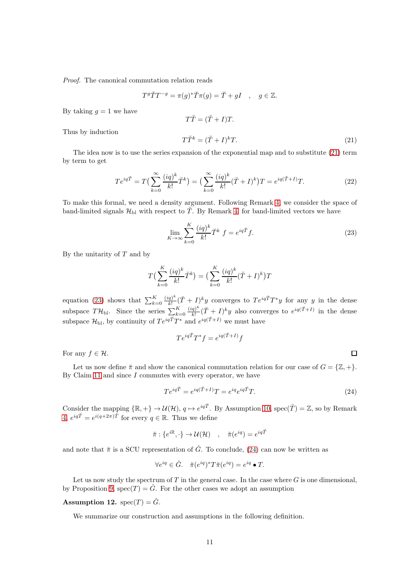Proof. The canonical commutation relation reads

$$
T^g \check{T} T^{-g} = \pi(g)^* \check{T} \pi(g) = \check{T} + gI \quad , \quad g \in \mathbb{Z}.
$$

 $T\check{T} = (\check{T} + I)T.$ 

By taking  $q = 1$  we have

Thus by induction

<span id="page-10-0"></span>
$$
T\breve{T}^k = (\breve{T} + I)^k T.
$$
\n(21)

The idea now is to use the series expansion of the exponential map and to substitute [\(21\)](#page-10-0) term by term to get

$$
Te^{iq\check{T}} = T\left(\sum_{k=0}^{\infty} \frac{(iq)^k}{k!} \check{T}^k\right) = \left(\sum_{k=0}^{\infty} \frac{(iq)^k}{k!} (\check{T} + I)^k\right)T = e^{iq(\check{T} + I)}T.
$$
 (22)

To make this formal, we need a density argument. Following Remark [4,](#page-6-2) we consider the space of band-limited signals  $\mathcal{H}_{\text{bl}}$  with respect to  $\check{T}$ . By Remark [4,](#page-6-2) for band-limited vectors we have

<span id="page-10-1"></span>
$$
\lim_{K \to \infty} \sum_{k=0}^{K} \frac{(iq)^k}{k!} \breve{T}^k f = e^{iq\breve{T}} f.
$$
\n(23)

By the unitarity of  $T$  and by

$$
T\left(\sum_{k=0}^{K} \frac{(iq)^k}{k!} \breve{T}^k\right) = \left(\sum_{k=0}^{K} \frac{(iq)^k}{k!} (\breve{T} + I)^k\right) T
$$

equation [\(23\)](#page-10-1) shows that  $\sum_{k=0}^{K} \frac{(iq)^k}{k!}$  $\frac{q)^k}{k!}(\check{T}+I)^k y$  converges to  $Te^{iq\check{T}}T^*y$  for any y in the dense subspace  $T\mathcal{H}_{\text{bl}}$ . Since the series  $\sum_{k=0}^{K} \frac{(iq)^k}{k!}$  $\frac{q)^k}{k!}(\check{T}+I)^ky$  also converges to  $e^{iq(\check{T}+I)}$  in the dense subspace  $\mathcal{H}_{\text{bl}}$ , by continuity of  $Te^{iq\check{T}}T^*$  and  $e^{iq(\check{T}+I)}$  we must have

$$
Te^{iq\check{T}}T^*f = e^{iq(\check{T}+I)}f
$$

For any  $f \in \mathcal{H}$ .

Let us now define  $\breve{\pi}$  and show the canonical commutation relation for our case of  $G = \{Z, +\}.$ By Claim [11](#page-9-2) and since  $I$  commutes with every operator, we have

<span id="page-10-2"></span>
$$
Te^{iq\check{T}} = e^{iq(\check{T}+I)}T = e^{iq}e^{iq\check{T}}T.
$$
\n(24)

 $\Box$ 

Consider the mapping  $\{\mathbb{R}, +\} \to \mathcal{U}(\mathcal{H}), q \mapsto e^{iq\tilde{T}}$ . By Assumption [10,](#page-9-1) spec $(\tilde{T}) = \mathbb{Z}$ , so by Remark  $4, e^{iq\tilde{T}} = e^{i(q+2\pi)\tilde{T}}$  $4, e^{iq\tilde{T}} = e^{i(q+2\pi)\tilde{T}}$  for every  $q \in \mathbb{R}$ . Thus we define

$$
\breve{\pi}: \{e^{i\mathbb{R}}, \cdot\} \to \mathcal{U}(\mathcal{H}) \quad , \quad \breve{\pi}(e^{iq}) = e^{iq\breve{T}}
$$

and note that  $\breve{\pi}$  is a SCU representation of  $\hat{G}$ . To conclude, [\(24\)](#page-10-2) can now be written as

$$
\forall e^{iq} \in \hat{G}.\quad \breve{\pi}(e^{iq})^* T \breve{\pi}(e^{iq}) = e^{iq} \bullet T.
$$

Let us now study the spectrum of  $T$  in the general case. In the case where  $G$  is one dimensional, by Proposition [9,](#page-9-3)  $spec(T) = \hat{G}$ . For the other cases we adopt an assumption

## **Assumption 12.**  $spec(T) = \hat{G}$ .

We summarize our construction and assumptions in the following definition.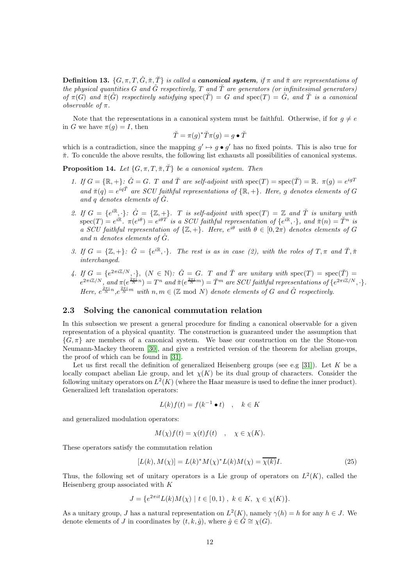<span id="page-11-1"></span>**Definition 13.**  $\{G, \pi, T, \hat{G}, \check{\pi}, \check{T}\}$  is called a **canonical system**, if  $\pi$  and  $\check{\pi}$  are representations of the physical quantities G and  $\hat{G}$  respectively, T and  $\check{T}$  are generators (or infinitesimal generators) of  $\pi(G)$  and  $\breve{\pi}(\hat{G})$  respectively satisfying  $\operatorname{spec}(\breve{T}) = G$  and  $\operatorname{spec}(T) = G$ , and  $\breve{T}$  is a canonical observable of  $\pi$ .

Note that the representations in a canonical system must be faithful. Otherwise, if for  $q \neq e$ in G we have  $\pi(q) = I$ , then

$$
\breve{T} = \pi(g)^* \breve{T} \pi(g) = g \bullet \breve{T}
$$

which is a contradiction, since the mapping  $g' \mapsto g \bullet g'$  has no fixed points. This is also true for  $\check{\pi}$ . To conculde the above results, the following list exhausts all possibilities of canonical systems.

**Proposition 14.** Let  $\{G, \pi, T, \breve{\pi}, \breve{T}\}$  be a canonical system. Then

- 1. If  $G = \{ \mathbb{R}, + \}$ :  $\hat{G} = G$ . T and  $\check{T}$  are self-adjoint with  $\text{spec}(T) = \text{spec}(\check{T}) = \mathbb{R}$ .  $\pi(g) = e^{igT}$ and  $\breve{\pi}(q) = e^{iq\breve{T}}$  are SCU faithful representations of  $\{\mathbb{R}, +\}$ . Here, g denotes elements of G and q denotes elements of  $\hat{G}$ .
- 2. If  $G = \{e^{i\mathbb{R}}, \cdot\}$ :  $\hat{G} = \{\mathbb{Z}, +\}$ . T is self-adjoint with  $\text{spec}(T) = \mathbb{Z}$  and  $\check{T}$  is unitary with  $\text{spec}(T) = e^{i\mathbb{R}} \cdot \pi(e^{i\theta}) = e^{i\theta T}$  is a SCU faithful representation of  $\{e^{i\mathbb{R}}, \cdot\}$ , and  $\pi(n) = T^n$  is a SCU faithful representation of  $\{\mathbb{Z}, +\}$ . Here,  $e^{i\theta}$  with  $\theta \in [0, 2\pi)$  denotes elements of G and n denotes elements of  $\ddot{G}$ .
- 3. If  $G = {\mathbb{Z}, +}$ :  $\hat{G} = \{e^{i\mathbb{R}}, \cdot\}$ . The rest is as in case (2), with the roles of  $T, \pi$  and  $\check{T}, \check{\pi}$ interchanged.
- 4. If  $G = \{e^{2\pi i \mathbb{Z}/N},\cdot\}$ ,  $(N \in \mathbb{N})$ :  $\hat{G} = G$ . T and  $\check{T}$  are unitary with  $\text{spec}(T) = \text{spec}(\check{T}) = \text{spec}(\check{T})$  $e^{2\pi i\mathbb{Z}/N}$ , and  $\pi(e^{\frac{2\pi i}{N}n})=T^n$  and  $\pi(e^{\frac{2\pi i}{N}m})=\tilde{T}^m$  are SCU faithful representations of  $\{e^{2\pi i\mathbb{Z}/N},\cdot\}$ . Here,  $e^{\frac{2\pi i}{N}n}$ ,  $e^{\frac{2\pi i}{N}m}$  with  $n, m \in (\mathbb{Z} \text{ mod } N)$  denote elements of G and  $\hat{G}$  respectively.

## <span id="page-11-0"></span>2.3 Solving the canonical commutation relation

In this subsection we present a general procedure for finding a canonical observable for a given representation of a physical quantity. The construction is guaranteed under the assumption that  $\{G, \pi\}$  are members of a canonical system. We base our construction on the the Stone-von Neumann-Mackey theorem [\[30\]](#page-49-11), and give a restricted version of the theorem for abelian groups, the proof of which can be found in [\[31\]](#page-49-12).

Let us first recall the definition of generalized Heisenberg groups (see e.g [\[31\]](#page-49-12)). Let K be a locally compact abelian Lie group, and let  $\chi(K)$  be its dual group of characters. Consider the following unitary operators on  $L^2(K)$  (where the Haar measure is used to define the inner product). Generalized left translation operators:

$$
L(k)f(t) = f(k^{-1} \bullet t) \quad , \quad k \in K
$$

and generalized modulation operators:

$$
M(\chi)f(t) = \chi(t)f(t) \quad , \quad \chi \in \chi(K).
$$

These operators satisfy the commutation relation

$$
[L(k), M(\chi)] = L(k)^* M(\chi)^* L(k) M(\chi) = \overline{\chi(k)} I.
$$
\n(25)

Thus, the following set of unitary operators is a Lie group of operators on  $L^2(K)$ , called the Heisenberg group associated with K

$$
J = \{e^{2\pi i t} L(k)M(\chi) \mid t \in [0,1), \ k \in K, \ \chi \in \chi(K)\}.
$$

As a unitary group, J has a natural representation on  $L^2(K)$ , namely  $\gamma(h) = h$  for any  $h \in J$ . We denote elements of J in coordinates by  $(t, k, \hat{g})$ , where  $\hat{g} \in \hat{G} \cong \chi(G)$ .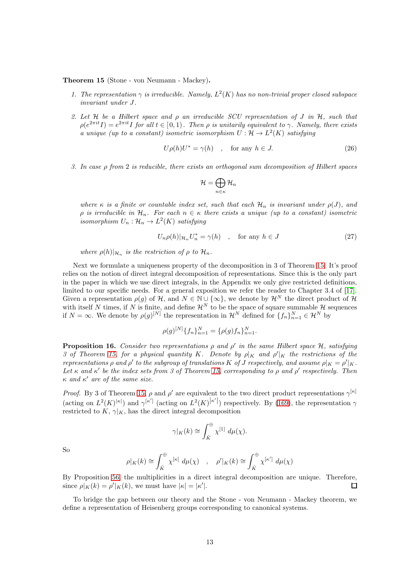<span id="page-12-0"></span>Theorem 15 (Stone - von Neumann - Mackey).

- 1. The representation  $\gamma$  is irreducible. Namely,  $L^2(K)$  has no non-trivial proper closed subspace invariant under J.
- 2. Let H be a Hilbert space and  $\rho$  an irreducible SCU representation of J in H, such that  $\rho(e^{2\pi it}I) = e^{2\pi it}I$  for all  $t \in [0,1)$ . Then  $\rho$  is unitarily equivalent to  $\gamma$ . Namely, there exists a unique (up to a constant) isometric isomorphism  $U: \mathcal{H} \to L^2(K)$  satisfying

$$
U\rho(h)U^* = \gamma(h) \quad , \quad \text{for any } h \in J. \tag{26}
$$

3. In case ρ from 2 is reducible, there exists an orthogonal sum decomposition of Hilbert spaces

$$
\mathcal{H}=\bigoplus_{n\in\kappa}\mathcal{H}_n
$$

where  $\kappa$  is a finite or countable index set, such that each  $\mathcal{H}_n$  is invariant under  $\rho(J)$ , and  $ρ$  is irreducible in  $\mathcal{H}_n$ . For each  $n \in \kappa$  there exists a unique (up to a constant) isometric isomorphism  $U_n: \mathcal{H}_n \to L^2(K)$  satisfying

$$
U_n \rho(h)|_{\mathcal{H}_n} U_n^* = \gamma(h) \quad , \quad \text{for any } h \in J \tag{27}
$$

where  $\rho(h)|_{\mathcal{H}_n}$  is the restriction of  $\rho$  to  $\mathcal{H}_n$ .

Next we formulate a uniqueness property of the decomposition in 3 of Theorem [15.](#page-12-0) It's proof relies on the notion of direct integral decomposition of representations. Since this is the only part in the paper in which we use direct integrals, in the Appendix we only give restricted definitions, limited to our specific needs. For a general exposition we refer the reader to Chapter 3.4 of [\[17\]](#page-48-3). Given a representation  $\rho(g)$  of H, and  $N \in \mathbb{N} \cup \{\infty\}$ , we denote by  $\mathcal{H}^N$  the direct product of  $\mathcal{H}$ with itself N times, if N is finite, and define  $\mathcal{H}^N$  to be the space of square summable H sequences if  $N = \infty$ . We denote by  $\rho(g)^{[N]}$  the representation in  $\mathcal{H}^N$  defined for  $\{f_n\}_{n=1}^N \in \mathcal{H}^N$  by

$$
\rho(g)^{[N]}\{f_n\}_{n=1}^N = \{\rho(g)f_n\}_{n=1}^N.
$$

<span id="page-12-1"></span>**Proposition 16.** Consider two representations  $\rho$  and  $\rho'$  in the same Hilbert space  $H$ , satisfying 3 of Theorem [15,](#page-12-0) for a physical quantity K. Denote by  $\rho|_K$  and  $\rho'|_K$  the restrictions of the  $representations \rho \ and \rho' \ to \ the \ subgroup \ of \ translations \ K \ of \ J \ respectively, \ and \ assume \ \rho|_{K} = \rho'|_{K}.$ Let  $\kappa$  and  $\kappa'$  be the index sets from 3 of Theorem [15,](#page-12-0) corresponding to  $\rho$  and  $\rho'$  respectively. Then  $\kappa$  and  $\kappa'$  are of the same size.

*Proof.* By 3 of Theorem [15,](#page-12-0)  $\rho$  and  $\rho'$  are equivalent to the two direct product representations  $\gamma^{[\kappa]}$ (acting on  $L^2(K)^{|\kappa|}$ ) and  $\gamma^{[\kappa']}$  (acting on  $L^2(K)^{|\kappa'|}$ ) respectively. By [\(169\)](#page-51-0), the representation  $\gamma$ restricted to  $K, \gamma|_K$ , has the direct integral decomposition

$$
\gamma|_K(k) \cong \int_{\hat{K}}^{\oplus} \chi^{[1]} d\mu(\chi).
$$

So

$$
\rho|_K(k) \cong \int_{\hat{K}}^{\oplus} \chi^{[\kappa]} d\mu(\chi) \quad , \quad \rho'|_K(k) \cong \int_{\hat{K}}^{\oplus} \chi^{[\kappa']} d\mu(\chi)
$$

By Proposition [56,](#page-51-1) the multiplicities in a direct integral decomposition are unique. Therefore, since  $\rho|_K(k) = \rho'|_K(k)$ , we must have  $|\kappa| = |\kappa'|$ .  $\Box$ 

To bridge the gap between our theory and the Stone - von Neumann - Mackey theorem, we define a representation of Heisenberg groups corresponding to canonical systems.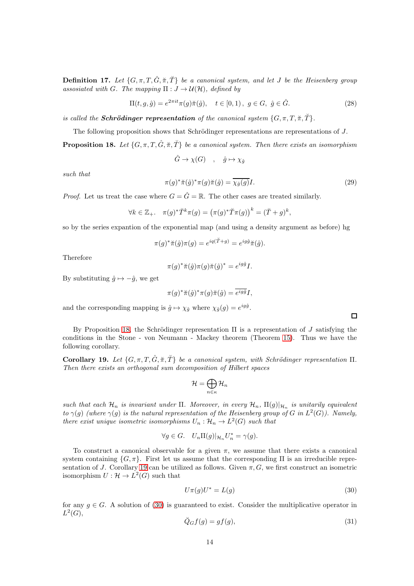<span id="page-13-4"></span>**Definition 17.** Let  $\{G, \pi, T, \hat{G}, \breve{\pi}, \breve{T}\}\$ be a canonical system, and let J be the Heisenberg group assosiated with G. The mapping  $\Pi: J \to \mathcal{U}(\mathcal{H})$ , defined by

$$
\Pi(t, g, \hat{g}) = e^{2\pi i t} \pi(g)\breve{\pi}(\hat{g}), \quad t \in [0, 1), \ g \in G, \ \hat{g} \in \hat{G}.
$$
 (28)

is called the **Schrödinger representation** of the canonical system  $\{G, \pi, T, \breve{\pi}, \breve{T}\}$ .

The following proposition shows that Schrödinger representations are representations of  $J$ .

<span id="page-13-0"></span>**Proposition 18.** Let  $\{G, \pi, T, \hat{G}, \check{\pi}, \check{T}\}$  be a canonical system. Then there exists an isomorphism

$$
\hat{G} \to \chi(G) \quad , \quad \hat{g} \mapsto \chi_{\hat{g}}
$$

such that

$$
\pi(g)^{*}\tilde{\pi}(\hat{g})^{*}\pi(g)\tilde{\pi}(\hat{g}) = \overline{\chi_{\hat{g}}(g)}I.
$$
\n(29)

*Proof.* Let us treat the case where  $G = \hat{G} = \mathbb{R}$ . The other cases are treated similarly.

$$
\forall k \in \mathbb{Z}_+, \quad \pi(g)^* \check{T}^k \pi(g) = \left(\pi(g)^* \check{T} \pi(g)\right)^k = (\check{T} + g)^k,
$$

so by the series expantion of the exponential map (and using a density argument as before) hg

$$
\pi(g)^*\breve{\pi}(\hat{g})\pi(g) = e^{iq(\breve{T}+g)} = e^{ig\hat{g}}\breve{\pi}(\hat{g}).
$$

Therefore

$$
\pi(g)^*\breve{\pi}(\hat{g})\pi(g)\breve{\pi}(\hat{g})^* = e^{ig\hat{g}}I.
$$

By substituting  $\hat{g} \mapsto -\hat{g}$ , we get

$$
\pi(g)^*\breve{\pi}(\hat{g})^*\pi(g)\breve{\pi}(\hat{g})=\overline{e^{ig\hat{g}}I},
$$

and the corresponding mapping is  $\hat{g} \mapsto \chi_{\hat{g}}$  where  $\chi_{\hat{g}}(g) = e^{ig\hat{g}}$ .

By Proposition [18,](#page-13-0) the Schrödinger representation  $\Pi$  is a representation of J satisfying the conditions in the Stone - von Neumann - Mackey theorem (Theorem [15\)](#page-12-0). Thus we have the following corollary.

<span id="page-13-1"></span>Corollary 19. Let  $\{G, \pi, T, \hat{G}, \check{\pi}, \check{T}\}$  be a canonical system, with Schrödinger representation  $\Pi$ . Then there exists an orthogonal sum decomposition of Hilbert spaces

$$
\mathcal{H}=\bigoplus_{n\in\kappa}\mathcal{H}_n
$$

such that each  $\mathcal{H}_n$  is invariant under  $\Pi$ . Moreover, in every  $\mathcal{H}_n$ ,  $\Pi(g)|_{\mathcal{H}_n}$  is unitarily equivalent to  $\gamma(g)$  (where  $\gamma(g)$  is the natural representation of the Heisenberg group of G in  $L^2(G)$ ). Namely, there exist unique isometric isomorphisms  $U_n : \mathcal{H}_n \to L^2(G)$  such that

$$
\forall g \in G. \quad U_n \Pi(g)|_{\mathcal{H}_n} U_n^* = \gamma(g).
$$

To construct a canonical observable for a given  $\pi$ , we assume that there exists a canonical system containing  $\{G, \pi\}$ . First let us assume that the corresponding  $\Pi$  is an irreducible repre-sentation of J. Corollary [19](#page-13-1) can be utilized as follows. Given  $\pi, G$ , we first construct an isometric isomorphism  $U: \mathcal{H} \to L^2(G)$  such that

<span id="page-13-2"></span>
$$
U\pi(g)U^* = L(g) \tag{30}
$$

for any  $g \in G$ . A solution of [\(30\)](#page-13-2) is guaranteed to exist. Consider the multiplicative operator in  $L^2(G),$ 

<span id="page-13-3"></span>
$$
\breve{Q}_G f(g) = gf(g),\tag{31}
$$

 $\Box$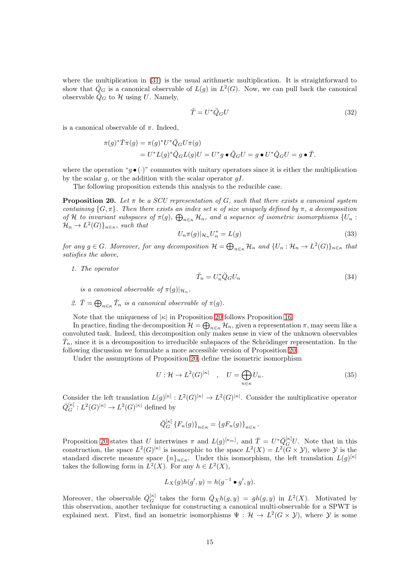where the multiplication in  $(31)$  is the usual arithmetic multiplication. It is straightforward to show that  $\check{Q}_G$  is a canonical observable of  $L(g)$  in  $L^2(G)$ . Now, we can pull back the canonical observable  $\check{Q}_G$  to  $\mathcal H$  using U. Namely,

$$
\breve{T} = U^* \breve{Q}_G U \tag{32}
$$

is a canonical observable of  $\pi$ . Indeed,

$$
\pi(g)^*\widetilde{T}\pi(g) = \pi(g)^*U^*\breve{Q}_G U \pi(g)
$$
  
=  $U^*L(g)^*\breve{Q}_G L(g)U = U^*g \bullet \breve{Q}_G U = g \bullet U^*\breve{Q}_G U = g \bullet \breve{T}.$ 

where the operation "g $\bullet$  ( $\cdot$ )" commutes with unitary operators since it is either the multiplication by the scalar  $g$ , or the addition with the scalar operator  $gI$ .

The following proposition extends this analysis to the reducible case.

<span id="page-14-0"></span>**Proposition 20.** Let  $\pi$  be a SCU representation of G, such that there exists a canonical system containing  $\{G, \pi\}$ . Then there exists an index set  $\kappa$  of size uniquely defined by  $\pi$ , a decomposition of H to invariant subspaces of  $\pi(g)$ ,  $\bigoplus_{n\in\kappa} \mathcal{H}_n$ , and a sequence of isometric isomorphisms  $\{U_n:$  $\mathcal{H}_n \to L^2(G) \}_{n \in \kappa}$ , such that

$$
U_n \pi(g)|_{\mathcal{H}_n} U_n^* = L(g) \tag{33}
$$

for any  $g \in G$ . Moreover, for any decomposition  $\mathcal{H} = \bigoplus_{n \in \kappa} \mathcal{H}_n$  and  $\{U_n : \mathcal{H}_n \to L^2(G)\}_{n \in \kappa}$  that satisfies the above,

1. The operator

$$
\breve{T}_n = U_n^* \breve{Q}_G U_n \tag{34}
$$

- is a canonical observable of  $\pi(g)|_{\mathcal{H}_n}$ .
- 2.  $\check{T} = \bigoplus_{n \in \kappa} \check{T}_n$  is a canonical observable of  $\pi(g)$ .

Note that the uniqueness of  $|\kappa|$  in Proposition [20](#page-14-0) follows Proposition [16.](#page-12-1)

In practice, finding the decomposition  $\mathcal{H} = \bigoplus_{n \in \kappa} \mathcal{H}_n$ , given a representation  $\pi$ , may seem like a convoluted task. Indeed, this decomposition only makes sense in view of the unknown observables  $\check{T}_n$ , since it is a decomposition to irreducible subspaces of the Schrödinger representation. In the following discussion we formulate a more accessible version of Proposition [20.](#page-14-0)

Under the assumptions of Proposition [20,](#page-14-0) define the isometric isomorphism

<span id="page-14-1"></span>
$$
U: \mathcal{H} \to L^2(G)^{|\kappa|} \quad , \quad U = \bigoplus_{n \in \kappa} U_n. \tag{35}
$$

Consider the left translation  $L(g)^{[\kappa]} : L^2(G)^{[\kappa]} \to L^2(G)^{[\kappa]}$ . Consider the multiplicative operator  $\check{Q}_G^{[\kappa]} : L^2(G)^{|\kappa|} \to L^2(G)^{|\kappa|}$  defined by

$$
\breve{Q}_G^{[\kappa]} \left\{ F_n(g) \right\}_{n \in \kappa} = \left\{ g F_n(g) \right\}_{n \in \kappa}.
$$

Proposition [20](#page-14-0) states that U intertwines  $\pi$  and  $L(g)^{[\kappa_m]}$ , and  $\check{T} = U^* \check{Q}_G^{[\kappa]} U$ . Note that in this construction, the space  $L^2(G)^{|\kappa|}$  is isomorphic to the space  $L^2(X) = L^2(G \times \mathcal{Y})$ , where  $\mathcal Y$  is the standard discrete measure space  $\{n\}_{n\in\kappa}$ . Under this isomorphism, the left translation  $L(g)^{[\kappa]}$ takes the following form in  $L^2(X)$ . For any  $h \in L^2(X)$ ,

$$
L_X(g)h(g',y) = h(g^{-1} \bullet g', y).
$$

Moreover, the observable  $\check{Q}_G^{[\kappa]}$  takes the form  $\check{Q}_X h(g, y) = gh(g, y)$  in  $L^2(X)$ . Motivated by this observation, another technique for constructing a canonical multi-observable for a SPWT is explained next. First, find an isometric isomorphisms  $\Psi : \mathcal{H} \to L^2(G \times \mathcal{Y})$ , where  $\mathcal Y$  is some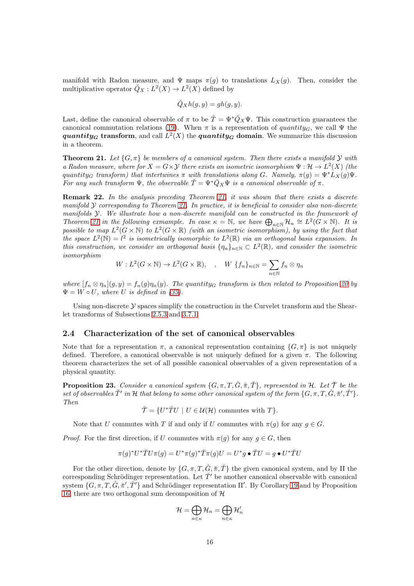manifold with Radon measure, and  $\Psi$  maps  $\pi(g)$  to translations  $L_X(g)$ . Then, consider the multiplicative operator  $\check{Q}_X : L^2(X) \to L^2(X)$  defined by

$$
\breve{Q}_X h(g, y) = gh(g, y).
$$

Last, define the canonical observable of  $\pi$  to be  $\check{T} = \Psi^* \check{Q}_X \Psi$ . This construction guarantees the canonical commutation relations [\(19\)](#page-8-3). When  $\pi$  is a representation of quantity<sub>G</sub>, we call  $\Psi$  the  $\boldsymbol{quantity_G}$  transform, and call  $L^2(X)$  the  $\boldsymbol{quantity_G}$  domain. We summarize this discussion in a theorem.

<span id="page-15-0"></span>**Theorem 21.** Let  $\{G, \pi\}$  be members of a canonical system. Then there exists a manifold  $\mathcal{Y}$  with a Radon measure, where for  $X = G \times Y$  there exists an isometric isomorphism  $\Psi : \mathcal{H} \to L^2(X)$  (the quantity<sub>G</sub> transform) that intertwines  $\pi$  with translations along G. Namely,  $\pi(g) = \Psi^* L_X(g) \Psi$ . For any such transform  $\Psi$ , the observable  $\check{T} = \Psi^* \check{Q}_X \Psi$  is a canonical observable of  $\pi$ .

<span id="page-15-1"></span>**Remark 22.** In the analysis preceding Theorem [21,](#page-15-0) it was shown that there exists a discrete manifold  $Y$  corresponding to Theorem [21.](#page-15-0) In practice, it is beneficial to consider also non-discrete manifolds Y. We illustrate how a non-discrete manifold can be constructed in the framework of Theorem [21](#page-15-0) in the following exmample. In case  $\kappa = \mathbb{N}$ , we have  $\bigoplus_{n \in \mathbb{N}} \mathcal{H}_n \cong L^2(G \times \mathbb{N})$ . It is possible to map  $L^2(G \times \mathbb{N})$  to  $L^2(G \times \mathbb{R})$  (with an isometric isomorphism), by using the fact that the space  $L^2(\mathbb{N}) = l^2$  is isometrically isomorphic to  $L^2(\mathbb{R})$  via an orthogonal basis expansion. In this construction, we consider an orthogonal basis  $\{\eta_n\}_{n\in\mathbb{N}} \subset L^2(\mathbb{R})$ , and consider the isometric isomorphism

$$
W: L^2(G \times \mathbb{N}) \to L^2(G \times \mathbb{R}), \quad , \quad W \{f_n\}_{n \in \mathbb{N}} = \sum_{n \in \mathbb{N}} f_n \otimes \eta_n
$$

where  $[f_n \otimes \eta_n](g, y) = f_n(g)\eta_n(y)$ . The quantity<sub>G</sub> transform is then related to Proposition [20](#page-14-0) by  $\Psi = W \circ U$ , where U is defined in [\(35\)](#page-14-1).

Using non-discrete  $\mathcal Y$  spaces simplify the construction in the Curvelet transform and the Shearlet transforms of Subsections [2.5.3](#page-19-0) and [3.7.1.](#page-38-0)

## 2.4 Characterization of the set of canonical observables

Note that for a representation  $\pi$ , a canonical representation containing  $\{G, \pi\}$  is not uniquely defined. Therefore, a canonical observable is not uniquely defined for a given  $\pi$ . The following theorem characterizes the set of all possible canonical observables of a given representation of a physical quantity.

**Proposition 23.** Consider a canonical system  $\{G, \pi, T, \hat{G}, \breve{\pi}, \breve{T}\}\$ , represented in H. Let  $\breve{\mathcal{T}}$  be the  $set$  of observables  $\breve{T}'$  in  ${\cal H}$  that belong to some other canonical system of the form  $\{G,\pi,T,\hat G,\breve\pi',\breve T'\}$  . Then

 $\breve{\mathcal{T}} = \{ U^* \breve{T} U \mid U \in \mathcal{U}(\mathcal{H}) \text{ commutes with } T \}.$ 

Note that U commutes with T if and only if U commutes with  $\pi(q)$  for any  $q \in G$ .

*Proof.* For the first direction, if U commutes with  $\pi(g)$  for any  $g \in G$ , then

$$
\pi(g)^* U^* \check{T} U \pi(g) = U^* \pi(g)^* \check{T} \pi(g) U = U^* g \bullet \check{T} U = g \bullet U^* \check{T} U
$$

For the other direction, denote by  $\{G, \pi, T, \hat{G}, \check{\pi}, \check{T}\}$  the given canonical system, and by  $\Pi$  the corresponding Schrödinger representation. Let  $\check{T}'$  be another canonical observable with canonical system  $\{G, \pi, T, \hat{G}, \breve{\pi}', \breve{T'}\}$  and Schrödinger representation  $\Pi'$ . By Corollary [19](#page-13-1) and by Proposition [16,](#page-12-1) there are two orthogonal sum decomposition of  $H$ 

$$
\mathcal{H}=\bigoplus_{n\in\kappa}\mathcal{H}_n=\bigoplus_{n\in\kappa}\mathcal{H}'_n
$$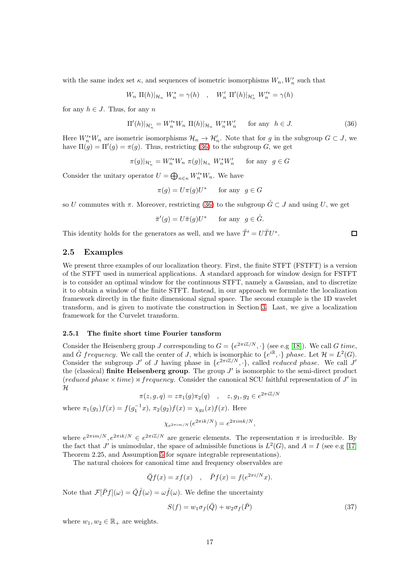with the same index set  $\kappa$ , and sequences of isometric isomorphisms  $W_n, W'_n$  such that

 $W_n \Pi(h)|_{\mathcal{H}_n} W_n^* = \gamma(h)$ ,  $W'_n \Pi'(h)|_{\mathcal{H}'_n} W'_n^* = \gamma(h)$ 

for any  $h \in J$ . Thus, for any n

<span id="page-16-0"></span>
$$
\Pi'(h)|_{\mathcal{H}'_n} = W_n'^* W_n \Pi(h)|_{\mathcal{H}_n} W_n^* W_n' \quad \text{for any } h \in J.
$$
 (36)

 $\Box$ 

Here  $W'^*_{n}W_n$  are isometric isomorphisms  $\mathcal{H}_n \to \mathcal{H}'_n$ . Note that for g in the subgroup  $G \subset J$ , we have  $\Pi(g) = \Pi'(g) = \pi(g)$ . Thus, restricting [\(36\)](#page-16-0) to the subgroup G, we get

 $\pi(g)|_{\mathcal{H}_n'} = W_n'^* W_n \pi(g)|_{\mathcal{H}_n} W_n^* W_n'$  for any  $g \in G$ 

Consider the unitary operator  $U = \bigoplus_{n \in \kappa} W_n'^* W_n$ . We have

$$
\pi(g)=U\pi(g)U^* \qquad \text{for any}\;\; g\in G
$$

so U commutes with  $\pi$ . Moreover, restricting [\(36\)](#page-16-0) to the subgroup  $\hat{G} \subset J$  and using U, we get

$$
\breve{\pi}'(g) = U\breve{\pi}(g)U^* \quad \text{ for any } \ g \in \hat{G}.
$$

This identity holds for the generators as well, and we have  $\check{T}' = U\check{T}U^*$ .

### 2.5 Examples

We present three examples of our localization theory. First, the finite STFT (FSTFT) is a version of the STFT used in numerical applications. A standard approach for window design for FSTFT is to consider an optimal window for the continuous STFT, namely a Gaussian, and to discretize it to obtain a window of the finite STFT. Instead, in our approach we formulate the localization framework directly in the finite dimensional signal space. The second example is the 1D wavelet transform, and is given to motivate the construction in Section [3.](#page-21-0) Last, we give a localization framework for the Curvelet transform.

### <span id="page-16-1"></span>2.5.1 The finite short time Fourier tansform

Consider the Heisenberg group J corresponding to  $G = \{e^{2\pi iZ/N}, \cdot\}$  (see e.g [\[18\]](#page-48-12)). We call G time, and  $\hat{G}$  frequency. We call the center of J, which is isomorphic to  $\{e^{i\mathbb{R}},\cdot\}$  phase. Let  $\mathcal{H} = L^2(G)$ . Consider the subgroup  $J'$  of  $J$  having phase in  $\{e^{2\pi i\mathbb{Z}/N},\cdot\}$ , called *reduced phase*. We call  $J'$ the (classical) finite Heisenberg group. The group  $J'$  is isomorphic to the semi-direct product (*reduced phase*  $\times$  *time*)  $\times$  *frequency*. Consider the canonical SCU faithful representation of  $J'$  in  $\mathcal H$ 

$$
\pi(z, g, q) = z \pi_1(g) \pi_2(q) \quad , \quad z, g_1, g_2 \in e^{2\pi i \mathbb{Z}/N}
$$

where  $\pi_1(g_1)f(x) = f(g_1^{-1}x), \pi_2(g_2)f(x) = \chi_{g_2}(x)f(x)$ . Here

$$
\chi_{e^{2\pi im/N}}(e^{2\pi ik/N}) = e^{2\pi imk/N},
$$

where  $e^{2\pi i m/N}$ ,  $e^{2\pi i k/N} \in e^{2\pi i \mathbb{Z}/N}$  are generic elements. The representation  $\pi$  is irreducible. By the fact that  $J'$  is unimodular, the space of admissible functions is  $L^2(G)$ , and  $A = I$  (see e.g [\[17\]](#page-48-3) Theorem 2.25, and Assumption [5](#page-7-0) for square integrable representations).

The natural choices for canonical time and frequency observables are

$$
\breve{Q}f(x) = xf(x) \quad , \quad \breve{P}f(x) = f(e^{2\pi i/N}x).
$$

Note that  $\mathcal{F}[\tilde{P} f](\omega) = \tilde{Q} \hat{f}(\omega) = \omega \hat{f}(\omega)$ . We define the uncertainty

$$
S(f) = w_1 \sigma_f(\breve{Q}) + w_2 \sigma_f(\breve{P})
$$
\n(37)

where  $w_1, w_2 \in \mathbb{R}_+$  are weights.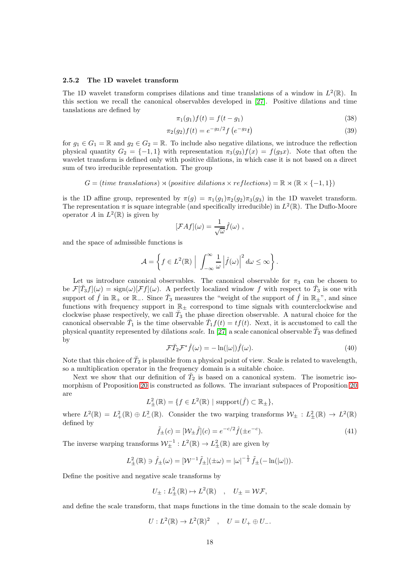### <span id="page-17-0"></span>2.5.2 The 1D wavelet transform

The 1D wavelet transform comprises dilations and time translations of a window in  $L^2(\mathbb{R})$ . In this section we recall the canonical observables developed in [\[27\]](#page-49-7). Positive dilations and time tanslations are defined by

$$
\pi_1(g_1)f(t) = f(t - g_1) \tag{38}
$$

$$
\pi_2(g_2)f(t) = e^{-g_2/2}f\left(e^{-g_2}t\right)
$$
\n(39)

for  $g_1 \in G_1 = \mathbb{R}$  and  $g_2 \in G_2 = \mathbb{R}$ . To include also negative dilations, we introduce the reflection physical quantity  $G_2 = \{-1, 1\}$  with representation  $\pi_3(g_3)f(x) = f(g_3x)$ . Note that often the wavelet transform is defined only with positive dilations, in which case it is not based on a direct sum of two irreducible representation. The group

 $G = (time\ translations) \rtimes (positive\ dilations \times reflections) = \mathbb{R} \rtimes (\mathbb{R} \times \{-1,1\})$ 

is the 1D affine group, represented by  $\pi(g) = \pi_1(g_1)\pi_2(g_2)\pi_3(g_3)$  in the 1D wavelet transform. The representation  $\pi$  is square integrable (and specifically irreducible) in  $L^2(\mathbb{R})$ . The Duflo-Moore operator A in  $L^2(\mathbb{R})$  is given by

$$
[\mathcal{F}Af](\omega) = \frac{1}{\sqrt{\omega}}\hat{f}(\omega) ,
$$

and the space of admissible functions is

$$
\mathcal{A} = \left\{ f \in L^{2}(\mathbb{R}) \middle| \int_{-\infty}^{\infty} \frac{1}{\omega} \left| \hat{f}(\omega) \right|^{2} d\omega \leq \infty \right\}.
$$

Let us introduce canonical observables. The canonical observable for  $\pi_3$  can be chosen to be  $\mathcal{F}[\tilde{T}_3 f](\omega) = \text{sign}(\omega)[\mathcal{F}f](\omega)$ . A perfectly localized window f with respect to  $\tilde{T}_3$  is one with support of  $\hat{f}$  in  $\mathbb{R}_+$  or  $\mathbb{R}_-$ . Since  $\check{T}_3$  measures the "weight of the support of  $\hat{f}$  in  $\mathbb{R}_+$ ", and since functions with frequency support in  $\mathbb{R}_{\pm}$  correspond to time signals with counterclockwise and clockwise phase respectively, we call  $\check{T}_3$  the phase direction observable. A natural choice for the canonical observable  $\tilde{T}_1$  is the time observable  $\tilde{T}_1 f(t) = t f(t)$ . Next, it is accustomed to call the physical quantity represented by dilations *scale*. In [\[27\]](#page-49-7) a scale canonical observable  $\tilde{T}_2$  was defined by

$$
\mathcal{F}\check{T}_2\mathcal{F}^*\hat{f}(\omega) = -\ln(|\omega|)\hat{f}(\omega). \tag{40}
$$

Note that this choice of  $\check{T}_2$  is plausible from a physical point of view. Scale is related to wavelength, so a multiplication operator in the frequency domain is a suitable choice.

Next we show that our definition of  $\tilde{T}_2$  is based on a canonical system. The isometric isomorphism of Proposition [20](#page-14-0) is constructed as follows. The invariant subspaces of Proposition [20](#page-14-0) are

$$
L^2_{\pm}(\mathbb{R}) = \{ f \in L^2(\mathbb{R}) \mid \text{support}(\hat{f}) \subset \mathbb{R}_{\pm} \},
$$

where  $L^2(\mathbb{R}) = L^2_+(\mathbb{R}) \oplus L^2_-(\mathbb{R})$ . Consider the two warping transforms  $\mathcal{W}_\pm : L^2_\pm(\mathbb{R}) \to L^2(\mathbb{R})$ defined by

$$
\tilde{f}_{\pm}(c) = [\mathcal{W}_{\pm}\hat{f}](c) = e^{-c/2}\hat{f}(\pm e^{-c}).\tag{41}
$$

The inverse warping transforms  $\mathcal{W}_{\pm}^{-1}: L^2(\mathbb{R}) \to L^2_{\pm}(\mathbb{R})$  are given by

$$
L_{\pm}^{2}(\mathbb{R}) \ni \hat{f}_{\pm}(\omega) = [\mathcal{W}^{-1}\tilde{f}_{\pm}](\pm \omega) = |\omega|^{-\frac{1}{2}}\tilde{f}_{\pm}(-\ln(|\omega|)).
$$

Define the positive and negative scale transforms by

$$
U_{\pm}: L^2_{\pm}(\mathbb{R}) \mapsto L^2(\mathbb{R}) \quad , \quad U_{\pm} = \mathcal{W}\mathcal{F},
$$

and define the scale transform, that maps functions in the time domain to the scale domain by

$$
U: L^2(\mathbb{R}) \to L^2(\mathbb{R})^2 \quad , \quad U = U_+ \oplus U_-.
$$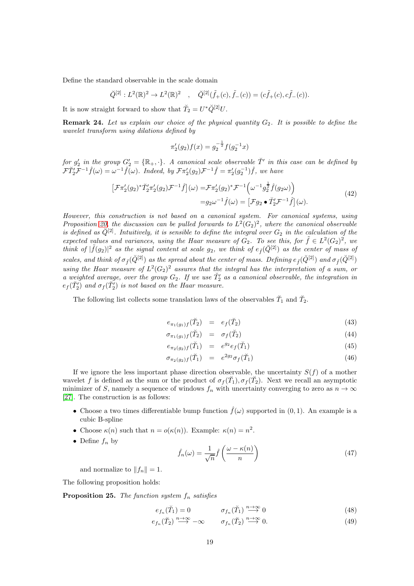Define the standard observable in the scale domain

 $\check{Q}^{[2]} : L^2(\mathbb{R})^2 \to L^2(\mathbb{R})^2 \quad , \quad \check{Q}^{[2]}(\tilde{f}_+(c), \tilde{f}_-(c)) = (c\tilde{f}_+(c), c\tilde{f}_-(c)).$ 

It is now straight forward to show that  $\check{T}_2 = U^* \check{Q}^{[2]} U$ .

**Remark 24.** Let us explain our choice of the physical quantity  $G_2$ . It is possible to define the wavelet transform using dilations defined by

$$
\pi_2'(g_2)f(x) = g_2^{-\frac{1}{2}}f(g_2^{-1}x)
$$

for  $g'_2$  in the group  $G'_2 = \{ \mathbb{R}_+, \cdot \}.$  A canonical scale observable  $\check{T}'$  in this case can be defined by  $\mathcal{F}\check{T}'_2\mathcal{F}^{-1}\hat{f}(\omega) = \omega^{-1}\hat{f}(\omega)$ . Indeed, by  $\mathcal{F}\pi'_2(g_2)\mathcal{F}^{-1}\hat{f} = \pi'_2(g_2^{-1})\hat{f}$ , we have

$$
\begin{split} \left[\mathcal{F}\pi_{2}'(g_{2})^{*}\check{T}_{2}'\pi_{2}'(g_{2})\mathcal{F}^{-1}\hat{f}\right](\omega) &= \mathcal{F}\pi_{2}'(g_{2})^{*}\mathcal{F}^{-1}\left(\omega^{-1}g_{2}^{\frac{1}{2}}\hat{f}(g_{2}\omega)\right) \\ &= g_{2}\omega^{-1}\hat{f}(\omega) = \left[\mathcal{F}g_{2}\bullet\check{T}_{2}'\mathcal{F}^{-1}\hat{f}\right](\omega). \end{split} \tag{42}
$$

However, this construction is not based on a canonical system. For canonical systems, using Proposition [20,](#page-14-0) the discussion can be pulled forwards to  $L^2(G_2)^2$ , where the canonical observable is defined as  $\check{Q}^{[2]}$ . Intuitively, it is sensible to define the integral over  $G_2$  in the calculation of the expected values and variances, using the Haar measure of  $G_2$ . To see this, for  $\tilde{f} \in L^2(G_2)^2$ , we think of  $|\tilde{f}(g_2)|^2$  as the signal content at scale  $g_2$ , we think of  $e_{\tilde{f}}(\breve{Q}^{[2]})$  as the center of mass of scales, and think of  $\sigma_{\tilde{f}}(\tilde{Q}^{[2]})$  as the spread about the center of mass. Defining  $e_{\tilde{f}}(\tilde{Q}^{[2]})$  and  $\sigma_{\tilde{f}}(\tilde{Q}^{[2]})$ using the Haar measure of  $L^2(G_2)^2$  assures that the integral has the interpretation of a sum, or a weighted average, over the group  $G_2$ . If we use  $\breve{T}'_2$  as a canonical observable, the integration in  $e_f(\breve{T}'_2)$  and  $\sigma_f(\breve{T}'_2)$  is not based on the Haar measure.

The following list collects some translation laws of the observables  $\check{T}_1$  and  $\check{T}_2$ .

<span id="page-18-0"></span>
$$
e_{\pi_1(g_1)f}(\breve{T}_2) = e_f(\breve{T}_2) \tag{43}
$$

$$
\sigma_{\pi_1(g_1)f}(\tilde{T}_2) = \sigma_f(\tilde{T}_2) \tag{44}
$$

$$
e_{\pi_2(g_2)f}(\tilde{T}_1) = e^{g_2} e_f(\tilde{T}_1) \tag{45}
$$

$$
\sigma_{\pi_2(g_2)f}(\breve{T}_1) = e^{2g_2}\sigma_f(\breve{T}_1) \tag{46}
$$

If we ignore the less important phase direction observable, the uncertainty  $S(f)$  of a mother wavelet f is defined as the sum or the product of  $\sigma_f(\tilde{T}_1), \sigma_f(\tilde{T}_2)$ . Next we recall an asymptotic minimizer of S, namely a sequence of windows  $f_n$  with uncertainty converging to zero as  $n \to \infty$ [\[27\]](#page-49-7). The construction is as follows:

- Choose a two times differentiable bump function  $\hat{f}(\omega)$  supported in  $(0, 1)$ . An example is a cubic B-spline
- Choose  $\kappa(n)$  such that  $n = o(\kappa(n))$ . Example:  $\kappa(n) = n^2$ .
- Define  $f_n$  by

$$
\hat{f}_n(\omega) = \frac{1}{\sqrt{n}} \hat{f}\left(\frac{\omega - \kappa(n)}{n}\right)
$$
\n(47)

and normalize to  $||f_n|| = 1$ .

The following proposition holds:

**Proposition 25.** The function system  $f_n$  satisfies

$$
e_{f_n}(\breve{T}_1) = 0 \qquad \sigma_{f_n}(\breve{T}_1) \stackrel{n \to \infty}{\longrightarrow} 0 \tag{48}
$$

$$
e_{f_n}(\breve{T}_2) \stackrel{n \to \infty}{\longrightarrow} -\infty \qquad \sigma_{f_n}(\breve{T}_2) \stackrel{n \to \infty}{\longrightarrow} 0. \tag{49}
$$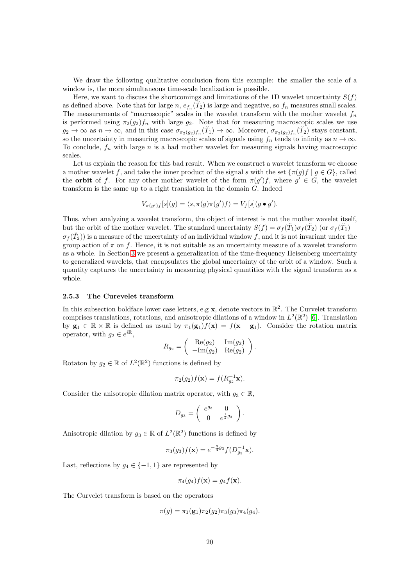We draw the following qualitative conclusion from this example: the smaller the scale of a window is, the more simultaneous time-scale localization is possible.

Here, we want to discuss the shortcomings and limitations of the 1D wavelet uncertainty  $S(f)$ as defined above. Note that for large n,  $e_{f_n}(\tilde{T}_2)$  is large and negative, so  $f_n$  measures small scales. The measurements of "macroscopic" scales in the wavelet transform with the mother wavelet  $f_n$ is performed using  $\pi_2(g_2)f_n$  with large  $g_2$ . Note that for measuring macroscopic scales we use  $g_2 \to \infty$  as  $n \to \infty$ , and in this case  $\sigma_{\pi_2(g_2)f_n}(\tilde{T}_1) \to \infty$ . Moreover,  $\sigma_{\pi_2(g_2)f_n}(\tilde{T}_2)$  stays constant, so the uncertainty in measuring macroscopic scales of signals using  $f_n$  tends to infinity as  $n \to \infty$ . To conclude,  $f_n$  with large n is a bad mother wavelet for measuring signals having macroscopic scales.

Let us explain the reason for this bad result. When we construct a wavelet transform we choose a mother wavelet f, and take the inner product of the signal s with the set  $\{\pi(g)f \mid g \in G\}$ , called the **orbit** of f. For any other mother wavelet of the form  $\pi(g')f$ , where  $g' \in G$ , the wavelet transform is the same up to a right translation in the domain G. Indeed

$$
V_{\pi(g')f}[s](g) = \langle s, \pi(g)\pi(g')f \rangle = V_f[s](g \bullet g').
$$

Thus, when analyzing a wavelet transform, the object of interest is not the mother wavelet itself, but the orbit of the mother wavelet. The standard uncertainty  $S(f) = \sigma_f(\breve{T}_1)\sigma_f(\breve{T}_2)$  (or  $\sigma_f(\breve{T}_1)$  +  $\sigma_f(\breve{T}_2)$ ) is a measure of the uncertainty of an individual window f, and it is not invariant under the group action of  $\pi$  on f. Hence, it is not suitable as an uncertainty measure of a wavelet transform as a whole. In Section [3](#page-21-0) we present a generalization of the time-frequency Heisenberg uncertainty to generalized wavelets, that encapsulates the global uncertainty of the orbit of a window. Such a quantity captures the uncertainty in measuring physical quantities with the signal transform as a whole.

#### <span id="page-19-0"></span>2.5.3 The Curevelet transform

In this subsection boldface lower case letters, e.g  $\mathbf{x}$ , denote vectors in  $\mathbb{R}^2$ . The Curvelet transform comprises translations, rotations, and anisotropic dilations of a window in  $L^2(\mathbb{R}^2)$  [\[6\]](#page-48-2). Translation by  $\mathbf{g}_1 \in \mathbb{R} \times \mathbb{R}$  is defined as usual by  $\pi_1(\mathbf{g}_1)f(\mathbf{x}) = f(\mathbf{x} - \mathbf{g}_1)$ . Consider the rotation matrix operator, with  $g_2 \in e^{i\mathbb{R}},$ 

$$
R_{g_2} = \begin{pmatrix} \text{Re}(g_2) & \text{Im}(g_2) \\ -\text{Im}(g_2) & \text{Re}(g_2) \end{pmatrix}.
$$

Rotaton by  $g_2 \in \mathbb{R}$  of  $L^2(\mathbb{R}^2)$  functions is defined by

$$
\pi_2(g_2)f(\mathbf{x}) = f(R_{g_2}^{-1}\mathbf{x}).
$$

Consider the anisotropic dilation matrix operator, with  $g_3 \in \mathbb{R}$ ,

$$
D_{g_3} = \begin{pmatrix} e^{g_3} & 0 \\ 0 & e^{\frac{1}{2}g_3} \end{pmatrix}.
$$

Anisotropic dilation by  $g_3 \in \mathbb{R}$  of  $L^2(\mathbb{R}^2)$  functions is defined by

$$
\pi_3(g_3)f(\mathbf{x}) = e^{-\frac{3}{4}g_3}f(D_{g_3}^{-1}\mathbf{x}).
$$

Last, reflections by  $g_4 \in \{-1, 1\}$  are represented by

$$
\pi_4(g_4)f(\mathbf{x}) = g_4f(\mathbf{x}).
$$

The Curvelet transform is based on the operators

$$
\pi(g) = \pi_1(\mathbf{g}_1)\pi_2(g_2)\pi_3(g_3)\pi_4(g_4).
$$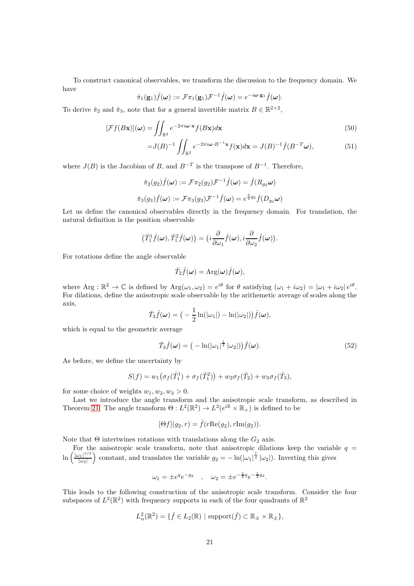To construct canonical observables, we transform the discussion to the frequency domain. We have

$$
\hat{\pi}_1(\mathbf{g}_1)\hat{f}(\boldsymbol{\omega}) := \mathcal{F}\pi_1(\mathbf{g}_1)\mathcal{F}^{-1}\hat{f}(\boldsymbol{\omega}) = e^{-i\boldsymbol{\omega}\cdot\mathbf{g}_1}\hat{f}(\boldsymbol{\omega}).
$$

To derive  $\hat{\pi}_2$  and  $\hat{\pi}_3$ , note that for a general invertible matrix  $B \in \mathbb{R}^{2 \times 2}$ ,

$$
[\mathcal{F}f(B\mathbf{x})](\boldsymbol{\omega}) = \iint_{\mathbb{R}^2} e^{-2\pi i \boldsymbol{\omega} \cdot \mathbf{x}} f(B\mathbf{x}) d\mathbf{x}
$$
(50)  

$$
= I(B)^{-1} \iint e^{-2\pi i \boldsymbol{\omega} \cdot B^{-1} \mathbf{x}} f(\mathbf{x}) d\mathbf{x} = J(B)^{-1} \hat{f}(B^{-T} \boldsymbol{\omega})
$$
(51)

$$
=J(B)^{-1}\iint_{\mathbb{R}^2}e^{-2\pi i\boldsymbol{\omega}\cdot B^{-1}\mathbf{x}}f(\mathbf{x})d\mathbf{x}=J(B)^{-1}\hat{f}(B^{-T}\boldsymbol{\omega}),\tag{51}
$$

where  $J(B)$  is the Jacobian of B, and  $B^{-T}$  is the transpose of  $B^{-1}$ . Therefore,

<span id="page-20-0"></span>
$$
\hat{\pi}_2(g_2)\hat{f}(\boldsymbol{\omega}) := \mathcal{F}\pi_2(g_2)\mathcal{F}^{-1}\hat{f}(\boldsymbol{\omega}) = \hat{f}(R_{g_2}\boldsymbol{\omega})
$$

$$
\hat{\pi}_3(g_3)\hat{f}(\boldsymbol{\omega}) := \mathcal{F}\pi_3(g_3)\mathcal{F}^{-1}\hat{f}(\boldsymbol{\omega}) = e^{\frac{3}{4}g_3}\hat{f}(D_{g_3}\boldsymbol{\omega})
$$

Let us define the canonical observables directly in the frequency domain. For translation, the natural definition is the position observable

$$
\left(\breve{T}_1^1\widehat{f}(\boldsymbol{\omega}), \breve{T}_1^2\widehat{f}(\boldsymbol{\omega})\right) = \left(i\frac{\partial}{\partial \omega_1}\widehat{f}(\boldsymbol{\omega}), i\frac{\partial}{\partial \omega_2}\widehat{f}(\boldsymbol{\omega})\right).
$$

For rotations define the angle observable

$$
\breve{T}_2 \hat{f}(\boldsymbol{\omega}) = \mathrm{Arg}(\boldsymbol{\omega}) \hat{f}(\boldsymbol{\omega}),
$$

where  $\text{Arg}: \mathbb{R}^2 \to \mathbb{C}$  is defined by  $\text{Arg}(\omega_1, \omega_2) = e^{i\theta}$  for  $\theta$  satisfying  $(\omega_1 + i\omega_2) = |\omega_1 + i\omega_2|e^{i\theta}$ . For dilations, define the anisotropic scale observable by the arithemetic average of scales along the axis,

$$
\tilde{T}_3\hat{f}(\boldsymbol{\omega}) = \big(-\frac{1}{2}\ln(|\omega_1|) - \ln(|\omega_2|)\big)\hat{f}(\boldsymbol{\omega}),
$$

which is equal to the geometric average

$$
\widetilde{T}_3 \widehat{f}(\boldsymbol{\omega}) = \left( -\ln(|\omega_1|^{\frac{1}{2}} |\omega_2|) \right) \widehat{f}(\boldsymbol{\omega}). \tag{52}
$$

.

As before, we define the uncertainty by

$$
S(f) = w_1(\sigma_f(\tilde{T}_1^1) + \sigma_f(\tilde{T}_1^2)) + w_2 \sigma_f(\tilde{T}_2) + w_3 \sigma_f(\tilde{T}_3),
$$

for some choice of weights  $w_1, w_2, w_3 > 0$ .

Last we introduce the angle transform and the anisotropic scale transform, as described in Theorem [21.](#page-15-0) The angle transform  $\Theta: L^2(\mathbb{R}^2) \to L^2(e^{i\mathbb{R}} \times \mathbb{R}_+)$  is defined to be

$$
[\Theta f](g_2, r) = \hat{f}(r \operatorname{Re}(g_2), r \operatorname{Im}(g_2)).
$$

Note that  $\Theta$  intertwines rotations with translations along the  $G_2$  axis.

For the anisotropic scale transform, note that anisotropic dilations keep the variable  $q =$  $\ln\left(\frac{|\omega_1|^{1/2}}{|\omega_2|}\right)$  $\frac{|\mu_1|^{1/2}}{|\omega_2|}$  constant, and translates the variable  $g_2 = -\ln(|\omega_1|^{\frac{1}{2}} |\omega_2|)$ . Inverting this gives

$$
\omega_1 = \pm e^q e^{-g_3}
$$
,  $\omega_2 = \pm e^{-\frac{1}{2}q} e^{-\frac{1}{2}g_3}$ 

This leads to the following construction of the anisotropic scale transform. Consider the four subspaces of  $L^2(\mathbb{R}^2)$  with frequency supports in each of the four quadrants of  $\mathbb{R}^2$ 

$$
L_n^2(\mathbb{R}^2) = \{ \hat{f} \in L_2(\mathbb{R}) \mid \text{support}(\hat{f}) \subset \mathbb{R}_+ \times \mathbb{R}_+ \},
$$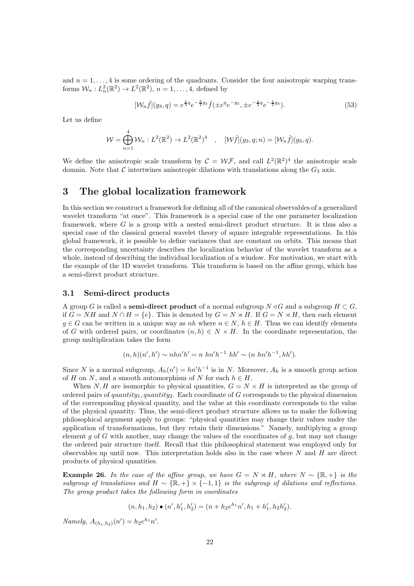and  $n = 1, \ldots, 4$  is some ordering of the quadrants. Consider the four anisotropic warping transforms  $W_n: L^2_n(\mathbb{R}^2) \to L^2(\mathbb{R}^2)$ ,  $n = 1, ..., 4$ , defined by

$$
[\mathcal{W}_n \hat{f}](g_3, q) = e^{\frac{1}{4}q} e^{-\frac{3}{4}g_3} \hat{f}(\pm e^q e^{-g_3}, \pm e^{-\frac{1}{2}q} e^{-\frac{1}{2}g_3}). \tag{53}
$$

Let us define

$$
W = \bigoplus_{n=1}^{4} W_n : L^2(\mathbb{R}^2) \to L^2(\mathbb{R}^2)^4 \quad , \quad [W\hat{f}](g_3, q; n) = [W_n\hat{f}](g_3, q).
$$

We define the anisotropic scale transform by  $C = \mathcal{WF}$ , and call  $L^2(\mathbb{R}^2)^4$  the anisotropic scale domain. Note that  $C$  intertwines anisotropic dilations with translations along the  $G_3$  axis.

## <span id="page-21-0"></span>3 The global localization framework

In this section we construct a framework for defining all of the canonical observables of a generalized wavelet transform "at once". This framework is a special case of the one parameter localization framework, where G is a group with a nested semi-direct product structure. It is thus also a special case of the classical general wavelet theory of square integrable representations. In this global framework, it is possible to define variances that are constant on orbits. This means that the corresponding uncertainty describes the localization behavior of the wavelet transform as a whole, instead of describing the individual localization of a window. For motivation, we start with the example of the 1D wavelet transform. This transform is based on the affine group, which has a semi-direct product structure.

### 3.1 Semi-direct products

A group G is called a **semi-direct product** of a normal subgroup  $N \triangleleft G$  and a subgroup  $H \subset G$ , if  $G = NH$  and  $N \cap H = \{e\}$ . This is denoted by  $G = N \rtimes H$ . If  $G = N \rtimes H$ , then each element  $g \in G$  can be written in a unique way as nh where  $n \in N$ ,  $h \in H$ . Thus we can identify elements of G with ordered pairs, or coordinates  $(n, h) \in N \times H$ . In the coordinate representation, the group multiplication takes the form

$$
(n,h)(n',h') \sim nhn'h' = n \, hn'h^{-1} \, hh' \sim (n \, hn'h^{-1}, hh').
$$

Since N is a normal subgroup,  $A_h(n') = hn'h^{-1}$  is in N. Moreover,  $A_h$  is a smooth group action of H on N, and a smooth automorphism of N for each  $h \in H$ .

When N, H are isomorphic to physical quantities,  $G = N \times H$  is interpreted as the group of ordered pairs of  $quantity_1, quantity_2$ . Each coordinate of G corresponds to the physical dimension of the corresponding physical quantity, and the value at this coordinate corresponds to the value of the physical quantity. Thus, the semi-direct product structure allows us to make the following philosophical argument apply to groups: "physical quantities may change their values under the application of transformations, but they retain their dimensions." Namely, multiplying a group element  $g$  of  $G$  with another, may change the values of the coordinates of  $g$ , but may not change the ordered pair structure itself. Recall that this philosophical statement was employed only for observables up until now. This interpretation holds also in the case where  $N$  and  $H$  are direct products of physical quantities.

**Example 26.** In the case of the affine group, we have  $G = N \times H$ , where  $N \sim {\mathbb{R}, +}$  is the subgroup of translations and  $H \sim {\mathbb{R}, +} \times \{-1, 1\}$  is the subgroup of dilations and reflections. The group product takes the following form in coordinates

$$
(n, h_1, h_2) \bullet (n', h'_1, h'_2) = (n + h_2 e^{h_1} n', h_1 + h'_1, h_2 h'_2).
$$

Namely,  $A_{(h_1,h_2)}(n') = h_2 e^{h_1} n'.$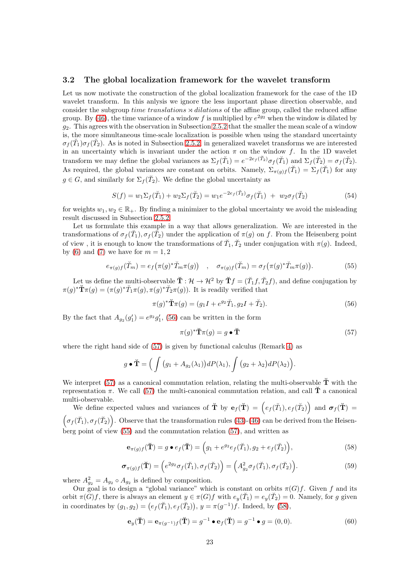#### <span id="page-22-7"></span>3.2 The global localization framework for the wavelet transform

Let us now motivate the construction of the global localization framework for the case of the 1D wavelet transform. In this anlysis we ignore the less important phase direction observable, and consider the subgroup time translations  $\rtimes$  dilations of the affine group, called the reduced affine group. By [\(46\)](#page-18-0), the time variance of a window f is multiplied by  $e^{2g_2}$  when the window is dilated by  $g_2$ . This agrees with the observation in Subsection [2.5.2](#page-17-0) that the smaller the mean scale of a window is, the more simultaneous time-scale localization is possible when using the standard uncertainty  $\sigma_f(\tilde{T}_1)\sigma_f(\tilde{T}_2)$ . As is noted in Subsection [2.5.2,](#page-17-0) in generalized wavelet transforms we are interested in an uncertainty which is invariant under the action  $\pi$  on the window f. In the 1D wavelet transform we may define the global variances as  $\Sigma_f(\check{T}_1) = e^{-2e_f(\check{T}_2)} \sigma_f(\check{T}_1)$  and  $\Sigma_f(\check{T}_2) = \sigma_f(\check{T}_2)$ . As required, the global variances are constant on orbits. Namely,  $\Sigma_{\pi(g)f}(\tilde{T}_1) = \Sigma_f(\tilde{T}_1)$  for any  $g \in G$ , and similarly for  $\Sigma_f(\check{T}_2)$ . We define the global uncertainty as

<span id="page-22-6"></span>
$$
S(f) = w_1 \Sigma_f(\tilde{T}_1) + w_2 \Sigma_f(\tilde{T}_2) = w_1 e^{-2e_f(\tilde{T}_2)} \sigma_f(\tilde{T}_1) + w_2 \sigma_f(\tilde{T}_2)
$$
\n(54)

for weights  $w_1, w_2 \in \mathbb{R}_+$ . By finding a minimizer to the global uncertainty we avoid the misleading result discussed in Subsection [2.5.2.](#page-17-0)

Let us formulate this example in a way that allows generalization. We are interested in the transformations of  $\sigma_f(\breve{T}_1), \sigma_f(\breve{T}_2)$  under the application of  $\pi(g)$  on f. From the Heisenberg point of view, it is enough to know the transformations of  $\check{T}_1, \check{T}_2$  under conjugation with  $\pi(g)$ . Indeed, by [\(6\)](#page-4-3) and [\(7\)](#page-4-4) we have for  $m = 1, 2$ 

<span id="page-22-2"></span>
$$
e_{\pi(g)f}(\breve{T}_m) = e_f(\pi(g)^* \breve{T}_m \pi(g)) \quad , \quad \sigma_{\pi(g)f}(\breve{T}_m) = \sigma_f(\pi(g)^* \breve{T}_m \pi(g)). \tag{55}
$$

Let us define the multi-observable  $\check{\mathbf{T}} : \mathcal{H} \to \mathcal{H}^2$  by  $\check{\mathbf{T}}f = (\check{T}_1 f, \check{T}_2 f)$ , and define conjugation by  $\pi(g)^*\check{\mathbf{T}}\pi(g) = (\pi(g)^*\check{T}_1\pi(g), \pi(g)^*\check{T}_2\pi(g)).$  It is readily verified that

<span id="page-22-0"></span>
$$
\pi(g)^{*}\check{\mathbf{T}}\pi(g) = (g_{1}I + e^{g_{2}}\check{T}_{1}, g_{2}I + \check{T}_{2}).
$$
\n(56)

By the fact that  $A_{g_2}(g_1') = e^{g_2}g_1'$ , [\(56\)](#page-22-0) can be written in the form

<span id="page-22-1"></span>
$$
\pi(g)^{*}\breve{\mathbf{T}}\pi(g) = g \bullet \breve{\mathbf{T}} \tag{57}
$$

where the right hand side of [\(57\)](#page-22-1) is given by functional calculus (Remark [4\)](#page-6-2) as

$$
g \bullet \breve{\mathbf{T}} = \Big( \int (g_1 + A_{g_2}(\lambda_1)) dP(\lambda_1), \int (g_2 + \lambda_2) dP(\lambda_2) \Big).
$$

We interpret [\(57\)](#page-22-1) as a canonical commutation relation, relating the multi-observable  $\tilde{\mathbf{T}}$  with the representation  $\pi$ . We call [\(57\)](#page-22-1) the multi-canonical commutation relation, and call  $\tilde{T}$  a canonical multi-observable.

We define expected values and variances of  $\check{\mathbf{T}}$  by  $\mathbf{e}_f(\check{\mathbf{T}}) = \left(e_f(\check{\mathcal{T}}_1), e_f(\check{\mathcal{T}}_2)\right)$  and  $\boldsymbol{\sigma}_f(\check{\mathbf{T}}) =$  $(\sigma_f(\tilde{T}_1), \sigma_f(\tilde{T}_2))$ . Observe that the transformation rules [\(43\)](#page-18-0)-[\(46\)](#page-18-0) can be derived from the Heisenberg point of view [\(55\)](#page-22-2) and the commutation relation [\(57\)](#page-22-1), and written as

<span id="page-22-3"></span>
$$
\mathbf{e}_{\pi(g)f}(\breve{\mathbf{T}}) = g \bullet e_f(\breve{\mathbf{T}}) = \left(g_1 + e^{g_2} e_f(\breve{T}_1), g_2 + e_f(\breve{T}_2)\right),\tag{58}
$$

<span id="page-22-4"></span>
$$
\boldsymbol{\sigma}_{\pi(g)f}(\tilde{\mathbf{T}}) = \left(e^{2g_2}\sigma_f(\tilde{T}_1), \sigma_f(\tilde{T}_2)\right) = \left(A_{g_2}^2\sigma_f(\tilde{T}_1), \sigma_f(\tilde{T}_2)\right). \tag{59}
$$

where  $A_{g_2}^2 = A_{g_2} \circ A_{g_2}$  is defined by composition.

Our goal is to design a "global variance" which is constant on orbits  $\pi(G)f$ . Given f and its orbit  $\pi(G)f$ , there is always an element  $y \in \pi(G)f$  with  $e_y(T_1) = e_y(T_2) = 0$ . Namely, for g given in coordinates by  $(g_1, g_2) = (e_f(\check{T}_1), e_f(\check{T}_2)), y = \pi(g^{-1})f$ . Indeed, by [\(58\)](#page-22-3),

<span id="page-22-5"></span>
$$
\mathbf{e}_y(\check{\mathbf{T}}) = \mathbf{e}_{\pi(g^{-1})f}(\check{\mathbf{T}}) = g^{-1} \bullet \mathbf{e}_f(\check{\mathbf{T}}) = g^{-1} \bullet g = (0,0). \tag{60}
$$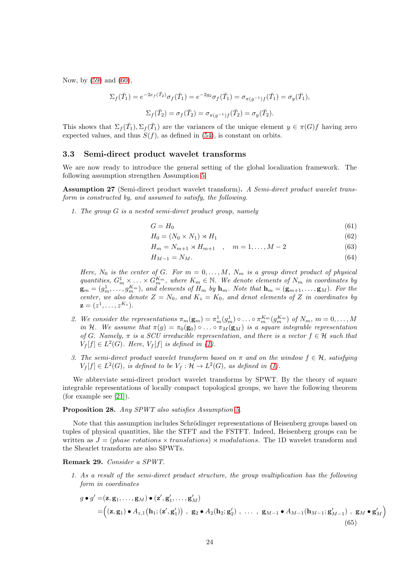Now, by [\(59\)](#page-22-4) and [\(60\)](#page-22-5),

$$
\Sigma_f(\tilde{T}_1) = e^{-2e_f(\tilde{T}_2)} \sigma_f(\tilde{T}_1) = e^{-2g_2} \sigma_f(\tilde{T}_1) = \sigma_{\pi(g^{-1})f}(\tilde{T}_1) = \sigma_y(\tilde{T}_1),
$$
  

$$
\Sigma_f(\tilde{T}_2) = \sigma_f(\tilde{T}_2) = \sigma_{\pi(g^{-1})f}(\tilde{T}_2) = \sigma_y(\tilde{T}_2).
$$

This shows that  $\Sigma_f(\tilde{T}_1), \Sigma_f(\tilde{T}_1)$  are the variances of the unique element  $y \in \pi(G)f$  having zero expected values, and thus  $S(f)$ , as defined in [\(54\)](#page-22-6), is constant on orbits.

#### <span id="page-23-1"></span>3.3 Semi-direct product wavelet transforms

We are now ready to introduce the general setting of the global localization framework. The following assumption strengthen Assumption [5.](#page-7-0)

<span id="page-23-0"></span>Assumption 27 (Semi-direct product wavelet transform). A Semi-direct product wavelet transform is constructed by, and assumed to satisfy, the following.

1. The group G is a nested semi-direct product group, namely

$$
G = H_0 \tag{61}
$$

$$
H_0 = (N_0 \times N_1) \rtimes H_1 \tag{62}
$$

$$
H_m = N_{m+1} \rtimes H_{m+1} \quad , \quad m = 1, \dots, M-2 \tag{63}
$$

$$
H_{M-1} = N_M. \tag{64}
$$

Here,  $N_0$  is the center of G. For  $m = 0, \ldots, M$ ,  $N_m$  is a group direct product of physical quantities,  $G_m^1 \times \ldots \times G_m^{K_m}$ , where  $K_m \in \mathbb{N}$ . We denote elements of  $N_m$  in coordinates by  $\mathbf{g}_m = (g_m^1, \ldots, g_m^{K_m})$ , and elements of  $H_m$  by  $\mathbf{h}_m$ . Note that  $\mathbf{h}_m = (\mathbf{g}_{m+1}, \ldots, \mathbf{g}_M)$ . For the center, we also denote  $Z = N_0$ , and  $K_z = K_0$ , and denot elements of Z in coordinates by  $z = (z^1, \ldots, z^{K_z}).$ 

- 2. We consider the representations  $\pi_m(\mathbf{g}_m) = \pi_m^1(g_m^1) \circ \ldots \circ \pi_m^{K_m}(g_m^{K_m})$  of  $N_m$ ,  $m = 0, \ldots, M$ in H. We assume that  $\pi(g) = \pi_0(g_0) \circ \ldots \circ \pi_M(g_M)$  is a square integrable representation of G. Namely,  $\pi$  is a SCU irreducible representation, and there is a vector  $f \in \mathcal{H}$  such that  $V_f[f] \in L^2(G)$ . Here,  $V_f[f]$  is defined in [\(1\)](#page-0-0).
- 3. The semi-direct product wavelet transform based on  $\pi$  and on the window  $f \in \mathcal{H}$ , satisfying  $V_f[f] \in L^2(G)$ , is defined to be  $V_f : \mathcal{H} \to L^2(G)$ , as defined in [\(1\)](#page-0-0).

We abbreviate semi-direct product wavelet transforms by SPWT. By the theory of square integrable representations of locally compact topological groups, we have the following theorem (for example see [\[21\]](#page-49-2)).

#### Proposition 28. Any SPWT also satisfies Assumption [5.](#page-7-0)

Note that this assumption includes Schrödinger representations of Heisenberg groups based on tuples of physical quantities, like the STFT and the FSTFT. Indeed, Heisenberg groups can be written as  $J = (phase rotations \times translations) \times modulation$  modulations. The 1D wavelet transform and the Shearlet transform are also SPWTs.

#### <span id="page-23-2"></span>Remark 29. Consider a SPWT.

1. As a result of the semi-direct product structure, the group multiplication has the following form in coordinates

$$
g \bullet g' = (\mathbf{z}, \mathbf{g}_1, \dots, \mathbf{g}_M) \bullet (\mathbf{z}', \mathbf{g}'_1, \dots, \mathbf{g}'_M)
$$
  
= 
$$
\left( (\mathbf{z}, \mathbf{g}_1) \bullet A_{z,1} (\mathbf{h}_1; (\mathbf{z}', \mathbf{g}'_1)) , \mathbf{g}_2 \bullet A_2 (\mathbf{h}_2; \mathbf{g}'_2) , \dots , \mathbf{g}_{M-1} \bullet A_{M-1} (\mathbf{h}_{M-1}; \mathbf{g}'_{M-1}) , \mathbf{g}_M \bullet \mathbf{g}'_M \right)
$$
  
(65)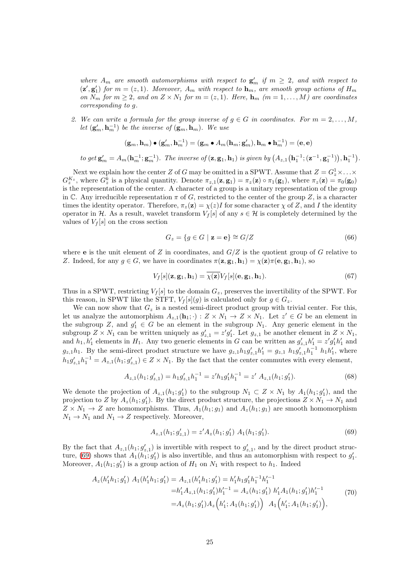where  $A_m$  are smooth automorphisms with respect to  $\mathbf{g}'_m$  if  $m \geq 2$ , and with respect to  $(\mathbf{z}', \mathbf{g}'_1)$  for  $m = (z, 1)$ . Moreover,  $A_m$  with respect to  $\mathbf{h}_m$ , are smooth group actions of  $H_m$ on  $N_m$  for  $m \geq 2$ , and on  $Z \times N_1$  for  $m = (z, 1)$ . Here,  $\mathbf{h}_m$   $(m = 1, ..., M)$  are coordinates corresponding to g.

2. We can write a formula for the group inverse of  $g \in G$  in coordinates. For  $m = 2, \ldots, M$ , let  $(\mathbf{g}'_m, \mathbf{h}_m^{-1})$  be the inverse of  $(\mathbf{g}_m, \mathbf{h}_m)$ . We use

$$
(\mathbf{g}_m, \mathbf{h}_m) \bullet (\mathbf{g}'_m, \mathbf{h}_m^{-1}) = (\mathbf{g}_m \bullet A_m(\mathbf{h}_m; \mathbf{g}'_m), \mathbf{h}_m \bullet \mathbf{h}_m^{-1}) = (\mathbf{e}, \mathbf{e})
$$

to get  $\mathbf{g}'_m = A_m(\mathbf{h}_m^{-1}; \mathbf{g}_m^{-1})$ . The inverse of  $(\mathbf{z}, \mathbf{g}_1, \mathbf{h}_1)$  is given by  $(A_{z,1}(\mathbf{h}_1^{-1}; (\mathbf{z}^{-1}, \mathbf{g}_1^{-1})), \mathbf{h}_1^{-1})$ .

Next we explain how the center Z of G may be omitted in a SPWT. Assume that  $Z = G_z^1 \times \ldots \times G_z^1$  $G_z^{K_z}$ , where  $G_z^k$  is a physical quantity. Denote  $\pi_{z,1}(\mathbf{z}, \mathbf{g}_1) = \pi_z(\mathbf{z}) \circ \pi_1(\mathbf{g}_1)$ , where  $\pi_z(\mathbf{z}) = \pi_0(\mathbf{g}_0)$ is the representation of the center. A character of a group is a unitary representation of the group in C. Any irreducible representation  $\pi$  of G, restricted to the center of the group Z, is a character times the identity operator. Therefore,  $\pi_z(\mathbf{z}) = \chi(z)I$  for some character  $\chi$  of Z, and I the identity operator in H. As a result, wavelet transform  $V_f[s]$  of any  $s \in \mathcal{H}$  is completely determined by the values of  $V_f[s]$  on the cross section

<span id="page-24-2"></span>
$$
G_z = \{ g \in G \mid \mathbf{z} = \mathbf{e} \} \cong G/Z \tag{66}
$$

where **e** is the unit element of Z in coordinates, and  $G/Z$  is the quotient group of G relative to Z. Indeed, for any  $g \in G$ , we have in coordinates  $\pi(\mathbf{z}, \mathbf{g}_1, \mathbf{h}_1) = \chi(\mathbf{z})\pi(\mathbf{e}, \mathbf{g}_1, \mathbf{h}_1)$ , so

<span id="page-24-1"></span>
$$
V_f[s](\mathbf{z}, \mathbf{g}_1, \mathbf{h}_1) = \chi(\mathbf{z}) V_f[s](\mathbf{e}, \mathbf{g}_1, \mathbf{h}_1). \tag{67}
$$

Thus in a SPWT, restricting  $V_f[s]$  to the domain  $G_z$ , preserves the invertibility of the SPWT. For this reason, in SPWT like the STFT,  $V_f[s](g)$  is calculated only for  $g \in G_z$ .

We can now show that  $G_z$  is a nested semi-direct product group with trivial center. For this, let us analyze the automorphism  $A_{z,1}(\mathbf{h}_1; \cdot) : Z \times N_1 \to Z \times N_1$ . Let  $z' \in G$  be an element in the subgroup Z, and  $g'_1 \in G$  be an element in the subgroup  $N_1$ . Any generic element in the subgroup  $Z \times N_1$  can be written uniquely as  $g'_{z,1} = z' g'_1$ . Let  $g_{z,1}$  be another element in  $Z \times N_1$ , and  $h_1, h'_1$  elements in  $H_1$ . Any two generic elements in G can be written as  $g'_{z,1}h'_1 = z'g'_1h'_1$  and  $g_{z,1}h_1$ . By the semi-direct product structure we have  $g_{z,1}h_1g'_{z,1}h'_1 = g_{z,1} h_1g'_{z,1}h_1^{-1} h_1h'_1$ , where  $h_1 g'_{z,1} h_1^{-1} = A_{z,1}(h_1; g'_{z,1}) \in Z \times N_1$ . By the fact that the center commutes with every element,

$$
A_{z,1}(h_1; g'_{z,1}) = h_1 g'_{z,1} h_1^{-1} = z' h_1 g'_1 h_1^{-1} = z' A_{z,1}(h_1; g'_1).
$$
\n(68)

We denote the projection of  $A_{z,1}(h_1; g_1')$  to the subgroup  $N_1 \subset Z \times N_1$  by  $A_1(h_1; g_1')$ , and the projection to Z by  $A_z(h_1; g_1')$ . By the direct product structure, the projections  $Z \times N_1 \to N_1$  and  $Z \times N_1 \to Z$  are homomorphisms. Thus,  $A_1(h_1; g_1)$  and  $A_z(h_1; g_1)$  are smooth homomorphism  $N_1 \rightarrow N_1$  and  $N_1 \rightarrow Z$  respectively. Moreover,

<span id="page-24-0"></span>
$$
A_{z,1}(h_1; g'_{z,1}) = z' A_z(h_1; g'_1) A_1(h_1; g'_1).
$$
\n(69)

By the fact that  $A_{z,1}(h_1; g'_{z,1})$  is invertible with respect to  $g'_{z,1}$ , and by the direct product struc-ture, [\(69\)](#page-24-0) shows that  $A_1(h_1; g_1)$  is also invertible, and thus an automorphism with respect to  $g_1'$ . Moreover,  $A_1(h_1; g_1')$  is a group action of  $H_1$  on  $N_1$  with respect to  $h_1$ . Indeed

$$
A_z(h'_1h_1; g'_1) A_1(h'_1h_1; g'_1) = A_{z,1}(h'_1h_1; g'_1) = h'_1h_1g'_1h_1^{-1}h'_1^{-1}
$$
  
\n
$$
= h'_1A_{z,1}(h_1; g'_1)h'_1^{-1} = A_z(h_1; g'_1) h'_1A_1(h_1; g'_1)h'_1^{-1}
$$
  
\n
$$
= A_z(h_1; g'_1)A_z(h'_1; A_1(h_1; g'_1)) A_1(h'_1; A_1(h_1; g'_1)),
$$
\n(70)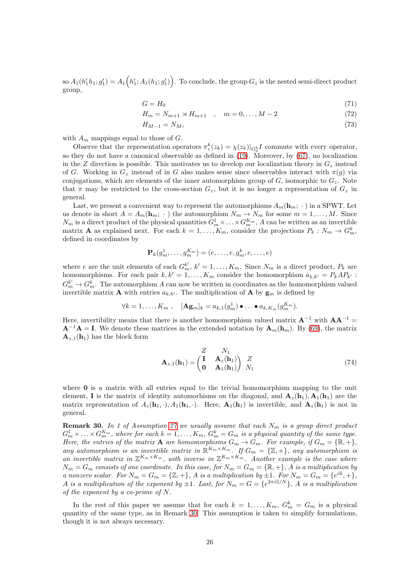so  $A_1(h'_1h_1;g'_1) = A_1\Big(h'_1;A_1(h_1;g'_1)\Big)$ . To conclude, the group  $G_z$  is the nested semi-direct product group,

$$
G = H_0 \tag{71}
$$

$$
H_m = N_{m+1} \rtimes H_{m+1} \quad , \quad m = 0, \dots, M-2 \tag{72}
$$

$$
H_{M-1} = N_M,\tag{73}
$$

with  $A_m$  mappings equal to those of G.

Observe that the representation operators  $\pi_z^k(z_k) = \chi(z_k)|_{G_0^k} I$  commute with every operator, so they do not have a canonical observable as defined in [\(19\)](#page-8-3). Moreover, by [\(67\)](#page-24-1), no localization in the Z direction is possible. This motivates us to develop our localization theory in  $G<sub>z</sub>$  instead of G. Working in  $G_z$  instead of in G also makes sense since observables interact with  $\pi(g)$  via conjugations, which are elements of the inner automorphism group of  $G$ , isomorphic to  $G_z$ . Note that  $\pi$  may be restricted to the cross-section  $G_z$ , but it is no longer a representation of  $G_z$  in general.

Last, we present a convenient way to represent the automorphisms  $A_m(\mathbf{h}_m; \cdot)$  in a SPWT. Let us denote in short  $A = A_m(\mathbf{h}_m; \cdot)$  the automorphism  $N_m \to N_m$  for some  $m = 1, \ldots, M$ . Since  $N_m$  is a direct product of the physical quantities  $G_m^1 \times \ldots \times G_m^{K_m}$ , A can be written as an invertible matrix **A** as explained next. For each  $k = 1, ..., K_m$ , consider the projections  $P_k : N_m \to G_m^k$ , defined in coordinates by

$$
\mathbf{P}_k(g_m^1,\ldots,g_m^{K_m})=(e,\ldots,e,g_m^k,e,\ldots,e)
$$

where e are the unit elements of each  $G_m^{k'}$ ,  $k' = 1, \ldots, K_m$ . Since  $N_m$  is a direct product,  $P_k$  are homomorphisms. For each pair  $k, k' = 1, ..., K_m$  consider the homomorphism  $a_{k,k'} = P_k A P_{k'}$ :  $G_m^{k'} \to G_m^k$ . The automorphism A can now be written in coordinates as the homomorphism valued invertible matrix **A** with entries  $a_{k,k'}$ . The multiplication of **A** by  $\mathbf{g}_m$  is defined by

$$
\forall k=1,\ldots,K_m\ ,\quad [\mathbf{A}\mathbf{g}_m]_k=a_{k,1}(g_m^1)\bullet\ldots\bullet a_{k,K_m}(g_m^{K_m}).
$$

Here, invertibility means that there is another homomorphism valued matrix  $A^{-1}$  with  $AA^{-1}$  =  $\mathbf{A}^{-1}\mathbf{A} = \mathbf{I}$ . We denote these matrices in the extended notation by  $\mathbf{A}_m(\mathbf{h}_m)$ . By [\(69\)](#page-24-0), the matrix  $\mathbf{A}_{z,1}(\mathbf{h}_1)$  has the block form

$$
\mathbf{A}_{z,1}(\mathbf{h}_1) = \begin{pmatrix} Z & N_1 \\ \mathbf{I} & \mathbf{A}_z(\mathbf{h}_1) \\ \mathbf{0} & \mathbf{A}_1(\mathbf{h}_1) \end{pmatrix} \begin{pmatrix} Z \\ N_1 \end{pmatrix}
$$
(74)

where **0** is a matrix with all entries equal to the trivial homomorphism mapping to the unit element, I is the matrix of identity automorhisms on the diagonal, and  $\mathbf{A}_z(\mathbf{h}_1), \mathbf{A}_1(\mathbf{h}_1)$  are the matrix representation of  $A_z(\mathbf{h}_1, \cdot), A_1(\mathbf{h}_1, \cdot)$ . Here,  $\mathbf{A}_1(\mathbf{h}_1)$  is invertible, and  $\mathbf{A}_z(\mathbf{h}_1)$  is not in general.

<span id="page-25-0"></span>**Remark 30.** In 1 of Assumption [27](#page-23-0) we usually assume that each  $N_m$  is a group direct product  $G_m^1 \times \ldots \times G_m^{K_m}$ , where for each  $k = 1, \ldots, K_m$ ,  $G_m^k = G_m$  is a physical quantity of the same type. Here, the entries of the matrix **A** are homomorphisms  $G_m \to G_m$ . For example, if  $G_m = {\mathbb{R}, +}$ , any automorphism is an invertible matrix in  $\mathbb{R}^{K_m \times K_m}$ . If  $G_m = \{ \mathbb{Z}, + \}$ , any automorphism is an invertible matrix in  $\mathbb{Z}^{K_m \times K_m}$ , with inverse in  $\mathbb{Z}^{K_m \times K_m}$ . Another example is the case where  $N_m = G_m$  consists of one coordinate. In this case, for  $N_m = G_m = \{ \mathbb{R}, + \}$ , A is a multiplication by a nonzero scalar. For  $N_m = G_m = \{ \mathbb{Z}, + \}, A$  is a multiplication by  $\pm 1$ . For  $N_m = G_m = \{ e^{i\mathbb{R}}, + \},$ A is a multiplication of the exponent by  $\pm 1$ . Last, for  $N_m = G = \{e^{2\pi i \mathbb{Z}/N}\}\$ , A is a multiplication of the exponent by a co-prime of  $N$ .

In the rest of this paper we assume that for each  $k = 1, ..., K_m$ ,  $G_m^k = G_m$  is a physical quantity of the same type, as in Remark [30.](#page-25-0) This assumption is taken to simplify formulations, though it is not always necessary.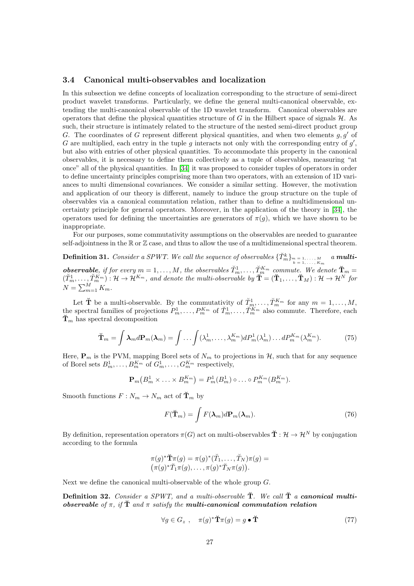## 3.4 Canonical multi-observables and localization

In this subsection we define concepts of localization corresponding to the structure of semi-direct product wavelet transforms. Particularly, we define the general multi-canonical observable, extending the multi-canonical observable of the 1D wavelet transform. Canonical observables are operators that define the physical quantities structure of G in the Hilbert space of signals  $H$ . As such, their structure is intimately related to the structure of the nested semi-direct product group G. The coordinates of G represent different physical quantities, and when two elements  $g, g'$  of G are multiplied, each entry in the tuple  $g$  interacts not only with the corresponding entry of  $g'$ , but also with entries of other physical quantities. To accommodate this property in the canonical observables, it is necessary to define them collectively as a tuple of observables, measuring "at once" all of the physical quantities. In [\[34\]](#page-49-4) it was proposed to consider tuples of operators in order to define uncertainty principles comprising more than two operators, with an extension of 1D variances to multi dimensional covariances. We consider a similar setting. However, the motivation and application of our theory is different, namely to induce the group structure on the tuple of observables via a canonical commutation relation, rather than to define a multidimensional uncertainty principle for general operators. Moreover, in the application of the theory in [\[34\]](#page-49-4), the operators used for defining the uncertainties are generators of  $\pi(q)$ , which we have shown to be inappropriate.

For our purposes, some commutativity assumptions on the observables are needed to guarantee self-adjointness in the  $\mathbb R$  or  $\mathbb Z$  case, and thus to allow the use of a multidimensional spectral theorem.

**Definition 31.** Consider a SPWT. We call the sequence of observables  $\{\breve{T}^k_m\}_{m=1,\ldots,M}$  a multi**observable**, if for every  $m = 1, ..., M$ , the observables  $\check{T}_{m}^{1}, ..., \check{T}_{m}^{K_{m}}$  commute. We denote  $\check{\mathbf{T}}_{m} =$  $(\check{T}_{m}^{1},\ldots,\check{T}_{m}^{K_{m}}): \mathcal{H} \to \check{\mathcal{H}}^{K_{m}}$ , and denote the multi-observable by  $\check{\mathbf{T}} = (\check{\mathbf{T}}_{1},\ldots,\check{\mathbf{T}}_{M}): \mathcal{H} \to \mathcal{H}^{N}$  for  $N = \sum_{m=1}^{M} K_m$ .

Let  $\check{\mathbf{T}}$  be a multi-observable. By the commutativity of  $\check{T}_{m}^{1}, \ldots, \check{T}_{m}^{K_{m}}$  for any  $m = 1, \ldots, M$ , the spectral families of projections  $P_m^1, \ldots, P_m^{K_m}$  of  $\check{T}_m^1, \ldots, \check{T}_m^{K_m}$  also commute. Therefore, each  $\tilde{\mathbf{T}}_m$  has spectral decomposition

$$
\breve{\mathbf{T}}_m = \int \mathbf{\lambda}_m d\mathbf{P}_m(\mathbf{\lambda}_m) = \int \dots \int (\lambda_m^1, \dots, \lambda_m^{K_m}) dP_m^1(\lambda_m^1) \dots dP_m^{K_m}(\lambda_m^{K_m}). \tag{75}
$$

Here,  $\mathbf{P}_m$  is the PVM, mapping Borel sets of  $N_m$  to projections in  $H$ , such that for any sequence of Borel sets  $B_m^1, \ldots, B_m^{K_m}$  of  $G_m^1, \ldots, G_m^{K_m}$  respectively,

$$
\mathbf{P}_m(B_m^1 \times \ldots \times B_m^{K_m}) = P_m^1(B_m^1) \circ \ldots \circ P_m^{K_m}(B_m^{K_m}).
$$

Smooth functions  $F: N_m \to N_m$  act of  $\mathbf{\check{T}}_m$  by

$$
F(\mathbf{\tilde{T}}_m) = \int F(\mathbf{\lambda}_m) d\mathbf{P}_m(\mathbf{\lambda}_m). \tag{76}
$$

By definition, representation operators  $\pi(G)$  act on multi-observables  $\check{\mathbf{T}} : \mathcal{H} \to \mathcal{H}^N$  by conjugation according to the formula

$$
\pi(g)^*\check{\mathbf{T}}\pi(g) = \pi(g)^*(\check{T}_1,\ldots,\check{T}_N)\pi(g) =
$$
  

$$
(\pi(g)^*\check{T}_1\pi(g),\ldots,\pi(g)^*\check{T}_N\pi(g)).
$$

Next we define the canonical multi-observable of the whole group  $G$ .

**Definition 32.** Consider a SPWT, and a multi-observable  $\check{\mathbf{T}}$ . We call  $\check{\mathbf{T}}$  a **canonical multi**observable of  $\pi$ , if  $\tilde{\mathbf{T}}$  and  $\pi$  satisfy the **multi-canonical commutation relation** 

<span id="page-26-0"></span>
$$
\forall g \in G_z , \quad \pi(g)^* \check{\mathbf{T}} \pi(g) = g \bullet \check{\mathbf{T}} \tag{77}
$$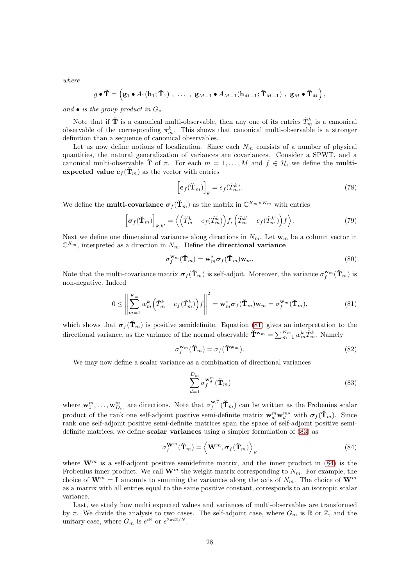where

$$
g\bullet\breve{\mathbf{T}}=\left(\mathbf{g}_{1}\bullet A_{1}(\mathbf{h}_{1};\breve{\mathbf{T}}_{1}),\ \ldots\ ,\ \mathbf{g}_{M-1}\bullet A_{M-1}(\mathbf{h}_{M-1};\breve{\mathbf{T}}_{M-1})\ ,\ \mathbf{g}_{M}\bullet\breve{\mathbf{T}}_{M}\right),
$$

and  $\bullet$  is the group product in  $G_z$ .

Note that if  $\check{\mathbf{T}}$  is a canonical multi-observable, then any one of its entries  $\check{T}_m^k$  is a canonical observable of the corresponding  $\pi_m^k$ . This shows that canonical multi-observable is a stronger definition than a sequence of canonical observables.

Let us now define notions of localization. Since each  $N_m$  consists of a number of physical quantities, the natural generalization of variances are covariances. Consider a SPWT, and a canonical multi-observable  $\check{\mathbf{T}}$  of  $\pi$ . For each  $m = 1, \ldots, M$  and  $f \in \mathcal{H}$ , we define the **multi**expected value  $e_f(\tilde{T}_m)$  as the vector with entries

$$
\left[e_f(\breve{\mathbf{T}}_m)\right]_k = e_f(\breve{T}_m^k). \tag{78}
$$

We define the **multi-covariance**  $\sigma_f(\check{\mathbf{T}}_m)$  as the matrix in  $\mathbb{C}^{K_m \times K_m}$  with entries

$$
\left[\boldsymbol{\sigma}_f(\mathbf{\check{T}}_m)\right]_{k,k'} = \left\langle \left(\tilde{T}_m^k - e_f(\tilde{T}_m^k)\right) f, \left(\tilde{T}_m^{k'} - e_f(\tilde{T}_m^{k'})\right) f \right\rangle. \tag{79}
$$

Next we define one dimensional variances along directions in  $N_m$ . Let  $\mathbf{w}_m$  be a column vector in  $\mathbb{C}^{K_m}$ , interpreted as a direction in  $N_m$ . Define the **directional variance** 

$$
\sigma_f^{\mathbf{w}_m}(\breve{\mathbf{T}}_m) = \mathbf{w}_m^* \boldsymbol{\sigma}_f(\breve{\mathbf{T}}_m) \mathbf{w}_m.
$$
\n(80)

Note that the multi-covariance matrix  $\sigma_f(\check{\mathbf{T}}_m)$  is self-adjoit. Moreover, the variance  $\sigma_f^{\mathbf{w}_m}(\check{\mathbf{T}}_m)$  is non-negative. Indeed

<span id="page-27-0"></span>
$$
0 \leq \left\| \sum_{m=1}^{K_m} w_m^k \left( \check{T}_m^k - e_f(\check{T}_m^k) \right) f \right\|^2 = \mathbf{w}_m^* \boldsymbol{\sigma}_f(\check{\mathbf{T}}_m) \mathbf{w}_m = \sigma_f^{\mathbf{w}_m}(\check{\mathbf{T}}_m), \tag{81}
$$

which shows that  $\sigma_f(\tilde{\mathbf{T}}_m)$  is positive semidefinite. Equation [\(81\)](#page-27-0) gives an interpretation to the directional variance, as the variance of the normal observable  $\check{\mathbf{T}}^{\mathbf{w}_m} = \sum_{m=1}^{K_m} w_m^k \check{T}_m^k$ . Namely

<span id="page-27-3"></span>
$$
\sigma_f^{\mathbf{w}_m}(\check{\mathbf{T}}_m) = \sigma_f(\check{\mathbf{T}}^{\mathbf{w}_m}).
$$
\n(82)

We may now define a scalar variance as a combination of directional variances

<span id="page-27-1"></span>
$$
\sum_{d=1}^{D_m} \sigma_f^{\mathbf{w}_d^m}(\check{\mathbf{T}}_m)
$$
\n(83)

where  $\mathbf{w}_{1}^{m},\ldots,\mathbf{w}_{D_{m}}^{m}$  are directions. Note that  $\sigma_{f}^{\mathbf{w}_{d}^{m}}(\mathbf{\check{T}}_{m})$  can be written as the Frobenius scalar product of the rank one self-adjoint positive semi-definite matrix  $\mathbf{w}_d^m \mathbf{w}_d^{m*}$  with  $\boldsymbol{\sigma}_f(\mathbf{\check{T}}_m)$ . Since rank one self-adjoint positive semi-definite matrices span the space of self-adjoint positive semidefinite matrices, we define scalar variances using a simpler formulation of [\(83\)](#page-27-1) as

<span id="page-27-2"></span>
$$
\sigma_f^{\mathbf{W}^m}(\check{\mathbf{T}}_m) = \left\langle \mathbf{W}^m, \sigma_f(\check{\mathbf{T}}_m) \right\rangle_{\mathbf{F}} \tag{84}
$$

where  $\mathbf{W}^m$  is a self-adjoint positive semidefinite matrix, and the inner product in [\(84\)](#page-27-2) is the Frobenius inner product. We call  $\mathbf{W}^m$  the weight matrix corresponding to  $N_m$ . For example, the choice of  $\mathbf{W}^m = \mathbf{I}$  amounts to summing the variances along the axis of  $N_m$ . The choice of  $\mathbf{W}^m$ as a matrix with all entries equal to the same positive constant, corresponds to an isotropic scalar variance.

Last, we study how multi expected values and variances of multi-observables are transformed by  $\pi$ . We divide the analysis to two cases. The self-adjoint case, where  $G_m$  is  $\mathbb R$  or  $\mathbb Z$ , and the unitary case, where  $G_m$  is  $e^{i\mathbb{R}}$  or  $e^{2\pi i\mathbb{Z}/N}$ .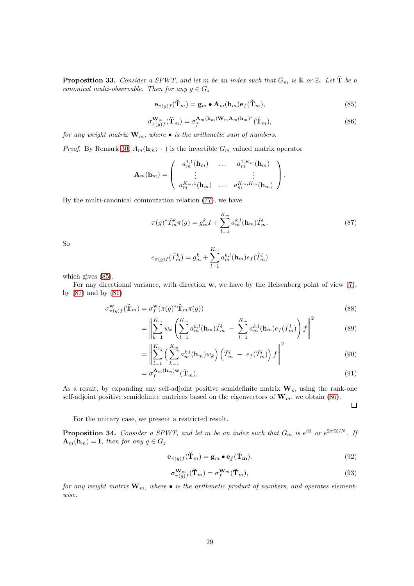<span id="page-28-3"></span>**Proposition 33.** Consider a SPWT, and let m be an index such that  $G_m$  is  $\mathbb{R}$  or  $\mathbb{Z}$ . Let  $\check{\mathbf{T}}$  be a canonical multi-observable. Then for any  $g \in G_z$ 

<span id="page-28-0"></span>
$$
\mathbf{e}_{\pi(g)f}(\breve{\mathbf{T}}_m) = \mathbf{g}_m \bullet \mathbf{A}_m(\mathbf{h}_m) \mathbf{e}_f(\breve{\mathbf{T}}_m),\tag{85}
$$

<span id="page-28-2"></span>
$$
\sigma_{\pi(g)f}^{\mathbf{W}_m}(\breve{\mathbf{T}}_m) = \sigma_f^{\mathbf{A}_m(\mathbf{h}_m)\mathbf{W}_m\mathbf{A}_m(\mathbf{h}_m)^*}(\breve{\mathbf{T}}_m),
$$
\n(86)

for any weight matrix  $\mathbf{W}_m$ , where  $\bullet$  is the arithmetic sum of numbers.

*Proof.* By Remark [30,](#page-25-0)  $A_m(\mathbf{h}_m; \cdot)$  is the invertible  $G_m$  valued matrix operator

$$
\mathbf{A}_m(\mathbf{h}_m) = \begin{pmatrix} a_m^{1,1}(\mathbf{h}_m) & \dots & a_m^{1,K_m}(\mathbf{h}_m) \\ \vdots & & \vdots \\ a_m^{K_m,1}(\mathbf{h}_m) & \dots & a_m^{K_m,K_m}(\mathbf{h}_m) \end{pmatrix}.
$$

By the multi-canonical commutation relation [\(77\)](#page-26-0), we have

<span id="page-28-1"></span>
$$
\pi(g)^{*}\breve{T}_{m}^{k}\pi(g) = g_{m}^{k}I + \sum_{l=1}^{K_{m}} a_{m}^{k,l}(\mathbf{h}_{m})\breve{T}_{m}^{l}.
$$
\n(87)

So

$$
e_{\pi(g)f}(\breve{T}_{m}^{k}) = g_{m}^{k} + \sum_{l=1}^{K_{m}} a_{m}^{k,l}(\mathbf{h}_{m}) e_{f}(\breve{T}_{m}^{l})
$$

which gives [\(85\)](#page-28-0).

For any directional variance, with direction  $\bf{w}$ , we have by the Heisenberg point of view [\(7\)](#page-4-4), by [\(87\)](#page-28-1) and by [\(81\)](#page-27-0)

$$
\sigma_{\pi(g)f}^{\mathbf{w}}(\mathbf{\tilde{T}}_m) = \sigma_f^{\mathbf{w}}(\pi(g)^* \mathbf{\tilde{T}}_m \pi(g))
$$
\n(88)

$$
= \left\| \sum_{k=1}^{K_m} w_k \left( \sum_{l=1}^{K_m} a_m^{k,l} (\mathbf{h}_m) \breve{T}_m^l - \sum_{l=1}^{K_m} a_m^{k,l} (\mathbf{h}_m) e_f(\breve{T}_m^l) \right) f \right\|^2 \tag{89}
$$

$$
= \left\| \sum_{l=1}^{K_m} \left( \sum_{k=1}^{K_m} a_m^{k,l} (\mathbf{h}_m) w_k \right) \left( \check{T}_m^l - e_f(\check{T}_m^l) \right) f \right\|^2 \tag{90}
$$

$$
= \sigma_f^{\mathbf{A}_m(\mathbf{h}_m)\mathbf{w}}(\check{\mathbf{T}}_m). \tag{91}
$$

As a result, by expanding any self-adjoint positive semidefinite matrix  $\mathbf{W}_m$  using the rank-one self-adjoint positive semidefinite matrices based on the eigenvectors of  $\mathbf{W}_{m}$ , we obtain [\(86\)](#page-28-2).

For the unitary case, we present a restricted result.

<span id="page-28-5"></span>**Proposition 34.** Consider a SPWT, and let m be an index such that  $G_m$  is  $e^{i\mathbb{R}}$  or  $e^{2\pi i\mathbb{Z}/N}$ . If  $\mathbf{A}_m(\mathbf{h}_m) = \mathbf{I}$ , then for any  $g \in G_z$ 

<span id="page-28-4"></span>
$$
\mathbf{e}_{\pi(g)f}(\breve{\mathbf{T}}_m) = \mathbf{g}_m \bullet \mathbf{e}_f(\breve{\mathbf{T}}_m). \tag{92}
$$

 $\Box$ 

$$
\sigma_{\pi(g)f}^{\mathbf{W}_m}(\check{\mathbf{T}}_m) = \sigma_f^{\mathbf{W}_m}(\check{\mathbf{T}}_m),\tag{93}
$$

for any weight matrix  $\mathbf{W}_m$ , where  $\bullet$  is the arithmetic product of numbers, and operates elementwise.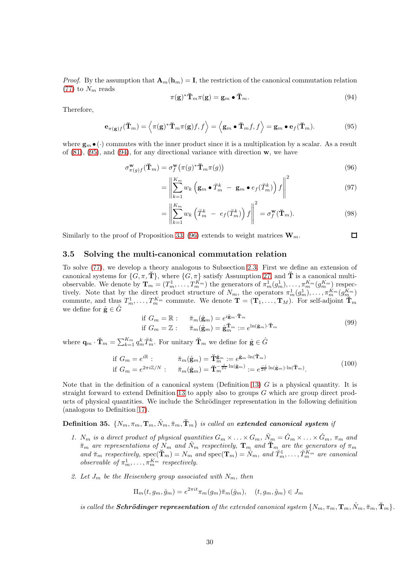*Proof.* By the assumption that  $\mathbf{A}_m(\mathbf{h}_m) = \mathbf{I}$ , the restriction of the canonical commutation relation  $(77)$  to  $N_m$  reads

<span id="page-29-2"></span><span id="page-29-1"></span>
$$
\pi(\mathbf{g})^* \breve{\mathbf{T}}_m \pi(\mathbf{g}) = \mathbf{g}_m \bullet \breve{\mathbf{T}}_m.
$$
\n(94)

Therefore,

<span id="page-29-0"></span>
$$
\mathbf{e}_{\pi(\mathbf{g})f}(\breve{\mathbf{T}}_m) = \left\langle \pi(\mathbf{g})^* \breve{\mathbf{T}}_m \pi(\mathbf{g}) f, f \right\rangle = \left\langle \mathbf{g}_m \bullet \breve{\mathbf{T}}_m f, f \right\rangle = \mathbf{g}_m \bullet \mathbf{e}_f(\breve{\mathbf{T}}_m). \tag{95}
$$

where  $\mathbf{g}_m \bullet (\cdot)$  commutes with the inner product since it is a multiplication by a scalar. As a result of  $(81)$ ,  $(95)$ , and  $(94)$ , for any directional variance with direction w, we have

$$
\sigma_{\pi(g)f}^{\mathbf{w}}(\check{\mathbf{T}}_m) = \sigma_f^{\mathbf{w}}(\pi(g)^* \check{\mathbf{T}}_m \pi(g))
$$
\n(96)

$$
= \left\| \sum_{k=1}^{K_m} w_k \left( \mathbf{g}_m \bullet \breve{T}_m^k - \mathbf{g}_m \bullet e_f(\breve{T}_m^k) \right) f \right\|^2 \tag{97}
$$

$$
= \left\| \sum_{k=1}^{K_m} w_k \left( \check{T}_m^k - e_f(\check{T}_m^k) \right) f \right\|^2 = \sigma_f^{\mathbf{w}}(\check{\mathbf{T}}_m). \tag{98}
$$

Similarly to the proof of Proposition [33,](#page-28-3) [\(96\)](#page-29-2) extends to weight matrices  $\mathbf{W}_m$ .  $\Box$ 

## <span id="page-29-3"></span>3.5 Solving the multi-canonical commutation relation

To solve [\(77\)](#page-26-0), we develop a theory analogous to Subsection [2.3.](#page-11-0) First we define an extension of canonical systems for  $\{G, \pi, \tilde{\mathbf{T}}\}$ , where  $\{G, \pi\}$  satisfy Assumption [27,](#page-23-0) and  $\tilde{\mathbf{T}}$  is a canonical multiobservable. We denote by  $\mathbf{T}_m = (T_m^1, \ldots, T_m^{K_m})$  the generators of  $\pi_m^1(g_m^1), \ldots, \pi_m^{K_m}(g_m^{K_m})$  respectively. Note that by the direct product structure of  $N_m$ , the operators  $\pi_m^1(g_m^1), \ldots, \pi_m^{K_m}(g_m^{K_m})$ commute, and thus  $T_m^1, \ldots, T_m^{K_m}$  commute. We denote  $\mathbf{T} = (\mathbf{T}_1, \ldots, \mathbf{T}_M)$ . For self-adjoint  $\mathbf{T}_m$ we define for  $\hat{\mathbf{g}} \in \hat{G}$ 

if 
$$
G_m = \mathbb{R}
$$
:  $\breve{\pi}_m(\hat{\mathbf{g}}_m) = e^{i\hat{\mathbf{g}}_m \cdot \breve{\mathbf{T}}_m}$   
if  $G_m = \mathbb{Z}$ :  $\breve{\pi}_m(\hat{\mathbf{g}}_m) = \hat{\mathbf{g}}_m^{\breve{\mathbf{T}}_m} := e^{\ln(\hat{\mathbf{g}}_m) \cdot \breve{\mathbf{T}}_m}$  (99)

where  $\mathbf{q}_m \cdot \check{\mathbf{T}}_m = \sum_{k=1}^{K_m} q_m^k \check{T}_m^k$ . For unitary  $\check{\mathbf{T}}_m$  we define for  $\hat{\mathbf{g}} \in \hat{G}$ 

$$
\begin{aligned}\n\text{if } G_m = e^{i\mathbb{R}}: \quad \tilde{\pi}_m(\hat{\mathbf{g}}_m) = \check{\mathbf{T}}_m^{\hat{\mathbf{g}}_m} := e^{\hat{\mathbf{g}}_m \cdot \ln(\check{\mathbf{T}}_m)} \\
\text{if } G_m = e^{2\pi i \mathbb{Z}/N}: \quad \tilde{\pi}_m(\hat{\mathbf{g}}_m) = \check{\mathbf{T}}_m^{-\frac{i}{2\pi} \ln(\hat{\mathbf{g}}_m)} := e^{\frac{-i}{2\pi} \ln(\hat{\mathbf{g}}_m) \cdot \ln(\check{\mathbf{T}}_m)}.\n\end{aligned} \tag{100}
$$

Note that in the definition of a canonical system (Definition [13\)](#page-11-1)  $G$  is a physical quantity. It is straight forward to extend Definition [13](#page-11-1) to apply also to groups G which are group direct products of physical quantities. We include the Schrödinger representation in the following definition (analogous to Definition [17\)](#page-13-4).

## Definition 35.  $\{N_m, \pi_m, \mathbf{T}_m, \hat{N}_m, \breve{\pi}_m, \breve{\mathbf{T}}_m\}$  is called an extended canonical system if

- 1.  $N_m$  is a direct product of physical quantities  $G_m \times \ldots \times G_m$ ,  $\hat{N}_m = \hat{G}_m \times \ldots \times \hat{G}_m$ ,  $\pi_m$  and  $\breve{\pi}_m$  are representations of  $\breve{N}_m$  and  $\hat{N}_m$  respectively,  $\mathbf{T}_m$  and  $\breve{\mathbf{T}}_m$  are the generators of  $\pi_m$ and  $\breve{\pi}_m$  respectively,  $\text{spec}(\breve{\mathbf{T}}_m) = N_m$  and  $\text{spec}(\mathbf{T}_m) = \hat{N}_m$ , and  $\breve{T}_m^1, \dots, \breve{T}_m^K$  are canonical *observable of*  $\pi_m^1, \ldots, \pi_m^{K_m}$  *respectively.*
- 2. Let  $J_m$  be the Heisenberg group associated with  $N_m$ , then

$$
\Pi_m(t, g_m, \hat{g}_m) = e^{2\pi i t} \pi_m(g_m) \tilde{\pi}_m(\hat{g}_m), \quad (t, g_m, \hat{g}_m) \in J_m
$$

is called the **Schrödinger representation** of the extended canonical system  $\{N_m, \pi_m, \mathbf{T}_m, \hat{N}_m, \check{\pi}_m, \check{\mathbf{T}}_m\}$ .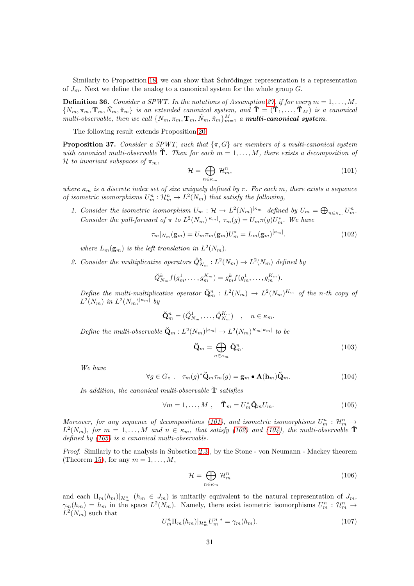Similarly to Proposition [18,](#page-13-0) we can show that Schrödinger representation is a representation of  $J_m$ . Next we define the analog to a canonical system for the whole group  $G$ .

**Definition 36.** Consider a SPWT. In the notations of Assumption [27,](#page-23-0) if for every  $m = 1, ..., M$ ,  $\{N_m, \pi_m, \mathbf{T}_m, \hat{N}_m, \breve{\pi}_m\}$  is an extended canonical system, and  $\breve{\mathbf{T}} = (\breve{\mathbf{T}}_1, \dots, \breve{\mathbf{T}}_M)$  is a canonical multi-observable, then we call  $\{N_m, \pi_m, \mathbf{T}_m, \hat{N}_m, \breve{\pi}_m\}_{m=1}^M$  a **multi-canonical system**.

The following result extends Proposition [20.](#page-14-0)

<span id="page-30-5"></span>**Proposition 37.** Consider a SPWT, such that  $\{\pi, G\}$  are members of a multi-canonical system with canonical multi-observable  $\tilde{\mathbf{T}}$ . Then for each  $m = 1, \ldots, M$ , there exists a decomposition of H to invariant subspaces of  $\pi_m$ ,

<span id="page-30-0"></span>
$$
\mathcal{H} = \bigoplus_{n \in \kappa_m} \mathcal{H}_m^n,\tag{101}
$$

where  $\kappa_m$  is a discrete index set of size uniquely defined by  $\pi$ . For each m, there exists a sequence of isometric isomorphisms  $U_m^n : \mathcal{H}_m^n \to L^2(N_m)$  that satisfy the following,

1. Consider the isometric isomorphism  $U_m: \mathcal{H} \to L^2(N_m)^{|\kappa_m|}$  defined by  $U_m = \bigoplus_{n \in \kappa_m} U_m^n$ . Consider the pull-forward of  $\pi$  to  $L^2(N_m)^{|\kappa_m|}$ ,  $\tau_m(g) = U_m \pi(g) U_m^*$ . We have

<span id="page-30-1"></span>
$$
\tau_m|_{N_m}(\mathbf{g}_m) = U_m \pi_m(\mathbf{g}_m) U_m^* = L_m(\mathbf{g}_m)^{[\kappa_m]}.
$$
\n(102)

where  $L_m(\mathbf{g}_m)$  is the left translation in  $L^2(N_m)$ .

2. Consider the multiplicative operators  $\check{Q}_{N_m}^k : L^2(N_m) \to L^2(N_m)$  defined by

$$
\breve{Q}_{N_m}^k f(g_m^1, \ldots, g_m^{K_m}) = g_m^k f(g_m^1, \ldots, g_m^{K_m}).
$$

Define the multi-multiplicative operator  $\mathbf{Q}_m^n : L^2(N_m) \to L^2(N_m)^{K_m}$  of the n-th copy of  $L^2(N_m)$  in  $L^2(N_m)^{|\kappa_m|}$  by

$$
\breve{\mathbf{Q}}_m^n = (\breve{Q}_{N_m}^1, \dots, \breve{Q}_{N_m}^{K_m}) \quad , \quad n \in \kappa_m.
$$

Define the multi-observable  $\mathbf{Q}_m : L^2(N_m)^{|\kappa_m|} \to L^2(N_m)^{K_m|\kappa_m|}$  to be

$$
\breve{\mathbf{Q}}_m = \bigoplus_{n \in \kappa_m} \breve{\mathbf{Q}}_m^n. \tag{103}
$$

We have

<span id="page-30-2"></span>
$$
\forall g \in G_z \quad \tau_m(g)^* \check{\mathbf{Q}}_m \tau_m(g) = \mathbf{g}_m \bullet \mathbf{A}(\mathbf{h}_m) \check{\mathbf{Q}}_m. \tag{104}
$$

In addition, the canonical multi-observable  $\tilde{\mathbf{T}}$  satisfies

<span id="page-30-3"></span>
$$
\forall m = 1, \dots, M \; , \quad \check{\mathbf{T}}_m = U_m^* \check{\mathbf{Q}}_m U_m. \tag{105}
$$

Moreover, for any sequence of decompositions [\(101\)](#page-30-0), and isometric isomorphisms  $U_m^n$  :  $\mathcal{H}_m^n \rightarrow$  $L^2(N_m)$ , for  $m = 1, ..., M$  and  $n \in \kappa_m$ , that satisfy [\(102\)](#page-30-1) and [\(104\)](#page-30-2), the multi-observable  $\check{\mathbf{T}}$ defined by [\(105\)](#page-30-3) is a canonical multi-observable.

Proof. Similarly to the analysis in Subsction [2.3](#page-11-0) , by the Stone - von Neumann - Mackey theorem (Theorem [15\)](#page-12-0), for any  $m = 1, \ldots, M$ ,

$$
\mathcal{H} = \bigoplus_{n \in \kappa_m} \mathcal{H}_m^n \tag{106}
$$

and each  $\Pi_m(h_m)|_{\mathcal{H}_m^m}$   $(h_m \in J_m)$  is unitarily equivalent to the natural representation of  $J_m$ ,  $\gamma_m(h_m) = h_m$  in the space  $L^2(N_m)$ . Namely, there exist isometric isomorphisms  $U_m^n : \mathcal{H}_m^n \to$  $L^2(N_m)$  such that

<span id="page-30-4"></span>
$$
U_m^n \Pi_m(h_m)|_{\mathcal{H}_m^n} U_m^n \,^* = \gamma_m(h_m). \tag{107}
$$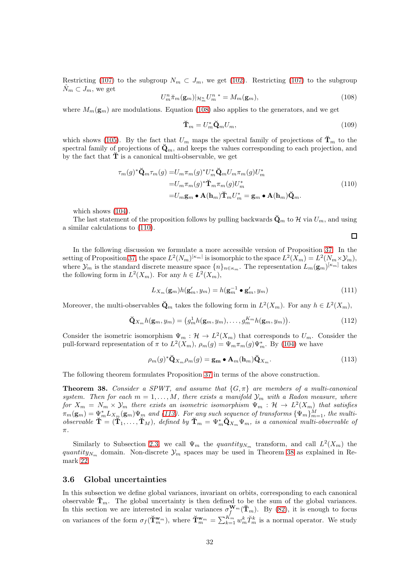Restricting [\(107\)](#page-30-4) to the subgroup  $N_m \subset J_m$ , we get [\(102\)](#page-30-1). Restricting (107) to the subgroup  $N_m \subset J_m$ , we get

<span id="page-31-0"></span>
$$
U_m^n \tilde{\pi}_m(\mathbf{g}_m)|_{\mathcal{H}_m^n} U_m^n \,^* = M_m(\mathbf{g}_m),\tag{108}
$$

where  $M_m(\mathbf{g}_m)$  are modulations. Equation [\(108\)](#page-31-0) also applies to the generators, and we get

$$
\breve{\mathbf{T}}_m = U_m^* \breve{\mathbf{Q}}_m U_m,\tag{109}
$$

 $\Box$ 

which shows [\(105\)](#page-30-3). By the fact that  $U_m$  maps the spectral family of projections of  $\mathbf{\dot{T}}_m$  to the spectral family of projections of  $\check{\mathbf{Q}}_m$ , and keeps the values corresponding to each projection, and by the fact that  $\check{\mathbf{T}}$  is a canonical multi-observable, we get

$$
\tau_m(g)^* \breve{\mathbf{Q}}_m \tau_m(g) = U_m \pi_m(g)^* U_m^* \breve{\mathbf{Q}}_m U_m \pi_m(g) U_m^*
$$
  
\n
$$
= U_m \pi_m(g)^* \breve{\mathbf{T}}_m \pi_m(g) U_m^*
$$
  
\n
$$
= U_m \mathbf{g}_m \bullet \mathbf{A}(\mathbf{h}_m) \breve{\mathbf{T}}_m U_m^* = \mathbf{g}_m \bullet \mathbf{A}(\mathbf{h}_m) \breve{\mathbf{Q}}_m.
$$
\n(110)

<span id="page-31-1"></span>which shows  $(104)$ .

The last statement of the proposition follows by pulling backwards  $\mathbf{\check{Q}}_m$  to H via  $U_m$ , and using a similar calculations to [\(110\)](#page-31-1).

In the following discussion we formulate a more accessible version of Proposition [37.](#page-30-5) In the setting of Proposition [37,](#page-30-5) the space  $L^2(N_m)^{|\kappa_m|}$  is isomorphic to the space  $L^2(X_m) = L^2(N_m \times \mathcal{Y}_m)$ , where  $\mathcal{Y}_m$  is the standard discrete measure space  $\{n\}_{n\in\kappa_m}$ . The representation  $L_m(\mathbf{g}_m)^{[\kappa_m]}$  takes the following form in  $L^2(X_m)$ . For any  $h \in L^2(X_m)$ ,

$$
L_{X_m}(\mathbf{g}_m)h(\mathbf{g}'_m, y_m) = h(\mathbf{g}_m^{-1} \bullet \mathbf{g}'_m, y_m)
$$
\n(111)

Moreover, the multi-observables  $\mathbf{Q}_m$  takes the following form in  $L^2(X_m)$ . For any  $h \in L^2(X_m)$ ,

$$
\mathbf{\breve{Q}}_{X_m} h(\mathbf{g}_m, y_m) = (g_m^1 h(\mathbf{g}_m, y_m), \dots, g_m^{K_m} h(\mathbf{g}_m, y_m)). \tag{112}
$$

Consider the isometric isomorphism  $\Psi_m : \mathcal{H} \to L^2(X_m)$  that corresponds to  $U_m$ . Consider the pull-forward representation of  $\pi$  to  $L^2(X_m)$ ,  $\rho_m(g) = \Psi_m \pi_m(g) \Psi_m^*$ . By [\(104\)](#page-30-2) we have

<span id="page-31-2"></span>
$$
\rho_m(g)^* \breve{\mathbf{Q}}_{X_m} \rho_m(g) = \mathbf{g_m} \bullet \mathbf{A}_m(\mathbf{h}_m) \breve{\mathbf{Q}}_{X_m}.
$$
\n(113)

The following theorem formulates Proposition [37](#page-30-5) in terms of the above construction.

<span id="page-31-3"></span>**Theorem 38.** Consider a SPWT, and assume that  $\{G, \pi\}$  are members of a multi-canonical system. Then for each  $m = 1, \ldots, M$ , there exists a manifold  $\mathcal{Y}_m$  with a Radon measure, where for  $X_m = N_m \times \mathcal{Y}_m$  there exists an isometric isomorphism  $\Psi_m$  :  $\mathcal{H} \to L^2(X_m)$  that satisfies  $\pi_m(\mathbf{g}_m) = \Psi_m^* L_{X_{\mathcal{D}}}( \mathbf{g}_m) \Psi_m$  and [\(113\)](#page-31-2). For any such sequence of transforms  $\{\Psi_m\}_{m=1}^M$ , the multiobservable  $\check{\mathbf{T}} = (\check{\mathbf{T}}_1, \ldots, \check{\mathbf{T}}_M)$ , defined by  $\check{\mathbf{T}}_m = \Psi_m^* \check{\mathbf{Q}}_{X_m} \Psi_m$ , is a canonical multi-observable of π.

Similarly to Subsection [2.3,](#page-11-0) we call  $\Psi_m$  the *quantity<sub>N<sub>m</sub>*</sub> transform, and call  $L^2(X_m)$  the quantity<sub>N<sub>m</sub></sub> domain. Non-discrete  $\mathcal{Y}_m$  spaces may be used in Theorem [38](#page-31-3) as explained in Remark [22.](#page-15-1)

#### 3.6 Global uncertainties

In this subsection we define global variances, invariant on orbits, corresponding to each canonical observable  $\tilde{\mathbf{T}}_m$ . The global uncertainty is then defined to be the sum of the global variances. In this section we are interested in scalar variances  $\sigma_f^{\mathbf{W}_m}(\mathbf{\check{T}}_m)$ . By [\(82\)](#page-27-3), it is enough to focus on variances of the form  $\sigma_f(\check{\mathbf{T}}_m^{\mathbf{w}_m})$ , where  $\check{\mathbf{T}}_m^{\mathbf{w}_m} = \sum_{k=1}^{K_m} w_m^k \check{T}_m^k$  is a normal operator. We study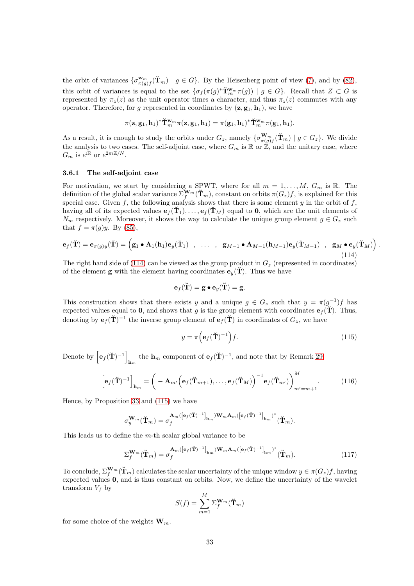the orbit of variances  $\{\sigma_{\pi(g)f}^{\mathbf{w}_m}(\check{\mathbf{T}}_m) \mid g \in G\}$ . By the Heisenberg point of view [\(7\)](#page-4-4), and by [\(82\)](#page-27-3), this orbit of variances is equal to the set  $\{\sigma_f(\pi(g)^*\check{\mathbf{T}}_m^{\mathbf{w}_m}\pi(g)) \mid g \in G\}$ . Recall that  $Z \subset G$  is represented by  $\pi_z(z)$  as the unit operator times a character, and thus  $\pi_z(z)$  commutes with any operator. Therefore, for g represented in coordinates by  $(\mathbf{z}, \mathbf{g}_1, \mathbf{h}_1)$ , we have

$$
\pi(\mathbf{z},\mathbf{g}_1,\mathbf{h}_1)^*\breve{\mathbf{T}}_m^{w_m}\pi(\mathbf{z},\mathbf{g}_1,\mathbf{h}_1)=\pi(\mathbf{g}_1,\mathbf{h}_1)^*\breve{\mathbf{T}}_m^{w_m}\pi(\mathbf{g}_1,\mathbf{h}_1).
$$

As a result, it is enough to study the orbits under  $G_z$ , namely  $\{\sigma_{\pi(g)f}^{\mathbf{W}_m}(\check{\mathbf{T}}_m) \mid g \in G_z\}$ . We divide the analysis to two cases. The self-adjoint case, where  $G_m$  is  $\mathbb{R}$  or  $\mathbb{Z}$ , and the unitary case, where  $G_m$  is  $e^{i\mathbb{R}}$  or  $e^{2\pi i\mathbb{Z}/N}$ .

#### 3.6.1 The self-adjoint case

For motivation, we start by considering a SPWT, where for all  $m = 1, ..., M$ ,  $G_m$  is R. The definition of the global scalar variance  $\Sigma_f^{\mathbf{W}_m}(\mathbf{\check{T}}_m)$ , constant on orbits  $\pi(G_z)f$ , is explained for this special case. Given f, the following analysis shows that there is some element y in the orbit of f, having all of its expected values  $e_f(\tilde{T}_1), \ldots, e_f(\tilde{T}_M)$  equal to 0, which are the unit elements of  $N_m$  respectively. Moreover, it shows the way to calculate the unique group element  $g \in G_z$  such that  $f = \pi(g)y$ . By [\(85\)](#page-28-0),

<span id="page-32-0"></span>
$$
\mathbf{e}_f(\check{\mathbf{T}}) = \mathbf{e}_{\pi(g)y}(\check{\mathbf{T}}) = \left(\mathbf{g}_1 \bullet \mathbf{A}_1(\mathbf{h}_1)\mathbf{e}_y(\check{\mathbf{T}}_1) \ , \ \ldots \ , \ \mathbf{g}_{M-1} \bullet \mathbf{A}_{M-1}(\mathbf{h}_{M-1})\mathbf{e}_y(\check{\mathbf{T}}_{M-1}) \ , \ \mathbf{g}_M \bullet \mathbf{e}_y(\check{\mathbf{T}}_M) \right) \tag{114}
$$

The right hand side of [\(114\)](#page-32-0) can be viewed as the group product in  $G_z$  (represented in coordinates) of the element **g** with the element having coordinates  $\mathbf{e}_y(\tilde{\mathbf{T}})$ . Thus we have

$$
{\bf e}_f(\breve{\bf T})={\bf g}\bullet {\bf e}_y(\breve{\bf T})={\bf g}.
$$

This construction shows that there exists y and a unique  $g \in G_z$  such that  $y = \pi(g^{-1})f$  has expected values equal to 0, and shows that g is the group element with coordinates  $e_f(\tilde{T})$ . Thus, denoting by  $\mathbf{e}_f(\check{\mathbf{T}})^{-1}$  the inverse group element of  $\mathbf{e}_f(\check{\mathbf{T}})$  in coordinates of  $G_z$ , we have

<span id="page-32-1"></span>
$$
y = \pi \left( \mathbf{e}_f(\tilde{\mathbf{T}})^{-1} \right) f. \tag{115}
$$

.

Denote by  $\left[\mathbf{e}_f(\check{\mathbf{T}})^{-1}\right]$  $h_m$  the  $h_m$  component of  $e_f(\check{T})^{-1}$ , and note that by Remark [29,](#page-23-2)

<span id="page-32-3"></span>
$$
\left[\mathbf{e}_f(\check{\mathbf{T}})^{-1}\right]_{\mathbf{h}_m} = \left(-\mathbf{A}_{m'}\left(\mathbf{e}_f(\check{\mathbf{T}}_{m+1}),\ldots,\mathbf{e}_f(\check{\mathbf{T}}_M)\right)^{-1}\mathbf{e}_f(\check{\mathbf{T}}_{m'})\right)_{m'=m+1}^M.
$$
(116)

Hence, by Proposition [33](#page-28-3) and [\(115\)](#page-32-1) we have

$$
\sigma_y^{\mathbf{W}_m}(\breve{\mathbf{T}}_m) = \sigma_f^{\mathbf{A}_m([\mathbf{e}_f(\breve{\mathbf{T}})^{-1}]_{\mathbf{h}_m})\mathbf{W}_m\mathbf{A}_m([\mathbf{e}_f(\breve{\mathbf{T}})^{-1}]_{\mathbf{h}_m})^*}(\breve{\mathbf{T}}_m).
$$

This leads us to define the m-th scalar global variance to be

<span id="page-32-2"></span>
$$
\Sigma_f^{\mathbf{W}_m}(\check{\mathbf{T}}_m) = \sigma_f^{\mathbf{A}_m([\mathbf{e}_f(\check{\mathbf{T}})^{-1}]_{\mathbf{h}_m})\mathbf{W}_m \mathbf{A}_m([\mathbf{e}_f(\check{\mathbf{T}})^{-1}]_{\mathbf{h}_m})^*}(\check{\mathbf{T}}_m). \tag{117}
$$

To conclude,  $\Sigma_f^{\mathbf{W}_m}(\check{\mathbf{T}}_m)$  calculates the scalar uncertainty of the unique window  $y \in \pi(G_z)f$ , having expected values 0, and is thus constant on orbits. Now, we define the uncertainty of the wavelet transform  $V_f$  by

$$
S(f) = \sum_{m=1}^{M} \Sigma_f^{\mathbf{W}_m}(\breve{\mathbf{T}}_m)
$$

for some choice of the weights  $\mathbf{W}_m$ .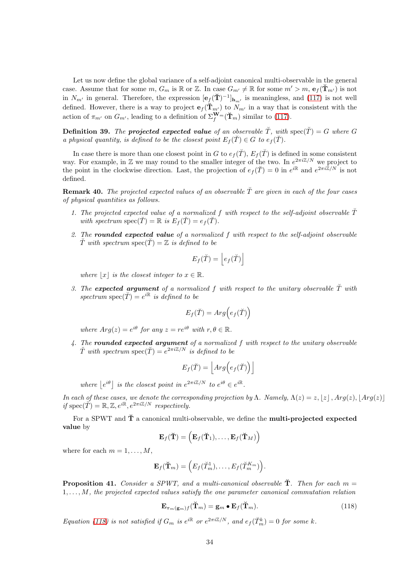Let us now define the global variance of a self-adjoint canonical multi-observable in the general case. Assume that for some  $m, G_m$  is  $\mathbb{R}$  or  $\mathbb{Z}$ . In case  $G_{m'} \neq \mathbb{R}$  for some  $m' > m$ ,  $\mathbf{e}_f(\mathbf{T}_{m'})$  is not in  $N_{m'}$  in general. Therefore, the expression  $[\mathbf{e}_f(\check{\mathbf{T}})^{-1}]_{\mathbf{h}_{m'}}$  is meaningless, and [\(117\)](#page-32-2) is not well defined. However, there is a way to project  $\mathbf{e}_f(\mathbf{\check{T}}_{m'})$  to  $N_{m'}$  in a way that is consistent with the action of  $\pi_{m'}$  on  $G_{m'}$ , leading to a definition of  $\Sigma_f^{\mathbf{W}_m}(\check{\mathbf{T}}_m)$  similar to [\(117\)](#page-32-2).

**Definition 39.** The **projected expected value** of an observable  $\tilde{T}$ , with  $spec(\tilde{T}) = G$  where G a physical quantity, is defined to be the closest point  $E_f(\tilde{T}) \in G$  to  $e_f(\tilde{T})$ .

In case there is more than one closest point in G to  $e_f(\check{T})$ ,  $E_f(\check{T})$  is defined in some consistent way. For example, in  $\mathbb Z$  we may round to the smaller integer of the two. In  $e^{2\pi i\mathbb Z/N}$  we project to the point in the clockwise direction. Last, the projection of  $e_f(\tilde{T})=0$  in  $e^{i\mathbb{R}}$  and  $e^{2\pi i\tilde{Z}/N}$  is not defined.

<span id="page-33-1"></span>**Remark 40.** The projected expected values of an observable  $\tilde{T}$  are given in each of the four cases of physical quantities as follows.

- 1. The projected expected value of a normalized f with respect to the self-adjoint observable  $\check{T}$ with spectrum spec $(\check{T}) = \mathbb{R}$  is  $E_f(\check{T}) = e_f(\check{T})$ .
- 2. The rounded expected value of a normalized f with respect to the self-adjoint observable  $\check{T}$  with spectrum spec $(\check{T}) = \mathbb{Z}$  is defined to be

$$
E_f(\breve{T}) = \left\lfloor e_f(\breve{T}) \right\rfloor
$$

where  $|x|$  is the closest integer to  $x \in \mathbb{R}$ .

3. The expected argument of a normalized f with respect to the unitary observable  $\check{T}$  with spectrum  $spec(\breve{T})=e^{i\mathbb{R}}$  is defined to be

$$
E_f(\breve{T}) = Arg\Big(e_f(\breve{T})\Big)
$$

where  $Arg(z) = e^{i\theta}$  for any  $z = re^{i\theta}$  with  $r, \theta \in \mathbb{R}$ .

4. The rounded expected argument of a normalized f with respect to the unitary observable  $\check{T}$  with spectrum  $\operatorname{spec}(\check{T}) = e^{2\pi i \mathbb{Z}/N}$  is defined to be

$$
E_f(\breve{T}) = \left\lfloor Arg\left(e_f(\breve{T})\right)\right\rfloor
$$

where  $\left[e^{i\theta}\right]$  is the closest point in  $e^{2\pi i \mathbb{Z}/N}$  to  $e^{i\theta} \in e^{i\mathbb{R}}$ .

In each of these cases, we denote the corresponding projection by Λ. Namely,  $\Lambda(z) = z, |z|, Arg(z), |Arg(z)|$ if  $spec(\check{T}) = \mathbb{R}, \mathbb{Z}, e^{i\mathbb{R}}, e^{2\pi i \mathbb{Z}/N}$  respectively.

For a SPWT and  $\check{\mathbf{T}}$  a canonical multi-observable, we define the **multi-projected expected** value by

$$
\mathbf{E}_f(\breve{\mathbf{T}}) = \left( \mathbf{E}_f(\breve{\mathbf{T}}_1), \dots, \mathbf{E}_f(\breve{\mathbf{T}}_M) \right)
$$

where for each  $m = 1, \ldots, M$ ,

$$
\mathbf{E}_f(\breve{\mathbf{T}}_m) = \Big( E_f(\breve{T}_m^1), \dots, E_f(\breve{T}_m^{K_m}) \Big).
$$

<span id="page-33-2"></span>**Proposition 41.** Consider a SPWT, and a multi-canonical observable  $\tilde{T}$ . Then for each  $m =$  $1, \ldots, M$ , the projected expected values satisfy the one parameter canonical commutation relation

<span id="page-33-0"></span>
$$
\mathbf{E}_{\pi_m(\mathbf{g}_m)f}(\check{\mathbf{T}}_m) = \mathbf{g}_m \bullet \mathbf{E}_f(\check{\mathbf{T}}_m). \tag{118}
$$

Equation [\(118\)](#page-33-0) is not satisfied if  $G_m$  is  $e^{i\mathbb{R}}$  or  $e^{2\pi i\mathbb{Z}/N}$ , and  $e_f(\breve{T}_m^k) = 0$  for some k.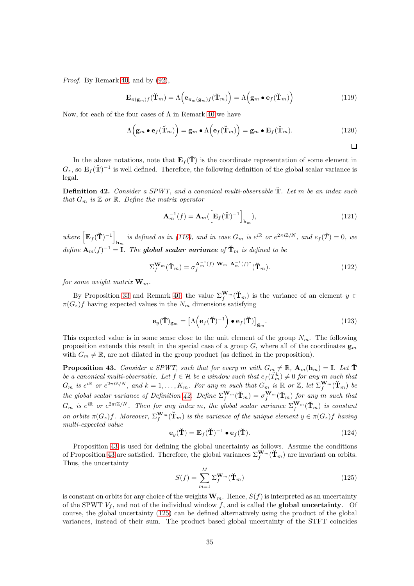Proof. By Remark [40,](#page-33-1) and by [\(92\)](#page-28-4),

$$
\mathbf{E}_{\pi(\mathbf{g}_m)f}(\check{\mathbf{T}}_m) = \Lambda\Big(\mathbf{e}_{\pi_m(\mathbf{g}_m)f}(\check{\mathbf{T}}_m)\Big) = \Lambda\Big(\mathbf{g}_m \bullet \mathbf{e}_f(\check{\mathbf{T}}_m)\Big) \tag{119}
$$

Now, for each of the four cases of  $\Lambda$  in Remark [40](#page-33-1) we have

$$
\Lambda\Big(\mathbf{g}_m \bullet \mathbf{e}_f(\check{\mathbf{T}}_m)\Big) = \mathbf{g}_m \bullet \Lambda\Big(\mathbf{e}_f(\check{\mathbf{T}}_m)\Big) = \mathbf{g}_m \bullet \mathbf{E}_f(\check{\mathbf{T}}_m). \tag{120}
$$

In the above notations, note that  $\mathbf{E}_f(\check{\mathbf{T}})$  is the coordinate representation of some element in  $G_z$ , so  $\mathbf{E}_f(\check{\mathbf{T}})^{-1}$  is well defined. Therefore, the following definition of the global scalar variance is legal.

<span id="page-34-0"></span>**Definition 42.** Consider a SPWT, and a canonical multi-observable  $\tilde{T}$ . Let m be an index such that  $G_m$  is  $\mathbb Z$  or  $\mathbb R$ . Define the matrix operator

$$
\mathbf{A}_m^{-1}(f) = \mathbf{A}_m \left( \left[ \mathbf{E}_f(\check{\mathbf{T}})^{-1} \right]_{\mathbf{h}_m} \right),\tag{121}
$$

 $\Box$ 

where  $\left[\mathbf{E}_f(\breve{\mathbf{T}})^{-1}\right]$ is defined as in [\(116\)](#page-32-3), and in case  $G_m$  is  $e^{i\mathbb{R}}$  or  $e^{2\pi i\mathbb{Z}/N}$ , and  $e_f(\breve{T})=0$ , we define  $\mathbf{A}_m(f)^{-1} = \mathbf{I}$ . The global scalar variance of  $\mathbf{\check{T}}_m$  is defined to be

$$
\Sigma_f^{\mathbf{W}_m}(\check{\mathbf{T}}_m) = \sigma_f^{\mathbf{A}_m^{-1}(f) \mathbf{W}_m \mathbf{A}_m^{-1}(f)^*}(\check{\mathbf{T}}_m). \tag{122}
$$

for some weight matrix  $\mathbf{W}_m$ .

By Proposition [33](#page-28-3) and Remark [40,](#page-33-1) the value  $\Sigma_f^{\mathbf{W}_m}(\mathbf{\check{T}}_m)$  is the variance of an element  $y \in$  $\pi(G_z)f$  having expected values in the  $N_m$  dimensions satisfying

$$
\mathbf{e}_y(\check{\mathbf{T}})_{\mathbf{g}_m} = \left[ \Lambda \Big( \mathbf{e}_f(\check{\mathbf{T}})^{-1} \Big) \bullet \mathbf{e}_f(\check{\mathbf{T}}) \right]_{\mathbf{g}_m}.
$$
 (123)

This expected value is in some sense close to the unit element of the group  $N_m$ . The following proposition extends this result in the special case of a group  $G$ , where all of the coordinates  $g_m$ with  $G_m \neq \mathbb{R}$ , are not dilated in the group product (as defined in the proposition).

<span id="page-34-1"></span>**Proposition 43.** Consider a SPWT, such that for every m with  $G_m \neq \mathbb{R}$ ,  $\mathbf{A}_m(\mathbf{h}_m) = \mathbf{I}$ . Let  $\check{\mathbf{T}}$ be a canonical multi-observable. Let  $f \in \mathcal{H}$  be a window such that  $e_f(\check{T}_m^k) \neq 0$  for any m such that  $G_m$  is  $e^{i\mathbb{R}}$  or  $e^{2\pi i\mathbb{Z}/N}$ , and  $k=1,\ldots,K_m$ . For any m such that  $G_m$  is  $\mathbb{R}$  or  $\mathbb{Z}$ , let  $\Sigma_f^{\mathbf{W}_m}(\breve{\mathbf{T}}_m)$  be the global scalar variance of Definition [42.](#page-34-0) Define  $\Sigma_f^{\mathbf{W}_m}(\mathbf{\check{T}}_m) = \sigma_f^{\mathbf{W}_m}(\mathbf{\check{T}}_m)$  for any m such that  $G_m$  is  $e^{i\mathbb{R}}$  or  $e^{2\pi i\mathbb{Z}/N}$ . Then for any index m, the global scalar variance  $\Sigma_f^{\mathbf{W}_m}(\breve{\mathbf{T}}_m)$  is constant on orbits  $\pi(G_z)f$ . Moreover,  $\Sigma_f^{\mathbf{W}_m}(\mathbf{\check{T}}_m)$  is the variance of the unique element  $y \in \pi(G_z)f$  having multi-expected value

<span id="page-34-3"></span>
$$
\mathbf{e}_y(\breve{\mathbf{T}}) = \mathbf{E}_f(\breve{\mathbf{T}})^{-1} \bullet \mathbf{e}_f(\breve{\mathbf{T}}). \tag{124}
$$

Proposition [43](#page-34-1) is used for defining the global uncertainty as follows. Assume the conditions of Proposition [43](#page-34-1) are satisfied. Therefore, the global variances  $\Sigma_f^{\mathbf{W}_m}(\check{\mathbf{T}}_m)$  are invariant on orbits. Thus, the uncertainty

<span id="page-34-2"></span>
$$
S(f) = \sum_{m=1}^{M} \Sigma_f^{\mathbf{W}_m}(\mathbf{\check{T}}_m)
$$
\n(125)

is constant on orbits for any choice of the weights  $\mathbf{W}_m$ . Hence,  $S(f)$  is interpreted as an uncertainty of the SPWT  $V_f$ , and not of the individual window f, and is called the global uncertainty. Of course, the global uncertainty [\(125\)](#page-34-2) can be defined alternatively using the product of the global variances, instead of their sum. The product based global uncertainty of the STFT coincides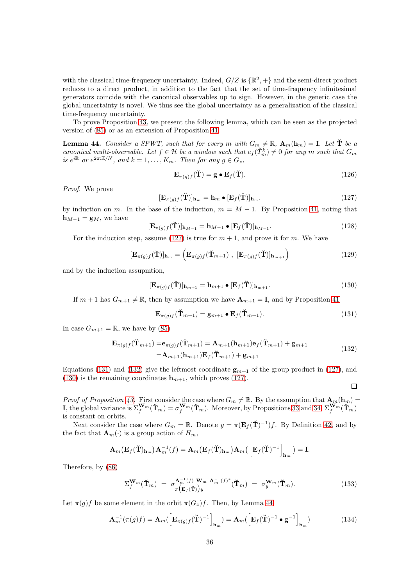with the classical time-frequency uncertainty. Indeed,  $G/Z$  is  $\{\mathbb{R}^2, +\}$  and the semi-direct product reduces to a direct product, in addition to the fact that the set of time-frequency infinitesimal generators coincide with the canonical observables up to sign. However, in the generic case the global uncertainty is novel. We thus see the global uncertainty as a generalization of the classical time-frequency uncertainty.

To prove Proposition [43,](#page-34-1) we present the following lemma, which can be seen as the projected version of [\(85\)](#page-28-0) or as an extension of Proposition [41.](#page-33-2)

<span id="page-35-4"></span>**Lemma 44.** Consider a SPWT, such that for every m with  $G_m \neq \mathbb{R}$ ,  $\mathbf{A}_m(\mathbf{h}_m) = \mathbf{I}$ . Let  $\check{\mathbf{T}}$  be a canonical multi-observable. Let  $f \in \mathcal{H}$  be a window such that  $e_f(\check{T}_m^k) \neq 0$  for any m such that  $G_m$ is  $e^{i\mathbb{R}}$  or  $e^{2\pi i \mathbb{Z}/N}$ , and  $k = 1, ..., K_m$ . Then for any  $g \in G_z$ ,

$$
\mathbf{E}_{\pi(g)f}(\breve{\mathbf{T}}) = \mathbf{g} \bullet \mathbf{E}_f(\breve{\mathbf{T}}). \tag{126}
$$

Proof. We prove

<span id="page-35-0"></span>
$$
[\mathbf{E}_{\pi(g)f}(\breve{\mathbf{T}})]_{\mathbf{h}_m} = \mathbf{h}_m \bullet [\mathbf{E}_f(\breve{\mathbf{T}})]_{\mathbf{h}_m}.
$$
\n(127)

by induction on m. In the base of the induction,  $m = M - 1$ . By Proposition [41,](#page-33-2) noting that  $\mathbf{h}_{M-1} = \mathbf{g}_M$ , we have

$$
[\mathbf{E}_{\pi(g)f}(\check{\mathbf{T}})]_{\mathbf{h}_{M-1}} = \mathbf{h}_{M-1} \bullet [\mathbf{E}_f(\check{\mathbf{T}})]_{\mathbf{h}_{M-1}}.
$$
\n(128)

For the induction step, assume [\(127\)](#page-35-0) is true for  $m + 1$ , and prove it for m. We have

$$
[\mathbf{E}_{\pi(g)f}(\check{\mathbf{T}})]_{\mathbf{h}_m} = (\mathbf{E}_{\pi(g)f}(\check{\mathbf{T}}_{m+1}), [\mathbf{E}_{\pi(g)f}(\check{\mathbf{T}})]_{\mathbf{h}_{m+1}})
$$
(129)

and by the induction assupmtion,

<span id="page-35-3"></span>
$$
[\mathbf{E}_{\pi(g)f}(\check{\mathbf{T}})]_{\mathbf{h}_{m+1}} = \mathbf{h}_{m+1} \bullet [\mathbf{E}_f(\check{\mathbf{T}})]_{\mathbf{h}_{m+1}}.
$$
\n(130)

If  $m + 1$  has  $G_{m+1} \neq \mathbb{R}$ , then by assumption we have  $\mathbf{A}_{m+1} = \mathbf{I}$ , and by Proposition [41](#page-33-2)

<span id="page-35-1"></span>
$$
\mathbf{E}_{\pi(g)f}(\breve{\mathbf{T}}_{m+1}) = \mathbf{g}_{m+1} \bullet \mathbf{E}_f(\breve{\mathbf{T}}_{m+1}). \tag{131}
$$

In case  $G_{m+1} = \mathbb{R}$ , we have by [\(85\)](#page-28-0)

$$
\mathbf{E}_{\pi(g)f}(\breve{\mathbf{T}}_{m+1}) = \mathbf{e}_{\pi(g)f}(\breve{\mathbf{T}}_{m+1}) = \mathbf{A}_{m+1}(\mathbf{h}_{m+1})\mathbf{e}_f(\breve{\mathbf{T}}_{m+1}) + \mathbf{g}_{m+1}
$$
\n
$$
= \mathbf{A}_{m+1}(\mathbf{h}_{m+1})\mathbf{E}_f(\breve{\mathbf{T}}_{m+1}) + \mathbf{g}_{m+1}
$$
\n(132)

<span id="page-35-2"></span>Equations [\(131\)](#page-35-1) and [\(132\)](#page-35-2) give the leftmost coordinate  $g_{m+1}$  of the group product in [\(127\)](#page-35-0), and [\(130\)](#page-35-3) is the remaining coordinates  $h_{m+1}$ , which proves [\(127\)](#page-35-0).  $\Box$ 

Proof of Proposition [43.](#page-34-1) First consider the case where  $G_m \neq \mathbb{R}$ . By the assumption that  $\mathbf{A}_m(\mathbf{h}_m) =$ **I**, the global variance is  $\Sigma_f^{\mathbf{W}_m}(\breve{\mathbf{T}}_m) = \sigma_f^{\mathbf{W}_m}(\breve{\mathbf{T}}_m)$ . Moreover, by Propositions [33](#page-28-3) and [34,](#page-28-5)  $\Sigma_f^{\mathbf{W}_m}(\breve{\mathbf{T}}_m)$ is constant on orbits.

Next consider the case where  $G_m = \mathbb{R}$ . Denote  $y = \pi (\mathbf{E}_f(\check{\mathbf{T}})^{-1})f$ . By Definition [42,](#page-34-0) and by the fact that  $\mathbf{A}_m(\cdot)$  is a group action of  $H_m$ ,

$$
\mathbf{A}_{m}\big(\mathbf{E}_{f}(\breve{\mathbf{T}})_{\mathbf{h}_{m}}\big)\mathbf{A}_{m}^{-1}(f) = \mathbf{A}_{m}\big(\mathbf{E}_{f}(\breve{\mathbf{T}})_{\mathbf{h}_{m}}\big)\mathbf{A}_{m}\big(\left[\mathbf{E}_{f}(\breve{\mathbf{T}})^{-1}\right]_{\mathbf{h}_{m}}\big) = \mathbf{I}.
$$

Therefore, by [\(86\)](#page-28-2)

<span id="page-35-5"></span>
$$
\Sigma_f^{\mathbf{W}_m}(\check{\mathbf{T}}_m) = \sigma_{\pi(\mathbf{E}_f(\check{\mathbf{T}}))y}^{\mathbf{A}_m^{-1}(f)} \mathbf{W}_m \mathbf{A}_m^{-1}(f)^* (\check{\mathbf{T}}_m) = \sigma_y^{\mathbf{W}_m}(\check{\mathbf{T}}_m). \tag{133}
$$

Let  $\pi(g)f$  be some element in the orbit  $\pi(G_z)f$ . Then, by Lemma [44](#page-35-4)

$$
\mathbf{A}_m^{-1}(\pi(g)f) = \mathbf{A}_m(\left[\mathbf{E}_{\pi(g)f}(\check{\mathbf{T}})^{-1}\right]_{\mathbf{h}_m}) = \mathbf{A}_m(\left[\mathbf{E}_f(\check{\mathbf{T}})^{-1} \bullet \mathbf{g}^{-1}\right]_{\mathbf{h}_m})
$$
(134)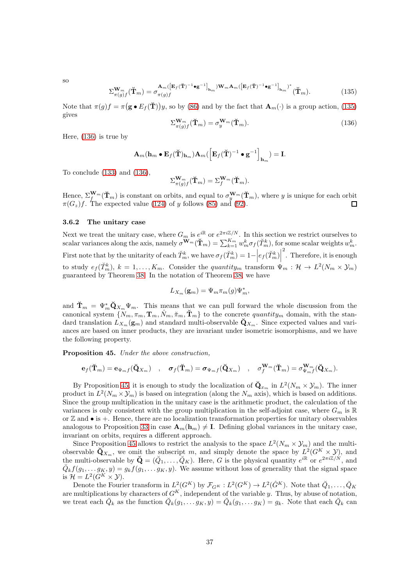so

<span id="page-36-0"></span>
$$
\Sigma_{\pi(g)f}^{\mathbf{W}_m}(\breve{\mathbf{T}}_m) = \sigma_{\pi(g)f}^{\mathbf{A}_m([\mathbf{E}_f(\breve{\mathbf{T}})^{-1}\bullet \mathbf{g}^{-1}]}_{\mathbf{h}_m})\mathbf{W}_m \mathbf{A}_m([\mathbf{E}_f(\breve{\mathbf{T}})^{-1}\bullet \mathbf{g}^{-1}]_{\mathbf{h}_m})^*(\breve{\mathbf{T}}_m). \tag{135}
$$

Note that  $\pi(g)f = \pi(\mathbf{g} \bullet E_f(\mathbf{\check{T}}))y$ , so by [\(86\)](#page-28-2) and by the fact that  $\mathbf{A}_m(\cdot)$  is a group action, [\(135\)](#page-36-0) gives

<span id="page-36-1"></span>
$$
\Sigma_{\pi(g)f}^{\mathbf{W}_m}(\check{\mathbf{T}}_m) = \sigma_y^{\mathbf{W}_m}(\check{\mathbf{T}}_m). \tag{136}
$$

Here, [\(136\)](#page-36-1) is true by

$$
\mathbf{A}_m(\mathbf{h}_m \bullet \mathbf{E}_f(\breve{\mathbf{T}})_{\mathbf{h}_m}) \mathbf{A}_m \left( \left[ \mathbf{E}_f(\breve{\mathbf{T}})^{-1} \bullet \mathbf{g}^{-1} \right]_{\mathbf{h}_m} \right) = \mathbf{I}.
$$

To conclude [\(133\)](#page-35-5) and [\(136\)](#page-36-1),

$$
\Sigma^{\mathbf{W}_m}_{\pi(g)f}(\breve{\mathbf{T}}_m) = \Sigma^{\mathbf{W}_m}_f(\breve{\mathbf{T}}_m).
$$

Hence,  $\Sigma_f^{\mathbf{W}_m}(\check{\mathbf{T}}_m)$  is constant on orbits, and equal to  $\sigma_y^{\mathbf{W}_m}(\check{\mathbf{T}}_m)$ , where y is unique for each orbit  $\pi(G_z)f$ . The expected value [\(124\)](#page-34-3) of y follows [\(85\)](#page-28-0) and [\(92\)](#page-28-4).  $\Box$ 

#### <span id="page-36-3"></span>3.6.2 The unitary case

Next we treat the unitary case, where  $G_m$  is  $e^{i\mathbb{R}}$  or  $e^{2\pi i\mathbb{Z}/N}$ . In this section we restrict ourselves to scalar variances along the axis, namely  $\sigma^{W_m}(\check{\mathbf{T}}_m) = \sum_{k=1}^{K_m} w_m^k \sigma_f(\check{T}_m^k)$ , for some scalar weights  $w_m^k$ . First note that by the unitarity of each  $\widetilde{T}_m^k$ , we have  $\sigma_f(\widetilde{T}_m^k) = 1 - \left| e_f(\widetilde{T}_m^k) \right|$ <sup>2</sup>. Therefore, it is enough to study  $e_f(\tilde{T}_m^k)$ ,  $k = 1, ..., K_m$ . Consider the *quantity<sub>m</sub>* transform  $\Psi_m : \mathcal{H} \to L^2(N_m \times \mathcal{Y}_m)$ guaranteed by Theorem [38.](#page-31-3) In the notation of Theorem [38,](#page-31-3) we have

$$
L_{X_m}(\mathbf{g}_m) = \Psi_m \pi_m(g) \Psi_m^*,
$$

and  $\check{\mathbf{T}}_m = \Psi_m^* \check{\mathbf{Q}}_{X_m} \Psi_m$ . This means that we can pull forward the whole discussion from the canonical system  $\{N_m, \pi_m, \mathbf{T}_m, \dot{N}_m, \breve{\pi}_m, \mathbf{T}_m\}$  to the concrete quantity<sub>m</sub> domain, with the standard translation  $L_{X_m}(\mathbf{g}_m)$  and standard multi-observable  $\mathbf{Q}_{X_m}$ . Since expected values and variances are based on inner products, they are invariant under isometric isomorphisms, and we have the following property.

<span id="page-36-2"></span>Proposition 45. Under the above construction,

$$
\mathbf{e}_f(\breve{\mathbf{T}}_m) = \mathbf{e}_{\Psi_m f}(\breve{\mathbf{Q}}_{X_m}) \quad , \quad \boldsymbol{\sigma}_f(\breve{\mathbf{T}}_m) = \boldsymbol{\sigma}_{\Psi_m f}(\breve{\mathbf{Q}}_{X_m}) \quad , \quad \boldsymbol{\sigma}_f^{\mathbf{W}_m}(\breve{\mathbf{T}}_m) = \boldsymbol{\sigma}_{\Psi_m f}^{\mathbf{W}_m}(\breve{\mathbf{Q}}_{X_m}).
$$

By Proposition [45,](#page-36-2) it is enough to study the localization of  $\mathbf{Q}_{x_m}$  in  $L^2(N_m \times \mathcal{Y}_m)$ . The inner product in  $L^2(N_m \times \mathcal{Y}_m)$  is based on integration (along the  $N_m$  axis), which is based on additions. Since the group multiplication in the unitary case is the arithmetic product, the calculation of the variances is only consistent with the group multiplication in the self-adjoint case, where  $G_m$  is  $\mathbb R$ or  $\mathbb Z$  and  $\bullet$  is  $+$ . Hence, there are no localization transformation properties for unitary observables analogous to Proposition [33](#page-28-3) in case  $\mathbf{A}_m(\mathbf{h}_m) \neq \mathbf{I}$ . Defining global variances in the unitary case, invariant on orbits, requires a different approach.

Since Proposition [45](#page-36-2) allows to restrict the analysis to the space  $L^2(N_m \times \mathcal{Y}_m)$  and the multiobservable  $\mathbf{Q}_{X_m}$ , we omit the subscript m, and simply denote the space by  $L^2(G^K \times \mathcal{Y})$ , and the multi-observable by  $\mathbf{Q} = (\check{Q}_1, \dots, \check{Q}_K)$ . Here, G is the physical quantity  $e^{i\mathbb{R}}$  or  $e^{2\pi i \mathbb{Z}/N}$ , and  $\check{Q}_k f(g_1, \ldots g_K, y) = g_k f(g_1, \ldots g_K, y)$ . We assume without loss of generality that the signal space is  $\mathcal{H} = L^2(G^K \times \mathcal{Y}).$ 

Denote the Fourier transform in  $L^2(G^K)$  by  $\mathcal{F}_{G^K}: L^2(G^K) \to L^2(\hat{G}^K)$ . Note that  $\check{Q}_1, \ldots, \check{Q}_K$ are multiplications by characters of  $G^K$ , independent of the variable y. Thus, by abuse of notation, we treat each  $\check{Q}_k$  as the function  $\check{Q}_k(g_1, \ldots g_K, y) = \check{Q}_k(g_1, \ldots g_K) = g_k$ . Note that each  $\check{Q}_k$  can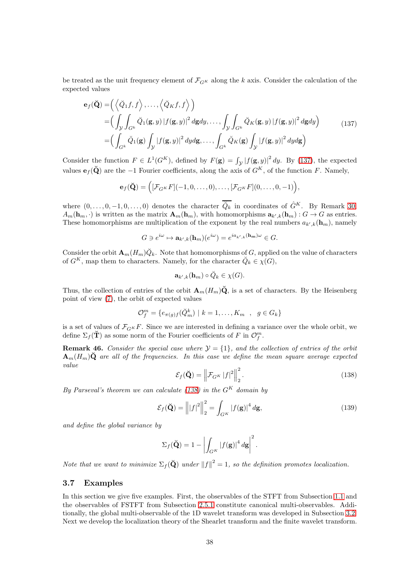be treated as the unit frequency element of  $\mathcal{F}_{G^K}$  along the k axis. Consider the calculation of the expected values

<span id="page-37-0"></span>
$$
\mathbf{e}_{f}(\mathbf{\breve{Q}}) = \Big(\Big\langle \breve{Q}_{1}f, f \Big\rangle, \dots, \Big\langle \breve{Q}_{K}f, f \Big\rangle \Big) \n= \Big(\int_{\mathcal{Y}} \int_{G^{k}} \breve{Q}_{1}(\mathbf{g}, y) |f(\mathbf{g}, y)|^{2} d\mathbf{g} dy, \dots, \int_{\mathcal{Y}} \int_{G^{k}} \breve{Q}_{K}(\mathbf{g}, y) |f(\mathbf{g}, y)|^{2} d\mathbf{g} dy \Big) \n= \Big(\int_{G^{k}} \breve{Q}_{1}(\mathbf{g}) \int_{\mathcal{Y}} |f(\mathbf{g}, y)|^{2} dy d\mathbf{g}, \dots, \int_{G^{k}} \breve{Q}_{K}(\mathbf{g}) \int_{\mathcal{Y}} |f(\mathbf{g}, y)|^{2} dy d\mathbf{g} \Big)
$$
\n(137)

Consider the function  $F \in L^1(G^K)$ , defined by  $F(g) = \int_{\mathcal{Y}} |f(g, y)|^2 dy$ . By [\(137\)](#page-37-0), the expected values  $e_f(\mathbf{\check{Q}})$  are the −1 Fourier coefficients, along the axis of  $G^K$ , of the function F. Namely,

$$
\mathbf{e}_f(\mathbf{\breve{Q}})=\Big([\mathcal{F}_{G^K}F](-1,0,\ldots,0),\ldots,[\mathcal{F}_{G^K}F](0,\ldots,0,-1)\Big),\,
$$

where  $(0, \ldots, 0, -1, 0, \ldots, 0)$  denotes the character  $\check{Q}_k$  in coordinates of  $\hat{G}^K$ . By Remark [30,](#page-25-0)  $A_m(\mathbf{h}_m, \cdot)$  is written as the matrix  $\mathbf{A}_m(\mathbf{h}_m)$ , with homomorphisms  $\mathbf{a}_{k',k}(\mathbf{h}_m) : G \to G$  as entries. These homomorphisms are multiplication of the exponent by the real numbers  $a_{k',k}(\mathbf{h}_m)$ , namely

$$
G \ni e^{i\omega} \mapsto \mathbf{a}_{k',k}(\mathbf{h}_m)(e^{i\omega}) = e^{ia_{k',k}(\mathbf{h}_m)\omega} \in G.
$$

Consider the orbit  $\mathbf{A}_m(H_m)\breve{Q}_k$ . Note that homomorphisms of G, applied on the value of characters of  $G^K$ , map them to characters. Namely, for the character  $\check{Q}_k \in \chi(G)$ ,

$$
\mathbf{a}_{k',k}(\mathbf{h}_m)\circ \breve{Q}_k\in \chi(G).
$$

Thus, the collection of entries of the orbit  $\mathbf{A}_m(H_m)\mathbf{Q}$ , is a set of characters. By the Heisenberg point of view [\(7\)](#page-4-4), the orbit of expected values

$$
\mathcal{O}_f^m = \{e_{\pi(g)f}(\breve{Q}_m^k) \mid k = 1, \ldots, K_m \; , \; g \in G_k\}
$$

is a set of values of  $\mathcal{F}_{G^K}F$ . Since we are interested in defining a variance over the whole orbit, we define  $\Sigma_f(\check{\mathbf{T}})$  as some norm of the Fourier coefficients of F in  $\mathcal{O}_f^m$ .

**Remark 46.** Consider the special case where  $\mathcal{Y} = \{1\}$ , and the collection of entries of the orbit  $\mathbf{A}_m(H_m)\mathbf{\check{Q}}$  are all of the frequencies. In this case we define the mean square average expected value

<span id="page-37-1"></span>
$$
\mathcal{E}_f(\mathbf{\breve{Q}}) = \left\| \mathcal{F}_{G^K} |f|^2 \right\|_2^2.
$$
 (138)

By Parseval's theorem we can calculate [\(138\)](#page-37-1) in the  $G<sup>K</sup>$  domain by

$$
\mathcal{E}_f(\mathbf{\breve{Q}}) = \left\| |f|^2 \right\|_2^2 = \int_{G^K} |f(\mathbf{g})|^4 d\mathbf{g},\tag{139}
$$

and define the global variance by

$$
\Sigma_f(\mathbf{\breve{Q}})=1-\left|\int_{G^K}|f(\mathbf{g})|^4\,d\mathbf{g}\right|^2.
$$

Note that we want to minimize  $\Sigma_f(\mathbf{\check{Q}})$  under  $||f||^2 = 1$ , so the definition promotes localization.

## 3.7 Examples

In this section we give five examples. First, the observables of the STFT from Subsection [1.1](#page-2-1) and the observables of FSTFT from Subsection [2.5.1](#page-16-1) constitute canonical multi-observables. Additionally, the global multi-observable of the 1D wavelet transform was developed in Subsection [3.2.](#page-22-7) Next we develop the localization theory of the Shearlet transform and the finite wavelet transform.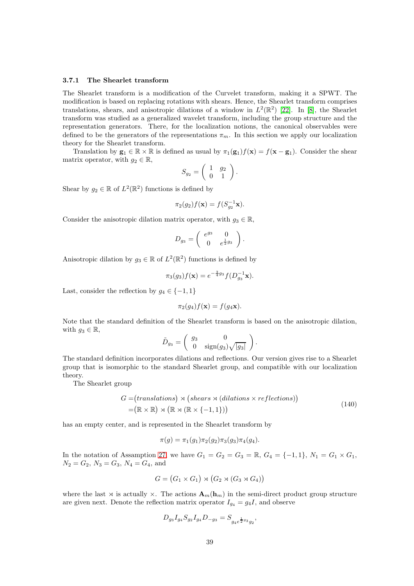### <span id="page-38-0"></span>3.7.1 The Shearlet transform

The Shearlet transform is a modification of the Curvelet transform, making it a SPWT. The modification is based on replacing rotations with shears. Hence, the Shearlet transform comprises translations, shears, and anisotropic dilations of a window in  $L^2(\mathbb{R}^2)$  [\[22\]](#page-49-1). In [\[8\]](#page-48-9), the Shearlet transform was studied as a generalized wavelet transform, including the group structure and the representation generators. There, for the localization notions, the canonical observables were defined to be the generators of the representations  $\pi_m$ . In this section we apply our localization theory for the Shearlet transform.

Translation by  $\mathbf{g}_1 \in \mathbb{R} \times \mathbb{R}$  is defined as usual by  $\pi_1(\mathbf{g}_1)f(\mathbf{x}) = f(\mathbf{x} - \mathbf{g}_1)$ . Consider the shear matrix operator, with  $g_2 \in \mathbb{R}$ ,

$$
S_{g_2} = \left( \begin{array}{cc} 1 & g_2 \\ 0 & 1 \end{array} \right).
$$

Shear by  $g_2 \in \mathbb{R}$  of  $L^2(\mathbb{R}^2)$  functions is defined by

$$
\pi_2(g_2)f(\mathbf{x}) = f(S_{g_2}^{-1}\mathbf{x}).
$$

Consider the anisotropic dilation matrix operator, with  $g_3 \in \mathbb{R}$ ,

$$
D_{g_3} = \left(\begin{array}{cc} e^{g_3} & 0\\ 0 & e^{\frac{1}{2}g_3} \end{array}\right).
$$

Anisotropic dilation by  $g_3 \in \mathbb{R}$  of  $L^2(\mathbb{R}^2)$  functions is defined by

$$
\pi_3(g_3)f(\mathbf{x}) = e^{-\frac{3}{4}g_3}f(D_{g_3}^{-1}\mathbf{x}).
$$

Last, consider the reflection by  $g_4 \in \{-1, 1\}$ 

$$
\pi_2(g_4)f(\mathbf{x}) = f(g_4\mathbf{x}).
$$

Note that the standard definition of the Shearlet transform is based on the anisotropic dilation, with  $g_3 \in \mathbb{R}$ ,

$$
\tilde{D}_{g_3} = \begin{pmatrix} g_3 & 0 \\ 0 & \text{sign}(g_3)\sqrt{|g_3|} \end{pmatrix}.
$$

The standard definition incorporates dilations and reflections. Our version gives rise to a Shearlet group that is isomorphic to the standard Shearlet group, and compatible with our localization theory.

The Shearlet group

$$
G = (translations) \times (shears \times (dilations \times reflections))
$$
  
=  $(\mathbb{R} \times \mathbb{R}) \times (\mathbb{R} \times (\mathbb{R} \times \{-1,1\}))$  (140)

has an empty center, and is represented in the Shearlet transform by

$$
\pi(g) = \pi_1(g_1)\pi_2(g_2)\pi_3(g_3)\pi_4(g_4).
$$

In the notation of Assamption [27,](#page-23-0) we have  $G_1 = G_2 = G_3 = \mathbb{R}, G_4 = \{-1,1\}, N_1 = G_1 \times G_1$ ,  $N_2 = G_2$ ,  $N_3 = G_3$ ,  $N_4 = G_4$ , and

$$
G = (G_1 \times G_1) \rtimes (G_2 \rtimes (G_3 \rtimes G_4))
$$

where the last  $\alpha$  is actually  $\alpha$ . The actions  $\mathbf{A}_m(\mathbf{h}_m)$  in the semi-direct product group structure are given next. Denote the reflection matrix operator  $I_{g_4} = g_4 I$ , and observe

$$
D_{g_3}I_{g_4}S_{g_2}I_{g_4}D_{-g_3}=S_{g_4e^{\frac{1}{2}g_3}g_2},
$$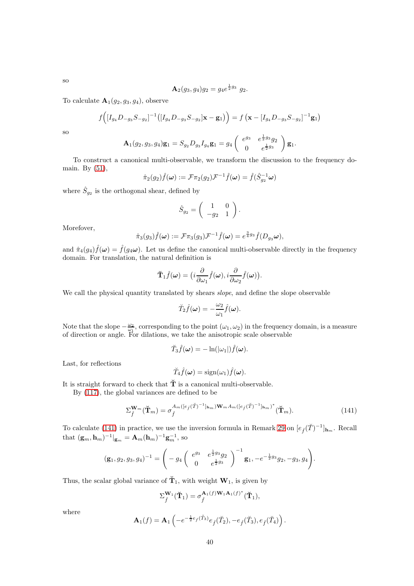$$
\mathbf{A}_2(g_3, g_4)g_2 = g_4 e^{\frac{1}{2}g_3} g_2.
$$

To calculate  $\mathbf{A}_1(g_2, g_3, g_4)$ , observe

$$
f([I_{g_4}D_{-g_3}S_{-g_2}]^{-1}([I_{g_4}D_{-g_3}S_{-g_2}]\mathbf{x}-\mathbf{g}_1)\Big)=f(\mathbf{x}-[I_{g_4}D_{-g_3}S_{-g_2}]^{-1}\mathbf{g}_1)
$$

so

$$
\mathbf{A}_1(g_2,g_3,g_4)\mathbf{g}_1 = S_{g_2}D_{g_3}I_{g_4}\mathbf{g}_1 = g_4\left(\begin{array}{cc} e^{g_3} & e^{\frac{1}{2}g_3}g_2\\ 0 & e^{\frac{1}{2}g_3} \end{array}\right)\mathbf{g}_1.
$$

To construct a canonical multi-observable, we transform the discussion to the frequency domain. By [\(51\)](#page-20-0),

$$
\hat{\pi}_2(g_2)\hat{f}(\boldsymbol{\omega}) := \mathcal{F}\pi_2(g_2)\mathcal{F}^{-1}\hat{f}(\boldsymbol{\omega}) = \hat{f}(\hat{S}_{g_2}^{-1}\boldsymbol{\omega})
$$

where  $\hat{S}_{g_2}$  is the orthogonal shear, defined by

$$
\hat{S}_{g_2} = \begin{pmatrix} 1 & 0 \\ -g_2 & 1 \end{pmatrix}.
$$

Morefover,

$$
\hat{\pi}_3(g_3)\hat{f}(\boldsymbol{\omega}) := \mathcal{F}\pi_3(g_3)\mathcal{F}^{-1}\hat{f}(\boldsymbol{\omega}) = e^{\frac{3}{4}g_3}\hat{f}(D_{g_3}\boldsymbol{\omega}),
$$

and  $\hat{\pi}_4(g_4)\hat{f}(\omega) = \hat{f}(g_4\omega)$ . Let us define the canonical multi-observable directly in the frequency domain. For translation, the natural definition is

$$
\breve{\mathbf{T}}_1 \hat{f}(\boldsymbol{\omega}) = \big( i \frac{\partial}{\partial \omega_1} \hat{f}(\boldsymbol{\omega}), i \frac{\partial}{\partial \omega_2} \hat{f}(\boldsymbol{\omega}) \big).
$$

We call the physical quantity translated by shears *slope*, and define the slope observable

$$
\breve{T}_2 \hat{f}(\boldsymbol{\omega}) = -\frac{\omega_2}{\omega_1} \hat{f}(\boldsymbol{\omega}).
$$

Note that the slope  $-\frac{\omega_2}{\omega_1}$ , corresponding to the point  $(\omega_1, \omega_2)$  in the frequency domain, is a measure of direction or angle. For dilations, we take the anisotropic scale observable

$$
\breve{T}_3 \hat{f}(\boldsymbol{\omega}) = -\ln(|\omega_1|) \hat{f}(\boldsymbol{\omega}).
$$

Last, for reflections

$$
\breve{T}_4 \hat{f}(\boldsymbol{\omega}) = \text{sign}(\omega_1) \hat{f}(\boldsymbol{\omega}).
$$

It is straight forward to check that  $\check{\mathbf{T}}$  is a canonical multi-observable.

By [\(117\)](#page-32-2), the global variances are defined to be

<span id="page-39-0"></span>
$$
\Sigma_{\hat{f}}^{\mathbf{W}_m}(\check{\mathbf{T}}_m) = \sigma_{\hat{f}}^{A_m([e_{\hat{f}}(\check{T})^{-1}]_{\mathbf{h}_m})\mathbf{W}_m A_m([e_{\hat{f}}(\check{T})^{-1}]_{\mathbf{h}_m})^*(\check{\mathbf{T}}_m). \tag{141}
$$

To calculate [\(141\)](#page-39-0) in practice, we use the inversion formula in Remark [29](#page-23-2) on  $[e_f(\check{T})^{-1}]_{\mathbf{h}_m}$ . Recall that  $(\mathbf{g}_m, \mathbf{h}_m)^{-1} |_{\mathbf{g}_m} = \mathbf{A}_m (\mathbf{h}_m)^{-1} \mathbf{g}_m^{-1}$ , so

$$
(\mathbf{g}_1, g_2, g_3, g_4)^{-1} = \begin{pmatrix} 0 & e^{\frac{1}{2}g_3} & e^{\frac{1}{2}g_3} & e^{\frac{1}{2}g_3} & e^{\frac{1}{2}g_3} & e^{\frac{1}{2}g_3} & e^{-\frac{1}{2}g_3} & e^{-\frac{1}{2}g_3} & e^{-g_3} & e^{-g_3} & e^{-g_3} \end{pmatrix}.
$$

Thus, the scalar global variance of  $\check{\mathbf{T}}_1$ , with weight  $\mathbf{W}_1$ , is given by

$$
\Sigma_{\hat{f}}^{\mathbf{W}_1}(\check{\mathbf{T}}_1) = \sigma_{\hat{f}}^{\mathbf{A}_1(f)\mathbf{W}_1\mathbf{A}_1(f)^*}(\check{\mathbf{T}}_1),
$$

where

$$
\mathbf{A}_1(f) = \mathbf{A}_1\left(-e^{-\frac{1}{2}e_f(\tilde{T}_3)}e_f(\tilde{T}_2), -e_f(\tilde{T}_3), e_f(\tilde{T}_4)\right).
$$

so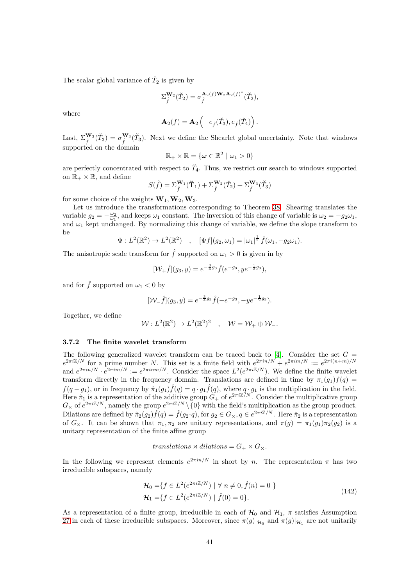The scalar global variance of  $\check{T}_2$  is given by

$$
\Sigma_{\hat{f}}^{\mathbf{W}_2}(\check{T}_2) = \sigma_{\hat{f}}^{\mathbf{A}_2(f)\mathbf{W}_2\mathbf{A}_2(f)^*}(\check{T}_2),
$$

where

$$
\mathbf{A}_2(f) = \mathbf{A}_2\left(-e_{\hat{f}}(\tilde{T}_3), e_{\hat{f}}(\tilde{T}_4)\right).
$$

Last,  $\Sigma_f^{\mathbf{W}_3}(\check{T}_3) = \sigma_f^{\mathbf{W}_3}(\check{T}_3)$ . Next we define the Shearlet global uncertainty. Note that windows supported on the domain

$$
\mathbb{R}_+ \times \mathbb{R} = \{ \boldsymbol{\omega} \in \mathbb{R}^2 \mid \omega_1 > 0 \}
$$

are perfectly concentrated with respect to  $\check{T}_4$ . Thus, we restrict our search to windows supported on  $\mathbb{R}_+ \times \mathbb{R}$ , and define

$$
S(\hat{f}) = \Sigma_{\hat{f}}^{\mathbf{W}_1}(\check{\mathbf{T}}_1) + \Sigma_{\hat{f}}^{\mathbf{W}_2}(\check{T}_2) + \Sigma_{\hat{f}}^{\mathbf{W}_3}(\check{T}_3)
$$

for some choice of the weights  $W_1, W_2, W_3$ .

Let us introduce the transformations corresponding to Theorem [38.](#page-31-3) Shearing translates the variable  $g_2 = -\frac{\omega_2}{\omega_1}$ , and keeps  $\omega_1$  constant. The inversion of this change of variable is  $\omega_2 = -g_2\omega_1$ , and  $\omega_1$  kept unchanged. By normalizing this change of variable, we define the slope transform to be

$$
\Psi: L^2(\mathbb{R}^2) \to L^2(\mathbb{R}^2) \quad , \quad [\Psi f](g_2, \omega_1) = |\omega_1|^{\frac{1}{2}} \hat{f}(\omega_1, -g_2\omega_1).
$$

The anisotropic scale transform for  $\hat{f}$  supported on  $\omega_1 > 0$  is given in by

$$
[\mathcal{W}_+ \hat{f}](g_3, y) = e^{-\frac{3}{4}g_3} \hat{f}(e^{-g_3}, y e^{-\frac{1}{2}g_3}),
$$

and for  $\hat{f}$  supported on  $\omega_1 < 0$  by

$$
[\mathcal{W}_-\hat{f}](g_3,y) = e^{-\frac{3}{4}g_3}\hat{f}(-e^{-g_3}, -ye^{-\frac{1}{2}g_3}).
$$

Together, we define

$$
W: L^{2}(\mathbb{R}^{2}) \to L^{2}(\mathbb{R}^{2})^{2} , \quad W = W_{+} \oplus W_{-}.
$$

#### 3.7.2 The finite wavelet transform

The following generalized wavelet transform can be traced back to [\[4\]](#page-48-13). Consider the set  $G =$  $e^{2\pi i\mathbb{Z}/N}$  for a prime number N. This set is a finite field with  $e^{2\pi i n/N} + e^{2\pi i m/N} := e^{2\pi i(n+m)/N}$ and  $e^{2\pi i n/N} \cdot e^{2\pi i m/N} := e^{2\pi i n m/N}$ . Consider the space  $L^2(e^{2\pi i \mathbb{Z}/N})$ . We define the finite wavelet transform directly in the frequency domain. Translations are defined in time by  $\pi_1(g_1)f(q)$  =  $f(q-g_1)$ , or in frequency by  $\hat{\pi}_1(g_1)\hat{f}(q) = q \cdot g_1\hat{f}(q)$ , where  $q \cdot g_1$  is the multiplication in the field. Here  $\hat{\pi}_1$  is a representation of the additive group  $G_+$  of  $e^{2\pi i\tilde{Z}/N}$ . Consider the multiplicative group  $G_{\times}$  of  $e^{2\pi i \mathbb{Z}/N}$ , namely the group  $e^{2\pi i \mathbb{Z}/N} \setminus \{0\}$  with the field's multiplication as the group product. Dilations are defined by  $\hat{\pi}_2(g_2)\hat{f}(q) = \hat{f}(g_2 \cdot q)$ , for  $g_2 \in G_\times$ ,  $q \in e^{2\pi i \mathbb{Z}/N}$ . Here  $\hat{\pi}_2$  is a representation of  $G_{\times}$ . It can be shown that  $\pi_1, \pi_2$  are unitary representations, and  $\pi(g) = \pi_1(g_1)\pi_2(g_2)$  is a unitary representation of the finite affine group

$$
translations \rtimes dilations = G_+ \rtimes G_\times.
$$

In the following we represent elements  $e^{2\pi i n/N}$  in short by n. The representation  $\pi$  has two irreducible subspaces, namely

$$
\mathcal{H}_0 = \{ f \in L^2(e^{2\pi i \mathbb{Z}/N}) \mid \forall n \neq 0, \hat{f}(n) = 0 \}
$$
  

$$
\mathcal{H}_1 = \{ f \in L^2(e^{2\pi i \mathbb{Z}/N}) \mid \hat{f}(0) = 0 \}.
$$
 (142)

As a representation of a finite group, irreducible in each of  $\mathcal{H}_0$  and  $\mathcal{H}_1$ ,  $\pi$  satisfies Assumption [27](#page-23-0) in each of these irreducible subspaces. Moreover, since  $\pi(g)|_{\mathcal{H}_0}$  and  $\pi(g)|_{\mathcal{H}_1}$  are not unitarily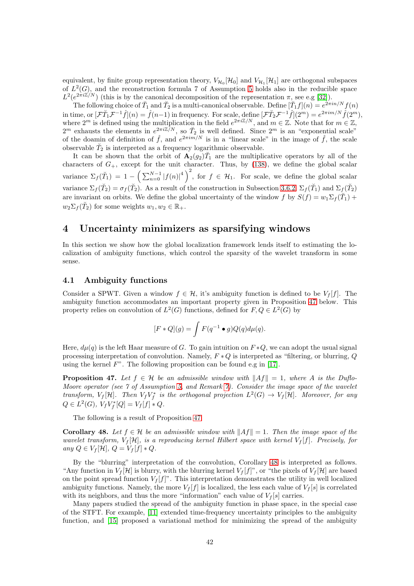equivalent, by finite group representation theory,  $V_{\mathcal{H}_0}[\mathcal{H}_0]$  and  $V_{\mathcal{H}_1}[\mathcal{H}_1]$  are orthogonal subspaces of  $L^2(G)$ , and the reconstruction formula 7 of Assumption [5](#page-7-0) holds also in the reducible space  $L^2(e^{2\pi i\mathbb{Z}/N})$  (this is by the canonical decomposition of the representation  $\pi$ , see e.g [\[32\]](#page-49-13)).

The following choice of  $\tilde{T}_1$  and  $\tilde{T}_2$  is a multi-canonical observable. Define  $[\tilde{T}_1 f](n) = e^{2\pi i n/N} f(n)$ in time, or  $[\mathcal{F}\tilde{T}_1\mathcal{F}^{-1}\hat{f}](n) = \hat{f}(n-1)$  in frequency. For scale, define  $[\mathcal{F}\tilde{T}_2\mathcal{F}^{-1}\hat{f}](2^m) = e^{2\pi im/N}\hat{f}(2^m)$ , where  $2^m$  is defined using the multiplication in the field  $e^{2\pi i \mathbb{Z}/N}$ , and  $m \in \mathbb{Z}$ . Note that for  $m \in \mathbb{Z}$ ,  $2^m$  exhausts the elements in  $e^{2\pi i\mathbb{Z}/N}$ , so  $\check{T}_2$  is well defined. Since  $2^m$  is an "exponential scale" of the doamin of definition of  $\hat{f}$ , and  $e^{2\pi im/N}$  is in a "linear scale" in the image of  $\hat{f}$ , the scale observable  $\tilde{T}_2$  is interpreted as a frequency logarithmic observable.

It can be shown that the orbit of  $\mathbf{A}_2(g_2)\tilde{T}_1$  are the multiplicative operators by all of the characters of  $G_{+}$ , except for the unit character. Thus, by [\(138\)](#page-37-1), we define the global scalar variance  $\Sigma_f(\tilde{T}_1) = 1 - \left(\sum_{n=0}^{N-1} |f(n)|^4\right)^2$ , for  $f \in \mathcal{H}_1$ . For scale, we define the global scalar variance  $\Sigma_f(\tilde{T}_2) = \sigma_f(\tilde{T}_2)$ . As a result of the construction in Subsection [3.6.2,](#page-36-3)  $\Sigma_f(\tilde{T}_1)$  and  $\Sigma_f(\tilde{T}_2)$ are invariant on orbits. We define the global uncertainty of the window f by  $S(f) = w_1 \Sigma_f(\tilde{T}_1) +$  $w_2 \Sigma_f(\tilde{T}_2)$  for some weights  $w_1, w_2 \in \mathbb{R}_+$ .

## <span id="page-41-0"></span>4 Uncertainty minimizers as sparsifying windows

In this section we show how the global localization framework lends itself to estimating the localization of ambiguity functions, which control the sparsity of the wavelet transform in some sense.

## 4.1 Ambiguity functions

Consider a SPWT. Given a window  $f \in \mathcal{H}$ , it's ambiguity function is defined to be  $V_f[f]$ . The ambiguity function accommodates an important property given in Proposition [47](#page-41-1) below. This property relies on convolution of  $L^2(G)$  functions, defined for  $F, Q \in L^2(G)$  by

$$
[F * Q](g) = \int F(q^{-1} \bullet g) Q(q) d\mu(q).
$$

Here,  $d\mu(q)$  is the left Haar measure of G. To gain intuition on  $F \ast Q$ , we can adopt the usual signal processing interpretation of convolution. Namely,  $F * Q$  is interpreted as "filtering, or blurring,  $Q$ using the kernel  $F$ ". The following proposition can be found e.g in [\[17\]](#page-48-3).

<span id="page-41-1"></span>**Proposition 47.** Let  $f \in \mathcal{H}$  be an admissible window with  $||Af|| = 1$ , where A is the Duflo-Moore operator (see 7 of Assumption [5,](#page-7-0) and Remark [7\)](#page-8-4). Consider the image space of the wavelet transform,  $V_f[\mathcal{H}]$ . Then  $V_fV_f^*$  is the orthogonal projection  $L^2(G) \to V_f[\mathcal{H}]$ . Moreover, for any  $Q \in L^2(G)$ ,  $V_f V_f^*[Q] = V_f[f] * Q$ .

The following is a result of Proposition [47.](#page-41-1)

<span id="page-41-2"></span>**Corollary 48.** Let  $f \in \mathcal{H}$  be an admissible window with  $||Af|| = 1$ . Then the image space of the wavelet transform,  $V_f$ [H], is a reproducing kernel Hilbert space with kernel  $V_f$ [f]. Precisely, for any  $Q \in V_f[\mathcal{H}], Q = V_f[f] * Q.$ 

By the "blurring" interpretation of the convolution, Corollary [48](#page-41-2) is interpreted as follows. "Any function in  $V_f[\mathcal{H}]$  is blurry, with the blurring kernel  $V_f[f]$ ", or "the pixels of  $V_f[\mathcal{H}]$  are based on the point spread function  $V_f[f]^n$ . This interpretation demonstrates the utility in well localized ambiguity functions. Namely, the more  $V_f[f]$  is localized, the less each value of  $V_f[s]$  is correlated with its neighbors, and thus the more "information" each value of  $V_f[s]$  carries.

Many papers studied the spread of the ambiguity function in phase space, in the special case of the STFT. For example, [\[11\]](#page-48-14) extended time-frequency uncertainty principles to the ambiguity function, and [\[15\]](#page-48-15) proposed a variational method for minimizing the spread of the ambiguity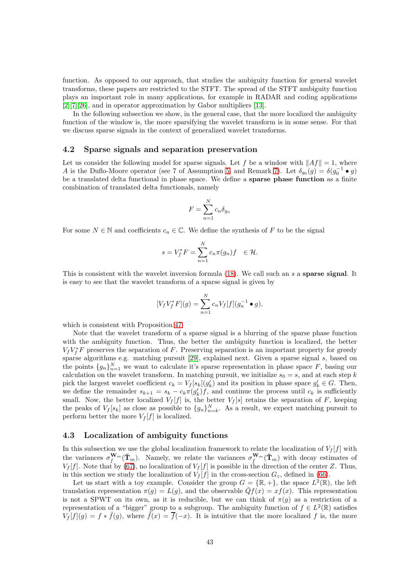function. As opposed to our approach, that studies the ambiguity function for general wavelet transforms, these papers are restricted to the STFT. The spread of the STFT ambiguity function plays an important role in many applications, for example in RADAR and coding applications [\[2\]](#page-48-16)[\[7\]](#page-48-17)[\[26\]](#page-49-14), and in operator approximation by Gabor multipliers [\[13\]](#page-48-18).

In the following subsection we show, in the general case, that the more localized the ambiguity function of the window is, the more sparsifying the wavelet transform is in some sense. For that we discuss sparse signals in the context of generalized wavelet transforms.

## 4.2 Sparse signals and separation preservation

Let us consider the following model for sparse signals. Let f be a window with  $||Af|| = 1$ , where A is the Duflo-Moore operator (see 7 of Assumption [5,](#page-7-0) and Remark [7\)](#page-8-4). Let  $\delta_{g_0}(g) = \delta(g_0^{-1} \bullet g)$ be a translated delta functional in phase space. We define a sparse phase function as a finite combination of translated delta functionals, namely

$$
F = \sum_{n=1}^{N} c_n \delta_{g_n}
$$

For some  $N \in \mathbb{N}$  and coefficients  $c_n \in \mathbb{C}$ . We define the synthesis of F to be the signal

$$
s = V_f^* F = \sum_{n=1}^N c_n \pi(g_n) f \in \mathcal{H}.
$$

This is consistent with the wavelet inversion formula [\(18\)](#page-8-5). We call such an s a sparse signal. It is easy to see that the wavelet transform of a sparse signal is given by

$$
[V_f V_f^* F](g) = \sum_{n=1}^N c_n V_f[f](g_n^{-1} \bullet g),
$$

which is consistent with Proposition [47.](#page-41-1)

Note that the wavelet transform of a sparse signal is a blurring of the sparse phase function with the ambiguity function. Thus, the better the ambiguity function is localized, the better  $V_f V_f^* F$  preserves the separation of F. Preserving separation is an important property for greedy sparse algorithms e.g. matching pursuit [\[29\]](#page-49-15), explained next. Given a sparse signal s, based on the points  $\{g_n\}_{n=1}^N$  we want to calculate it's sparse representation in phase space F, basing our calculation on the wavelet transform. In matching pursuit, we initialize  $s_0 = s$ , and at each step k pick the largest wavelet coefficient  $c_k = V_f[s_k](g'_k)$  and its position in phase space  $g'_k \in G$ . Then, we define the remainder  $s_{k+1} = s_k - c_k \pi(g'_k) f$ , and continue the process until  $c_k$  is sufficiently small. Now, the better localized  $V_f[f]$  is, the better  $V_f[s]$  retains the separation of F, keeping the peaks of  $V_f[s_k]$  as close as possible to  $\{g_n\}_{n=k}^N$ . As a result, we expect matching pursuit to perform better the more  $V_f[f]$  is localized.

## 4.3 Localization of ambiguity functions

In this subsection we use the global localization framework to relate the localization of  $V_f[f]$  with the variances  $\sigma_f^{\mathbf{W}_m}(\check{\mathbf{T}}_m)$ . Namely, we relate the variances  $\sigma_f^{\mathbf{W}_m}(\check{\mathbf{T}}_m)$  with decay estimates of  $V_f[f]$ . Note that by [\(67\)](#page-24-1), no localization of  $V_f[f]$  is possible in the direction of the center Z. Thus, in this section we study the localization of  $V_f[f]$  in the cross-section  $G_z$ , defined in [\(66\)](#page-24-2).

Let us start with a toy example. Consider the group  $G = \{ \mathbb{R}, + \},$  the space  $L^2(\mathbb{R})$ , the left translation representation  $\pi(g) = L(g)$ , and the observable  $\check{Q}f(x) = xf(x)$ . This representation is not a SPWT on its own, as it is reducible, but we can think of  $\pi(q)$  as a restriction of a representation of a "bigger" group to a subgroup. The ambiguity function of  $f \in L^2(\mathbb{R})$  satisfies  $V_f[f](g) = f * \tilde{f}(g)$ , where  $\tilde{f}(x) = \overline{f}(-x)$ . It is intuitive that the more localized f is, the more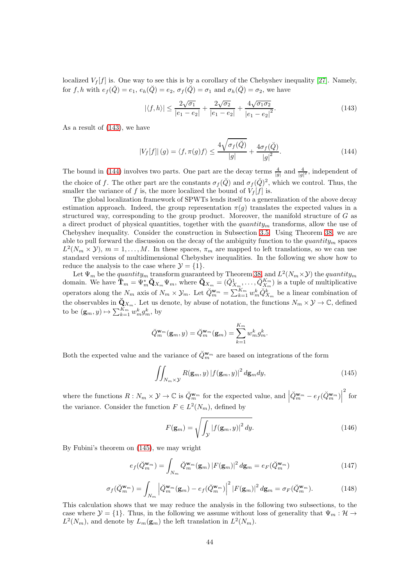localized  $V_f[f]$  is. One way to see this is by a corollary of the Chebyshev inequality [\[27\]](#page-49-7). Namely, for f, h with  $e_f(\check{Q}) = e_1, e_h(\check{Q}) = e_2, \sigma_f(\check{Q}) = \sigma_1$  and  $\sigma_h(\check{Q}) = \sigma_2$ , we have

<span id="page-43-0"></span>
$$
|\langle f, h \rangle| \le \frac{2\sqrt{\sigma_1}}{|e_1 - e_2|} + \frac{2\sqrt{\sigma_2}}{|e_1 - e_2|} + \frac{4\sqrt{\sigma_1 \sigma_2}}{|e_1 - e_2|^2}.
$$
 (143)

As a result of [\(143\)](#page-43-0), we have

<span id="page-43-1"></span>
$$
|V_f[f]|(g) = \langle f, \pi(g)f \rangle \le \frac{4\sqrt{\sigma_f(\breve{Q})}}{|g|} + \frac{4\sigma_f(\breve{Q})}{|g|^2}.
$$
\n(144)

The bound in [\(144\)](#page-43-1) involves two parts. One part are the decay terms  $\frac{4}{|g|}$  and  $\frac{4}{|g|^2}$ , independent of the choice of f. The other part are the constants  $\sigma_f(\check{Q})$  and  $\sigma_f(\check{Q})^2$ , which we control. Thus, the smaller the variance of f is, the more localized the bound of  $V_f[f]$  is.

The global localization framework of SPWTs lends itself to a generalization of the above decay estimation approach. Indeed, the group representation  $\pi(g)$  translates the expected values in a structured way, corresponding to the group product. Moreover, the manifold structure of G as a direct product of physical quantities, together with the  $quantity<sub>m</sub>$  transforms, allow the use of Chebyshev inequality. Consider the construction in Subsection [3.5.](#page-29-3) Using Theorem [38,](#page-31-3) we are able to pull forward the discussion on the decay of the ambiguity function to the *quantitym* spaces  $L^2(N_m \times \mathcal{Y})$ ,  $m = 1, ..., M$ . In these spaces,  $\pi_m$  are mapped to left translations, so we can use standard versions of multidimensional Chebyshev inequalities. In the following we show how to reduce the analysis to the case where  $\mathcal{Y} = \{1\}.$ 

Let  $\Psi_m$  be the quantity<sub>m</sub> transform guaranteed by Theorem [38,](#page-31-3) and  $L^2(N_m \times Y)$  the quantitym domain. We have  $\check{\mathbf{T}}_m = \Psi_m^* \check{\mathbf{Q}}_{X_m} \Psi_m$ , where  $\check{\mathbf{Q}}_{X_m} = (\check{Q}_{X_m}^1, \dots, \check{Q}_{X_m}^{K_m})$  is a tuple of multiplicative operators along the  $N_m$  axis of  $N_m \times \mathcal{Y}_m$ . Let  $\check{Q}_m^{\mathbf{w}_m} = \sum_{k=1}^{K_m} w_m^k \check{Q}_{X_m}^k$  be a linear combination of the observables in  $\check{Q}_{X_m}$ . Let us denote, by abuse of notation, the functions  $N_m \times \mathcal{Y} \to \mathbb{C}$ , defined to be  $(\mathbf{g}_m, y) \mapsto \sum_{k=1}^{K_m} w_m^k g_m^k$ , by

$$
\breve{Q}_{m}^{\mathbf{w}_{m}}(\mathbf{g}_{m},y)=\breve{Q}_{m}^{\mathbf{w}_{m}}(\mathbf{g}_{m})=\sum_{k=1}^{K_{m}}w_{m}^{k}g_{m}^{k}.
$$

Both the expected value and the variance of  $\check{Q}^{\mathbf{w}_m}_{m}$  are based on integrations of the form

<span id="page-43-2"></span>
$$
\iint_{N_m \times \mathcal{Y}} R(\mathbf{g}_m, y) |f(\mathbf{g}_m, y)|^2 d\mathbf{g}_m dy,
$$
\n(145)

where the functions  $R: N_m \times \mathcal{Y} \to \mathbb{C}$  is  $\widetilde{Q}_{m}^{\mathbf{w}_m}$  for the expected value, and  $\left| \widetilde{Q}_{m}^{\mathbf{w}_m} - e_f(\widetilde{Q}_{m}^{\mathbf{w}_m}) \right|$ 2 for the variance. Consider the function  $F \in L^2(N_m)$ , defined by

$$
F(\mathbf{g}_m) = \sqrt{\int_{\mathcal{Y}} |f(\mathbf{g}_m, y)|^2 dy}.
$$
 (146)

By Fubini's theorem on [\(145\)](#page-43-2), we may wright

$$
e_f(\breve{Q}_m^{\mathbf{w}_m}) = \int_{N_m} \breve{Q}_m^{\mathbf{w}_m}(\mathbf{g}_m) \left| F(\mathbf{g}_m) \right|^2 d\mathbf{g}_m = e_F(\breve{Q}_m^{\mathbf{w}_m}) \tag{147}
$$

$$
\sigma_f(\breve{Q}_m^{\mathbf{w}_m}) = \int_{N_m} \left| \breve{Q}_m^{\mathbf{w}_m}(\mathbf{g}_m) - e_f(\breve{Q}_m^{\mathbf{w}_m}) \right|^2 |F(\mathbf{g}_m)|^2 d\mathbf{g}_m = \sigma_F(\breve{Q}_m^{\mathbf{w}_m}). \tag{148}
$$

This calculation shows that we may reduce the analysis in the following two subsections, to the case where  $\mathcal{Y} = \{1\}$ . Thus, in the following we assume without loss of generality that  $\Psi_m : \mathcal{H} \to$  $L^2(N_m)$ , and denote by  $L_m(\mathbf{g}_m)$  the left translation in  $L^2(N_m)$ .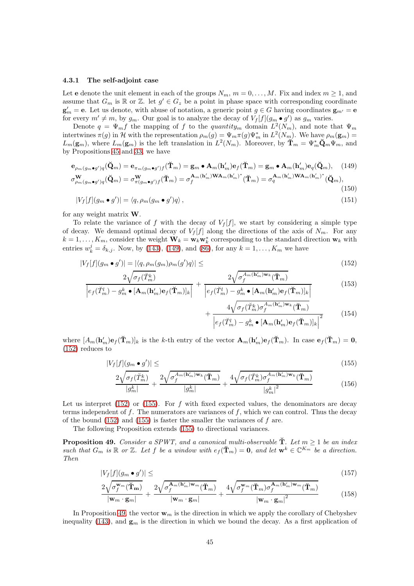#### <span id="page-44-5"></span>4.3.1 The self-adjoint case

Let **e** denote the unit element in each of the groups  $N_m$ ,  $m = 0, \ldots, M$ . Fix and index  $m \ge 1$ , and assume that  $G_m$  is  $\mathbb R$  or  $\mathbb Z$ . let  $g' \in G_z$  be a point in phase space with corresponding coordinate  $\mathbf{g}'_m = \mathbf{e}$ . Let us denote, with abuse of notation, a generic point  $g \in G$  having coordinates  $\mathbf{g}_{m'} = \mathbf{e}$ for every  $m' \neq m$ , by  $g_m$ . Our goal is to analyze the decay of  $V_f[f](g_m \bullet g')$  as  $g_m$  varies.

Denote  $q = \Psi_m f$  the mapping of f to the quantity<sub>m</sub> domain  $L^2(N_m)$ , and note that  $\Psi_m$ intertwines  $\pi(g)$  in H with the representation  $\rho_m(g) = \Psi_m \pi(g) \Psi_m^*$  in  $L^2(N_m)$ . We have  $\rho_m(\mathbf{g}_m) =$  $L_m(\mathbf{g}_m)$ , where  $L_m(\mathbf{g}_m)$  is the left translation in  $L^2(N_m)$ . Moreover, by  $\check{\mathbf{T}}_m = \Psi_m^* \check{\mathbf{Q}}_m \Psi_m$ , and by Propositions [45](#page-36-2) and [33,](#page-28-3) we have

$$
\mathbf{e}_{\rho_m(g_m\bullet g')q}(\mathbf{\breve{Q}}_m) = \mathbf{e}_{\pi_m(g_m\bullet g')f}(\mathbf{\breve{T}}_m) = \mathbf{g}_m \bullet \mathbf{A}_m(\mathbf{h}'_m) \mathbf{e}_f(\mathbf{\breve{T}}_m) = \mathbf{g}_m \bullet \mathbf{A}_m(\mathbf{h}'_m) \mathbf{e}_q(\mathbf{\breve{Q}}_m), \quad (149)
$$
  
\n
$$
\sigma_{\rho_m(g_m\bullet g')q}^{\mathbf{W}}(\mathbf{\breve{Q}}_m) = \sigma_{\pi(g_m\bullet g')f}^{\mathbf{W}}(\mathbf{\breve{T}}_m) = \sigma_f^{\mathbf{A}_m(\mathbf{h}'_m)^{\mathbf{W}}\mathbf{A}_m(\mathbf{h}'_m)^*}(\mathbf{\breve{T}}_m) = \sigma_q^{\mathbf{A}_m(\mathbf{h}'_m)^{\mathbf{W}}\mathbf{A}_m(\mathbf{h}'_m)^*}(\mathbf{\breve{Q}}_m), \quad (150)
$$

$$
|V_f[f](g_m \bullet g')| = \langle q, \rho_m(g_m \bullet g')q \rangle, \qquad (151)
$$

for any weight matrix  $W$ .

To relate the variance of f with the decay of  $V_f[f]$ , we start by considering a simple type of decay. We demand optimal decay of  $V_f[f]$  along the directions of the axis of  $N_m$ . For any  $k = 1, \ldots, K_m$ , consider the weight  $\mathbf{W}_k = \mathbf{w}_k \mathbf{w}_k^*$  corresponding to the standard direction  $\mathbf{w}_k$  with entries  $w_k^j = \delta_{k,j}$ . Now, by [\(143\)](#page-43-0), [\(149\)](#page-44-0), and [\(86\)](#page-28-2), for any  $k = 1, ..., K_m$  we have

$$
|V_f[f](g_m \bullet g')| = |\langle q, \rho_m(g_m)\rho_m(g')q\rangle| \leq
$$
\n(152)

$$
\frac{2\sqrt{\sigma_f(\breve{T}_m^k)}}{\left|e_f(\breve{T}_m^l) - g_m^k \bullet [\mathbf{A}_m(\mathbf{h}'_m)\mathbf{e}_f(\breve{\mathbf{T}}_m)]_k\right|} + \frac{2\sqrt{\sigma_f^{A_m(\mathbf{h}'_m)\mathbf{w}_k}(\breve{\mathbf{T}}_m)}}{\left|e_f(\breve{T}_m^l) - g_m^k \bullet [\mathbf{A}_m(\mathbf{h}'_m)\mathbf{e}_f(\breve{\mathbf{T}}_m)]_k\right|} \tag{153}
$$

<span id="page-44-4"></span><span id="page-44-2"></span><span id="page-44-1"></span><span id="page-44-0"></span>
$$
+\frac{4\sqrt{\sigma_f(\breve{T}_{m}^{k})\sigma_f^{A_m(\mathbf{h}_{m}^{\prime})\mathbf{w}_k}(\breve{\mathbf{T}}_{m})}}{\left|e_f(\breve{T}_{m}^{l})-g_m^{k}\bullet[\mathbf{A}_{m}(\mathbf{h}_{m}^{\prime})\mathbf{e}_f(\breve{\mathbf{T}}_{m})]_k\right|^2}\tag{154}
$$

where  $[A_m(\mathbf{h}'_m)\mathbf{e}_f(\check{\mathbf{T}}_m)]_k$  is the k-th entry of the vector  $\mathbf{A}_m(\mathbf{h}'_m)\mathbf{e}_f(\check{\mathbf{T}}_m)$ . In case  $\mathbf{e}_f(\check{\mathbf{T}}_m) = \mathbf{0}$ , [\(152\)](#page-44-1) reduces to

$$
|V_f[f](g_m \bullet g')| \leq (155)
$$

$$
\frac{2\sqrt{\sigma_f(\breve{T}_{m}^{k})}}{|g_{m}^{k}|} + \frac{2\sqrt{\sigma_f^{A_m(\mathbf{h}_{m}^{\prime})\mathbf{w}_k}(\breve{\mathbf{T}}_{m})}}{|g_{m}^{k}|} + \frac{4\sqrt{\sigma_f(\breve{T}_{m}^{k})\sigma_f^{A_m(\mathbf{h}_{m}^{\prime})\mathbf{w}_k}(\breve{\mathbf{T}}_{m})}}{|g_{m}^{k}|^{2}} \tag{156}
$$

Let us interpret [\(152\)](#page-44-1) or [\(155\)](#page-44-2). For f with fixed expected values, the denominators are decay terms independent of  $f$ . The numerators are variances of  $f$ , which we can control. Thus the decay of the bound  $(152)$  and  $(155)$  is faster the smaller the variances of f are.

The following Proposition extends [\(155\)](#page-44-2) to directional variances.

<span id="page-44-3"></span>**Proposition 49.** Consider a SPWT, and a canonical multi-observable  $\check{\mathbf{T}}$ . Let  $m \geq 1$  be an index such that  $G_m$  is  $\mathbb R$  or  $\mathbb Z$ . Let f be a window with  $e_f(\mathbf{\check{T}}_m) = \mathbf{0}$ , and let  $\mathbf{w}^k \in \mathbb C^{K_m}$  be a direction. Then

$$
|V_f[f](g_m \bullet g')| \leq (157)
$$

$$
\frac{2\sqrt{\sigma_f^{\mathbf{w}_m}(\check{\mathbf{T}}_{\mathbf{m}})}}{|\mathbf{w}_m \cdot \mathbf{g}_m|} + \frac{2\sqrt{\sigma_f^{\mathbf{A}_m(\mathbf{h}'_m)\mathbf{w}_m}(\check{\mathbf{T}}_m)}}{|\mathbf{w}_m \cdot \mathbf{g}_m|} + \frac{4\sqrt{\sigma_f^{\mathbf{w}_m}(\check{\mathbf{T}}_m)\sigma_f^{\mathbf{A}_m(\mathbf{h}'_m)\mathbf{w}_m}(\check{\mathbf{T}}_m)}}{|\mathbf{w}_m \cdot \mathbf{g}_m|^2}
$$
(158)

In Proposition [49,](#page-44-3) the vector  $\mathbf{w}_m$  is the direction in which we apply the corollary of Chebyshev inequality [\(143\)](#page-43-0), and  $\mathbf{g}_m$  is the direction in which we bound the decay. As a first application of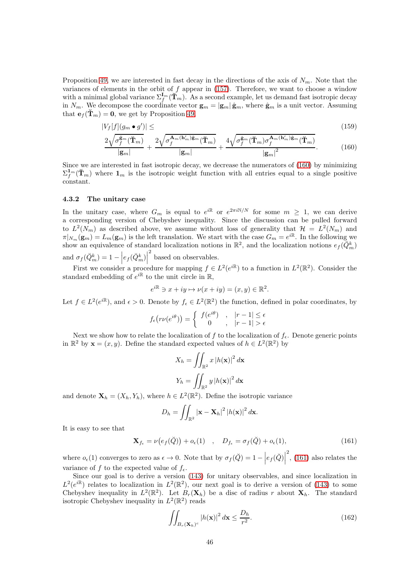Proposition [49,](#page-44-3) we are interested in fast decay in the directions of the axis of  $N_m$ . Note that the variances of elements in the orbit of  $f$  appear in [\(157\)](#page-44-4). Therefore, we want to choose a window with a minimal global variance  $\Sigma_f^{I_m}(\breve{\mathbf{T}}_m)$ . As a second example, let us demand fast isotropic decay in  $N_m$ . We decompose the coordinate vector  $\mathbf{g}_m = |\mathbf{g}_m| \hat{\mathbf{g}}_m$ , where  $\hat{\mathbf{g}}_m$  is a unit vector. Assuming that  $e_f(\tilde{T}_m) = 0$ , we get by Proposition [49,](#page-44-3)

$$
|V_f[f](g_m \bullet g')| \leq (159)
$$

<span id="page-45-0"></span>
$$
\frac{2\sqrt{\sigma_f^{\hat{\mathbf{g}}_m}(\check{\mathbf{T}}_m)}}{|\mathbf{g}_m|} + \frac{2\sqrt{\sigma_f^{\mathbf{A}_m(\mathbf{h}'_m)\hat{\mathbf{g}}_m}(\check{\mathbf{T}}_m)}}{|\mathbf{g}_m|} + \frac{4\sqrt{\sigma_f^{\hat{\mathbf{g}}_m}(\check{\mathbf{T}}_m)\sigma_f^{\mathbf{A}_m(\mathbf{h}'_m)\hat{\mathbf{g}}_m}(\check{\mathbf{T}}_m)}}{|\mathbf{g}_m|^2}.
$$
(160)

Since we are interested in fast isotropic decay, we decrease the numerators of [\(160\)](#page-45-0) by minimizing  $\Sigma_f^{1_m}(\check{\mathbf{T}}_m)$  where  $1_m$  is the isotropic weight function with all entries equal to a single positive constant.

#### 4.3.2 The unitary case

In the unitary case, where  $G_m$  is equal to  $e^{i\mathbb{R}}$  or  $e^{2\pi i\mathbb{N}/N}$  for some  $m \geq 1$ , we can derive a corresponding version of Chebyshev inequality. Since the discussion can be pulled forward to  $L^2(N_m)$  as described above, we assume without loss of generality that  $\mathcal{H} = L^2(N_m)$  and  $\pi|_{N_m}(\mathbf{g}_m) = L_m(\mathbf{g}_m)$  is the left translation. We start with the case  $G_m = e^{i\mathbb{R}}$ . In the following we show an equivalence of standard localization notions in  $\mathbb{R}^2$ , and the localization notions  $e_f(\check{Q}_m^k)$ and  $\sigma_f(\breve{Q}_m^k) = 1 - \left| e_f(\breve{Q}_m^k) \right|$  $^{\rm 2}$  based on observables.

 $\left| \begin{array}{c} \n\cdot & \cdot & \cdot & \cdot \n\end{array} \right|$ First we consider a procedure for mapping  $f \in L^2(e^{i\mathbb{R}})$  to a function in  $L^2(\mathbb{R}^2)$ . Consider the standard embedding of  $e^{i\mathbb{R}}$  to the unit circle in  $\mathbb{R}$ ,

$$
e^{i\mathbb{R}} \ni x + iy \mapsto \nu(x + iy) = (x, y) \in \mathbb{R}^2.
$$

Let  $f \in L^2(e^{i\mathbb{R}})$ , and  $\epsilon > 0$ . Denote by  $f_{\epsilon} \in L^2(\mathbb{R}^2)$  the function, defined in polar coordinates, by

$$
f_{\epsilon}(r\nu(e^{i\theta})) = \begin{cases} f(e^{i\theta}) & , |r-1| \le \epsilon \\ 0 & , |r-1| > \epsilon \end{cases}
$$

Next we show how to relate the localization of f to the localization of  $f_{\epsilon}$ . Denote generic points in  $\mathbb{R}^2$  by  $\mathbf{x} = (x, y)$ . Define the standard expected values of  $h \in L^2(\mathbb{R}^2)$  by

$$
X_h = \iint_{\mathbb{R}^2} x |h(\mathbf{x})|^2 d\mathbf{x}
$$

$$
Y_h = \iint_{\mathbb{R}^2} y |h(\mathbf{x})|^2 d\mathbf{x}
$$

and denote  $\mathbf{X}_h = (X_h, Y_h)$ , where  $h \in L^2(\mathbb{R}^2)$ . Define the isotropic variance

$$
D_h = \iint_{\mathbb{R}^2} |\mathbf{x} - \mathbf{X}_h|^2 |h(\mathbf{x})|^2 d\mathbf{x}.
$$

It is easy to see that

<span id="page-45-1"></span>
$$
\mathbf{X}_{f_{\epsilon}} = \nu(e_f(\breve{Q})) + o_{\epsilon}(1) \quad , \quad D_{f_{\epsilon}} = \sigma_f(\breve{Q}) + o_{\epsilon}(1), \tag{161}
$$

where  $o_{\epsilon}(1)$  converges to zero as  $\epsilon \to 0$ . Note that by  $\sigma_f(\check{Q}) = 1 - \left| e_f(\check{Q}) \right|$  $2$ , [\(161\)](#page-45-1) also relates the variance of f to the expected value of  $f_{\epsilon}$ .

Since our goal is to derive a version [\(143\)](#page-43-0) for unitary observables, and since localization in  $L^2(e^{i\mathbb{R}})$  relates to localization in  $L^2(\mathbb{R}^2)$ , our next goal is to derive a version of [\(143\)](#page-43-0) to some Chebyshev inequality in  $L^2(\mathbb{R}^2)$ . Let  $B_r(\mathbf{X}_h)$  be a disc of radius r about  $\mathbf{X}_h$ . The standard isotropic Chebyshev inequality in  $L^2(\mathbb{R}^2)$  reads

<span id="page-45-2"></span>
$$
\iint_{B_r(\mathbf{X}_h)^c} |h(\mathbf{x})|^2 d\mathbf{x} \le \frac{D_h}{r^2}.
$$
\n(162)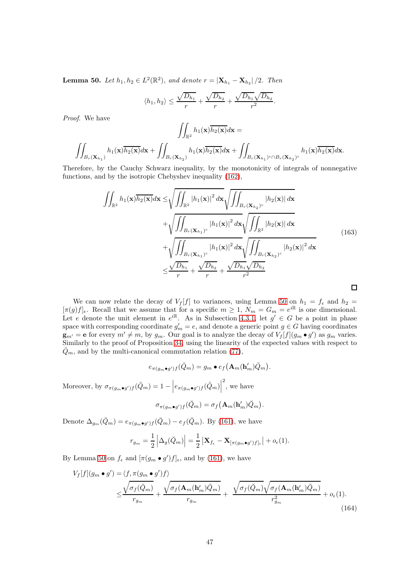<span id="page-46-0"></span>**Lemma 50.** Let  $h_1, h_2 \in L^2(\mathbb{R}^2)$ , and denote  $r = |\mathbf{X}_{h_1} - \mathbf{X}_{h_2}|/2$ . Then

$$
\langle h_1, h_2 \rangle \le \frac{\sqrt{D_{h_1}}}{r} + \frac{\sqrt{D_{h_2}}}{r} + \frac{\sqrt{D_{h_1}}\sqrt{D_{h_2}}}{r^2}.
$$

Proof. We have

$$
\iint_{\mathbb{R}^2} h_1(\mathbf{x}) \overline{h_2(\mathbf{x})} d\mathbf{x} =
$$

$$
\iint_{B_r(\mathbf{X}_{h_1})} h_1(\mathbf{x}) \overline{h_2(\mathbf{x})} d\mathbf{x} + \iint_{B_r(\mathbf{X}_{h_2})} h_1(\mathbf{x}) \overline{h_2(\mathbf{x})} d\mathbf{x} + \iint_{B_r(\mathbf{X}_{h_1})^c \cap B_r(\mathbf{X}_{h_2})^c} h_1(\mathbf{x}) \overline{h_2(\mathbf{x})} d\mathbf{x}.
$$

Therefore, by the Cauchy Schwarz inequality, by the monotonicity of integrals of nonnegative functions, and by the isotropic Chebyshev inequality [\(162\)](#page-45-2),

$$
\iint_{\mathbb{R}^2} h_1(\mathbf{x}) \overline{h_2(\mathbf{x})} d\mathbf{x} \le \sqrt{\iint_{\mathbb{R}^2} |h_1(\mathbf{x})|^2 d\mathbf{x}} \sqrt{\iint_{B_r(\mathbf{X}_{h_2})^c} |h_2(\mathbf{x})| d\mathbf{x}} + \sqrt{\iint_{B_r(\mathbf{X}_{h_1})^c} |h_1(\mathbf{x})|^2 d\mathbf{x}} \sqrt{\iint_{\mathbb{R}^2} |h_2(\mathbf{x})| d\mathbf{x}} + \sqrt{\iint_{B_r(\mathbf{X}_{h_1})^c} |h_1(\mathbf{x})|^2 d\mathbf{x}} \sqrt{\iint_{B_r(\mathbf{X}_{h_2})^c} |h_2(\mathbf{x})|^2 d\mathbf{x}} \le \frac{\sqrt{D_{h_1}}}{r} + \frac{\sqrt{D_{h_2}}}{r} + \frac{\sqrt{D_{h_1}} \sqrt{D_{h_2}}}{r^2}
$$
\n
$$
\square
$$

We can now relate the decay of  $V_f[f]$  to variances, using Lemma [50](#page-46-0) on  $h_1 = f_{\epsilon}$  and  $h_2 =$  $[\pi(g)f]_\epsilon$ . Recall that we assume that for a specific  $m \geq 1$ ,  $N_m = G_m = e^{i\mathbb{R}}$  is one dimensional. Let e denote the unit element in  $e^{i\mathbb{R}}$ . As in Subsection [4.3.1,](#page-44-5) let  $g' \in G$  be a point in phase space with corresponding coordinate  $g'_m = e$ , and denote a generic point  $g \in G$  having coordinates  $\mathbf{g}_{m'} = \mathbf{e}$  for every  $m' \neq m$ , by  $g_m$ . Our goal is to analyze the decay of  $V_f[f](g_m \bullet g')$  as  $g_m$  varies. Similarly to the proof of Proposition [34,](#page-28-5) using the linearity of the expected values with respect to  $\tilde{Q}_m$ , and by the multi-canonical commutation relation [\(77\)](#page-26-0),

$$
e_{\pi(g_m\bullet g')f}(\breve{Q}_m)=g_m\bullet e_f(\mathbf{A}_m(\mathbf{h}'_m)\breve{Q}_m).
$$

Moreover, by  $\sigma_{\pi(g_m \bullet g')f}(\breve{Q}_m) = 1 - \left| e_{\pi(g_m \bullet g')f}(\breve{Q}_m) \right|$ 2 , we have

$$
\sigma_{\pi(g_m \bullet g')f}(\breve{Q}_m) = \sigma_f\big(\mathbf{A}_m(\mathbf{h}'_m)\breve{Q}_m\big).
$$

Denote  $\Delta_{g_m}(\check{Q}_m) = e_{\pi(g_m \bullet g')f}(\check{Q}_m) - e_f(\check{Q}_m)$ . By [\(161\)](#page-45-1), we have

$$
r_{g_m} = \frac{1}{2} \left| \Delta_g(\breve{Q}_m) \right| = \frac{1}{2} \left| \mathbf{X}_{f_{\epsilon}} - \mathbf{X}_{[\pi(g_m \bullet g')f]_{\epsilon}} \right| + o_{\epsilon}(1).
$$

By Lemma [50](#page-46-0) on  $f_{\epsilon}$  and  $[\pi(g_m \bullet g')f]_{\epsilon}$ , and by [\(161\)](#page-45-1), we have

$$
V_f[f](g_m \bullet g') = \langle f, \pi(g_m \bullet g')f \rangle
$$
  

$$
\leq \frac{\sqrt{\sigma_f(\check{Q}_m)}}{r_{g_m}} + \frac{\sqrt{\sigma_f(\mathbf{A}_m(\mathbf{h}'_m)\check{Q}_m)}}{r_{g_m}} + \frac{\sqrt{\sigma_f(\check{Q}_m)}\sqrt{\sigma_f(\mathbf{A}_m(\mathbf{h}'_m)\check{Q}_m)}}{r_{g_m}^2} + o_{\epsilon}(1).
$$
(164)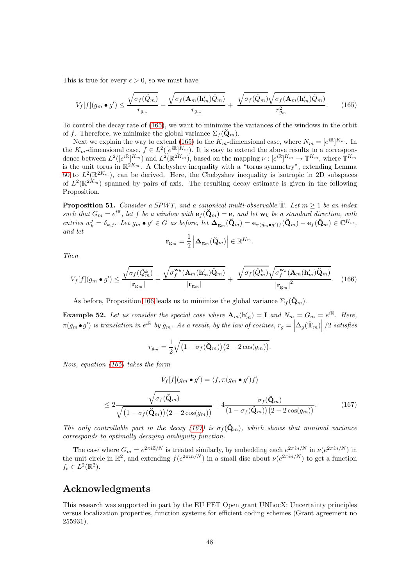This is true for every  $\epsilon > 0$ , so we must have

<span id="page-47-0"></span>
$$
V_f[f](g_m \bullet g') \le \frac{\sqrt{\sigma_f(\breve{Q}_m)}}{r_{g_m}} + \frac{\sqrt{\sigma_f(\mathbf{A}_m(\mathbf{h}'_m)\breve{Q}_m)}}{r_{g_m}} + \frac{\sqrt{\sigma_f(\breve{Q}_m)}\sqrt{\sigma_f(\mathbf{A}_m(\mathbf{h}'_m)\breve{Q}_m)}}{r_{g_m}^2}.
$$
 (165)

To control the decay rate of [\(165\)](#page-47-0), we want to minimize the variances of the windows in the orbit of f. Therefore, we minimize the global variance  $\Sigma_f(\mathbf{\check{Q}}_m)$ .

Next we explain the way to extend [\(165\)](#page-47-0) to the  $K_m$ -dimensional case, where  $N_m = [e^{i\mathbb{R}}]^{K_m}$ . In the  $K_m$ -dimensional case,  $f \in L^2([e^{i\mathbb{R}}]^{K_m})$ . It is easy to extend the above results to a correspondence between  $L^2([e^{i\mathbb{R}}]^{K_m})$  and  $L^2(\mathbb{R}^{2K_m})$ , based on the mapping  $\nu : [e^{i\mathbb{R}}]^{K_m} \to \mathbb{T}^{K_m}$ , where  $\mathbb{T}^{K_m}$ is the unit torus in  $\mathbb{R}^{2K_m}$ . A Chebyshev inequality with a "torus symmetry", extending Lemma [50](#page-46-0) to  $L^2(\mathbb{R}^{2K_m})$ , can be derived. Here, the Chebyshev inequality is isotropic in 2D subspaces of  $L^2(\mathbb{R}^{2K_m})$  spanned by pairs of axis. The resulting decay estimate is given in the following Proposition.

**Proposition 51.** Consider a SPWT, and a canonical multi-observable  $\tilde{T}$ . Let  $m > 1$  be an index such that  $G_m = e^{i\mathbb{R}}$ , let f be a window with  $\mathbf{e}_f(\mathbf{\check{Q}}_m) = \mathbf{e}$ , and let  $\mathbf{w}_k$  be a standard direction, with entries  $w_k^j = \delta_{k,j}$ . Let  $g_m \bullet g' \in G$  as before, let  $\Delta_{\mathbf{g}_m}(\mathbf{\breve{Q}}_m) = \mathbf{e}_{\pi(g_m \bullet g')f}(\mathbf{\breve{Q}}_m) - \mathbf{e}_f(\mathbf{\breve{Q}}_m) \in \mathbb{C}^{K_m}$ , and let

$$
\mathbf{r}_{\mathbf{g}_m} = \frac{1}{2} \left| \mathbf{\Delta}_{\mathbf{g}_m}(\mathbf{\breve{Q}}_m) \right| \in \mathbb{R}^{K_m}.
$$

Then

<span id="page-47-1"></span>
$$
V_f[f](g_m \bullet g') \le \frac{\sqrt{\sigma_f(\check{Q}_m^k)}}{|\mathbf{r}_{\mathbf{g}_m}|} + \frac{\sqrt{\sigma_f^{w_k}(\mathbf{A}_m(\mathbf{h}'_m)\check{\mathbf{Q}}_m)}}{|\mathbf{r}_{\mathbf{g}_m}|} + \frac{\sqrt{\sigma_f(\check{Q}_m^k)}\sqrt{\sigma_f^{w_k}(\mathbf{A}_m(\mathbf{h}'_m)\check{\mathbf{Q}}_m)}}{|\mathbf{r}_{\mathbf{g}_m}|^2}.
$$
 (166)

As before, Proposition [166](#page-47-1) leads us to minimize the global variance  $\Sigma_f(\mathbf{\check{Q}}_m)$ .

**Example 52.** Let us consider the special case where  $\mathbf{A}_m(\mathbf{h}'_m) = \mathbf{I}$  and  $N_m = G_m = e^{i\mathbb{R}}$ . Here,  $\pi(g_m \bullet g')$  is translation in  $e^{i\mathbb{R}}$  by  $g_m$ . As a result, by the law of cosines,  $r_g = \left|\Delta_g(\breve{\mathbf{T}}_m)\right|/2$  satisfies

$$
r_{g_m} = \frac{1}{2} \sqrt{\left(1 - \sigma_f(\mathbf{\breve{Q}}_m)\right)\left(2 - 2\cos(g_m)\right)}.
$$

Now, equation [\(165\)](#page-47-0) takes the form

<span id="page-47-2"></span>
$$
V_f[f](g_m \bullet g') = \langle f, \pi(g_m \bullet g')f \rangle
$$
  

$$
\leq 2 \frac{\sqrt{\sigma_f(\check{\mathbf{Q}}_m)}}{\sqrt{\left(1 - \sigma_f(\check{\mathbf{Q}}_m)\right)\left(2 - 2\cos(g_m)\right)}} + 4 \frac{\sigma_f(\check{\mathbf{Q}}_m)}{\left(1 - \sigma_f(\check{\mathbf{Q}}_m)\right)\left(2 - 2\cos(g_m)\right)}}.
$$
(167)

The only controllable part in the decay [\(167\)](#page-47-2) is  $\sigma_f(\mathbf{\breve{Q}}_m)$ , which shows that minimal variance corresponds to optimally decaying ambiguity function.

The case where  $G_m = e^{2\pi i \mathbb{Z}/N}$  is treated similarly, by embedding each  $e^{2\pi i n/N}$  in  $\nu(e^{2\pi i n/N})$  in the unit circle in  $\mathbb{R}^2$ , and extending  $f(e^{2\pi i n/N})$  in a small disc about  $\nu(e^{2\pi i n/N})$  to get a function  $f_{\epsilon} \in L^2(\mathbb{R}^2).$ 

## Acknowledgments

This research was supported in part by the EU FET Open grant UNLocX: Uncertainty principles versus localization properties, function systems for efficient coding schemes (Grant agreement no 255931).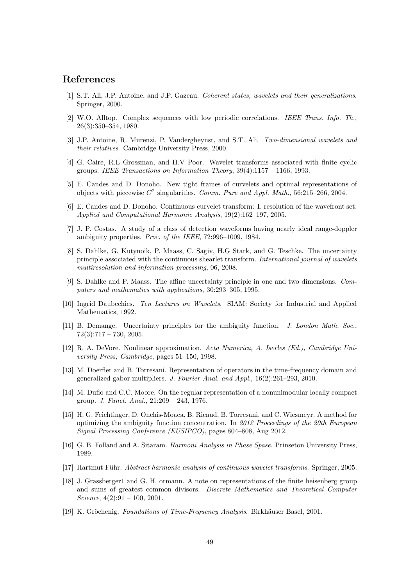## <span id="page-48-6"></span>References

- <span id="page-48-16"></span>[1] S.T. Ali, J.P. Antoine, and J.P. Gazeau. Coherent states, wavelets and their generalizations. Springer, 2000.
- <span id="page-48-7"></span>[2] W.O. Alltop. Complex sequences with low periodic correlations. IEEE Trans. Info. Th., 26(3):350–354, 1980.
- <span id="page-48-13"></span>[3] J.P. Antoine, R. Murenzi, P. Vandergheynst, and S.T. Ali. Two-dimensional wavelets and their relatives. Cambridge University Press, 2000.
- [4] G. Caire, R.L Grossman, and H.V Poor. Wavelet transforms associated with finite cyclic groups. IEEE Transactions on Information Theory,  $39(4):1157 - 1166$ , 1993.
- <span id="page-48-5"></span><span id="page-48-2"></span>[5] E. Candes and D. Donoho. New tight frames of curvelets and optimal representations of objects with piecewise  $C^2$  singularities. Comm. Pure and Appl. Math., 56:215-266, 2004.
- [6] E. Candes and D. Donoho. Continuous curvelet transform: I. resolution of the wavefront set. Applied and Computational Harmonic Analysis, 19(2):162–197, 2005.
- <span id="page-48-17"></span>[7] J. P. Costas. A study of a class of detection waveforms having nearly ideal range-doppler ambiguity properties. Proc. of the IEEE, 72:996–1009, 1984.
- <span id="page-48-9"></span>[8] S. Dahlke, G. Kutynoik, P. Maass, C. Sagiv, H.G Stark, and G. Teschke. The uncertainty principle associated with the continuous shearlet transform. International journal of wavelets multiresolution and information processing, 06, 2008.
- <span id="page-48-8"></span>[9] S. Dahlke and P. Maass. The affine uncertainty principle in one and two dimensions. Computers and mathematics with applications, 30:293–305, 1995.
- <span id="page-48-1"></span>[10] Ingrid Daubechies. Ten Lectures on Wavelets. SIAM: Society for Industrial and Applied Mathematics, 1992.
- <span id="page-48-14"></span>[11] B. Demange. Uncertainty principles for the ambiguity function. J. London Math. Soc.,  $72(3):717 - 730, 2005.$
- <span id="page-48-4"></span>[12] R. A. DeVore. Nonlinear approximation. Acta Numerica, A. Iserles (Ed.), Cambridge University Press, Cambridge, pages 51–150, 1998.
- <span id="page-48-18"></span>[13] M. Doerfler and B. Torresani. Representation of operators in the time-frequency domain and generalized gabor multipliers. J. Fourier Anal. and Appl., 16(2):261–293, 2010.
- <span id="page-48-11"></span>[14] M. Duflo and C.C. Moore. On the regular representation of a nonunimodular locally compact group. J. Funct. Anal., 21:209 – 243, 1976.
- <span id="page-48-15"></span>[15] H. G. Feichtinger, D. Onchis-Moaca, B. Ricaud, B. Torresani, and C. Wiesmeyr. A method for optimizing the ambiguity function concentration. In 2012 Proceedings of the 20th European Signal Processing Conference (EUSIPCO), pages 804–808, Aug 2012.
- <span id="page-48-10"></span><span id="page-48-3"></span>[16] G. B. Folland and A. Sitaram. *Harmoni Analysis in Phase Spase*. Prinseton University Press, 1989.
- <span id="page-48-12"></span>[17] Hartmut Führ. Abstract harmonic analysis of continuous wavelet transforms. Springer, 2005.
- [18] J. Grassberger1 and G. H. ormann. A note on representations of the finite heisenberg group and sums of greatest common divisors. Discrete Mathematics and Theoretical Computer Science,  $4(2):91 - 100$ ,  $2001$ .
- <span id="page-48-0"></span>[19] K. Gröchenig. Foundations of Time-Frequency Analysis. Birkhäuser Basel, 2001.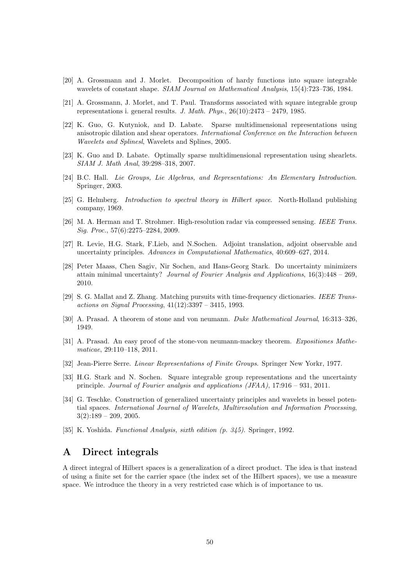- <span id="page-49-0"></span>[20] A. Grossmann and J. Morlet. Decomposition of hardy functions into square integrable wavelets of constant shape. SIAM Journal on Mathematical Analysis, 15(4):723–736, 1984.
- <span id="page-49-2"></span>[21] A. Grossmann, J. Morlet, and T. Paul. Transforms associated with square integrable group representations i. general results. J. Math. Phys.,  $26(10):2473 - 2479$ , 1985.
- <span id="page-49-1"></span>[22] K. Guo, G. Kutyniok, and D. Labate. Sparse multidimensional representations using anisotropic dilation and shear operators. International Conference on the Interaction between Wavelets and Splinesl, Wavelets and Splines, 2005.
- <span id="page-49-9"></span><span id="page-49-3"></span>[23] K. Guo and D. Labate. Optimally sparse multidimensional representation using shearlets. SIAM J. Math Anal, 39:298–318, 2007.
- <span id="page-49-8"></span>[24] B.C. Hall. Lie Groups, Lie Algebras, and Representations: An Elementary Introduction. Springer, 2003.
- <span id="page-49-14"></span>[25] G. Helmberg. Introduction to spectral theory in Hilbert space. North-Holland publishing company, 1969.
- [26] M. A. Herman and T. Strohmer. High-resolution radar via compressed sensing. IEEE Trans. Sig. Proc., 57(6):2275–2284, 2009.
- <span id="page-49-7"></span>[27] R. Levie, H.G. Stark, F.Lieb, and N.Sochen. Adjoint translation, adjoint observable and uncertainty principles. Advances in Computational Mathematics, 40:609–627, 2014.
- <span id="page-49-5"></span>[28] Peter Maass, Chen Sagiv, Nir Sochen, and Hans-Georg Stark. Do uncertainty minimizers attain minimal uncertainty? Journal of Fourier Analysis and Applications,  $16(3):448-269$ , 2010.
- <span id="page-49-15"></span>[29] S. G. Mallat and Z. Zhang. Matching pursuits with time-frequency dictionaries. IEEE Transactions on Signal Processing, 41(12):3397 – 3415, 1993.
- <span id="page-49-12"></span><span id="page-49-11"></span>[30] A. Prasad. A theorem of stone and von neumann. Duke Mathematical Journal, 16:313–326, 1949.
- [31] A. Prasad. An easy proof of the stone-von neumann-mackey theorem. Expositiones Mathematicae, 29:110–118, 2011.
- <span id="page-49-13"></span><span id="page-49-6"></span>[32] Jean-Pierre Serre. Linear Representations of Finite Groups. Springer New Yorkr, 1977.
- [33] H.G. Stark and N. Sochen. Square integrable group representations and the uncertainty principle. Journal of Fourier analysis and applications (JFAA), 17:916 – 931, 2011.
- <span id="page-49-4"></span>[34] G. Teschke. Construction of generalized uncertainty principles and wavelets in bessel potential spaces. International Journal of Wavelets, Multiresolution and Information Processing,  $3(2):189 - 209, 2005.$
- <span id="page-49-10"></span>[35] K. Yoshida. Functional Analysis, sixth edition (p. 345). Springer, 1992.

## A Direct integrals

A direct integral of Hilbert spaces is a generalization of a direct product. The idea is that instead of using a finite set for the carrier space (the index set of the Hilbert spaces), we use a measure space. We introduce the theory in a very restricted case which is of importance to us.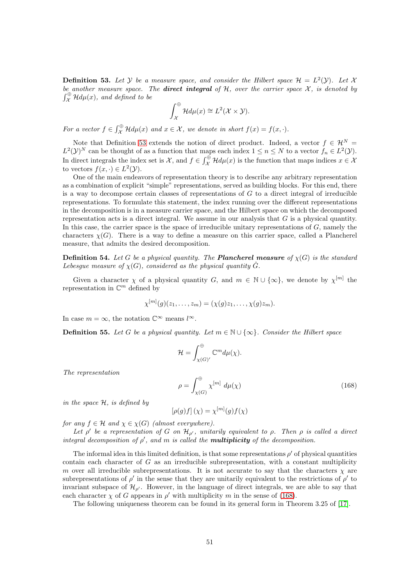<span id="page-50-0"></span>**Definition 53.** Let  $\mathcal{Y}$  be a measure space, and consider the Hilbert space  $\mathcal{H} = L^2(\mathcal{Y})$ . Let  $\mathcal{X}$ be another measure space. The **direct integral** of  $H$ , over the carrier space  $X$ , is denoted by  $\int_{\mathcal{X}}^{\oplus} \mathcal{H} d\mu(x)$ , and defined to be

$$
\int_{\mathcal{X}}^{\oplus} \mathcal{H} d\mu(x) \cong L^2(\mathcal{X} \times \mathcal{Y}).
$$

For a vector  $f \in \int_{\mathcal{X}}^{\oplus} \mathcal{H} d\mu(x)$  and  $x \in \mathcal{X}$ , we denote in short  $f(x) = f(x, \cdot)$ .

Note that Definition [53](#page-50-0) extends the notion of direct product. Indeed, a vector  $f \in \mathcal{H}^N$  $L^2(\mathcal{Y})^N$  can be thought of as a function that maps each index  $1 \leq n \leq N$  to a vector  $f_n \in L^2(\mathcal{Y})$ . In direct integrals the index set is  $\mathcal{X}$ , and  $f \in \int_{\mathcal{X}}^{\oplus} \mathcal{H} d\mu(x)$  is the function that maps indices  $x \in \mathcal{X}$ to vectors  $f(x, \cdot) \in L^2(\mathcal{Y})$ .

One of the main endeavors of representation theory is to describe any arbitrary representation as a combination of explicit "simple" representations, served as building blocks. For this end, there is a way to decompose certain classes of representations of  $G$  to a direct integral of irreducible representations. To formulate this statement, the index running over the different representations in the decomposition is in a measure carrier space, and the Hilbert space on which the decomposed representation acts is a direct integral. We assume in our analysis that  $G$  is a physical quantity. In this case, the carrier space is the space of irreducible unitary representations of  $G$ , namely the characters  $\chi(G)$ . There is a way to define a measure on this carrier space, called a Plancherel measure, that admits the desired decomposition.

**Definition 54.** Let G be a physical quantity. The **Plancherel measure** of  $\chi(G)$  is the standard Lebesgue measure of  $\chi(G)$ , considered as the physical quantity  $\hat{G}$ .

Given a character  $\chi$  of a physical quantity G, and  $m \in \mathbb{N} \cup \{\infty\}$ , we denote by  $\chi^{[m]}$  the representation in  $\mathbb{C}^m$  defined by

$$
\chi^{[m]}(g)(z_1,\ldots,z_m) = (\chi(g)z_1,\ldots,\chi(g)z_m).
$$

In case  $m = \infty$ , the notation  $\mathbb{C}^{\infty}$  means  $l^{\infty}$ .

**Definition 55.** Let G be a physical quantity. Let  $m \in \mathbb{N} \cup \{\infty\}$ . Consider the Hilbert space

$$
\mathcal{H} = \int_{\chi(G)'}^{\oplus} \mathbb{C}^m d\mu(\chi).
$$

$$
\rho = \int_{\chi(G)}^{\oplus} \chi^{[m]} d\mu(\chi)
$$
(168)

in the space  $H$ , is defined by

The representation

<span id="page-50-1"></span>
$$
\left[\rho(g)f\right](\chi) = \chi^{[m]}(g)f(\chi)
$$

for any  $f \in \mathcal{H}$  and  $\chi \in \chi(G)$  (almost everywhere).

Let  $\rho'$  be a representation of G on  $\mathcal{H}_{\rho'}$ , unitarily equivalent to  $\rho$ . Then  $\rho$  is called a direct integral decomposition of  $\rho'$ , and m is called the **multiplicity** of the decomposition.

The informal idea in this limited definition, is that some representations  $\rho'$  of physical quantities contain each character of  $G$  as an irreducible subrepresentation, with a constant multiplicity m over all irreducible subrepresentations. It is not accurate to say that the characters  $\chi$  are subrepresentations of  $\rho'$  in the sense that they are unitarily equivalent to the restrictions of  $\rho'$  to invariant subspace of  $\mathcal{H}_{\rho'}$ . However, in the language of direct integrals, we are able to say that each character  $\chi$  of G appears in  $\rho'$  with multiplicity m in the sense of [\(168\)](#page-50-1).

The following uniqueness theorem can be found in its general form in Theorem 3.25 of [\[17\]](#page-48-3).